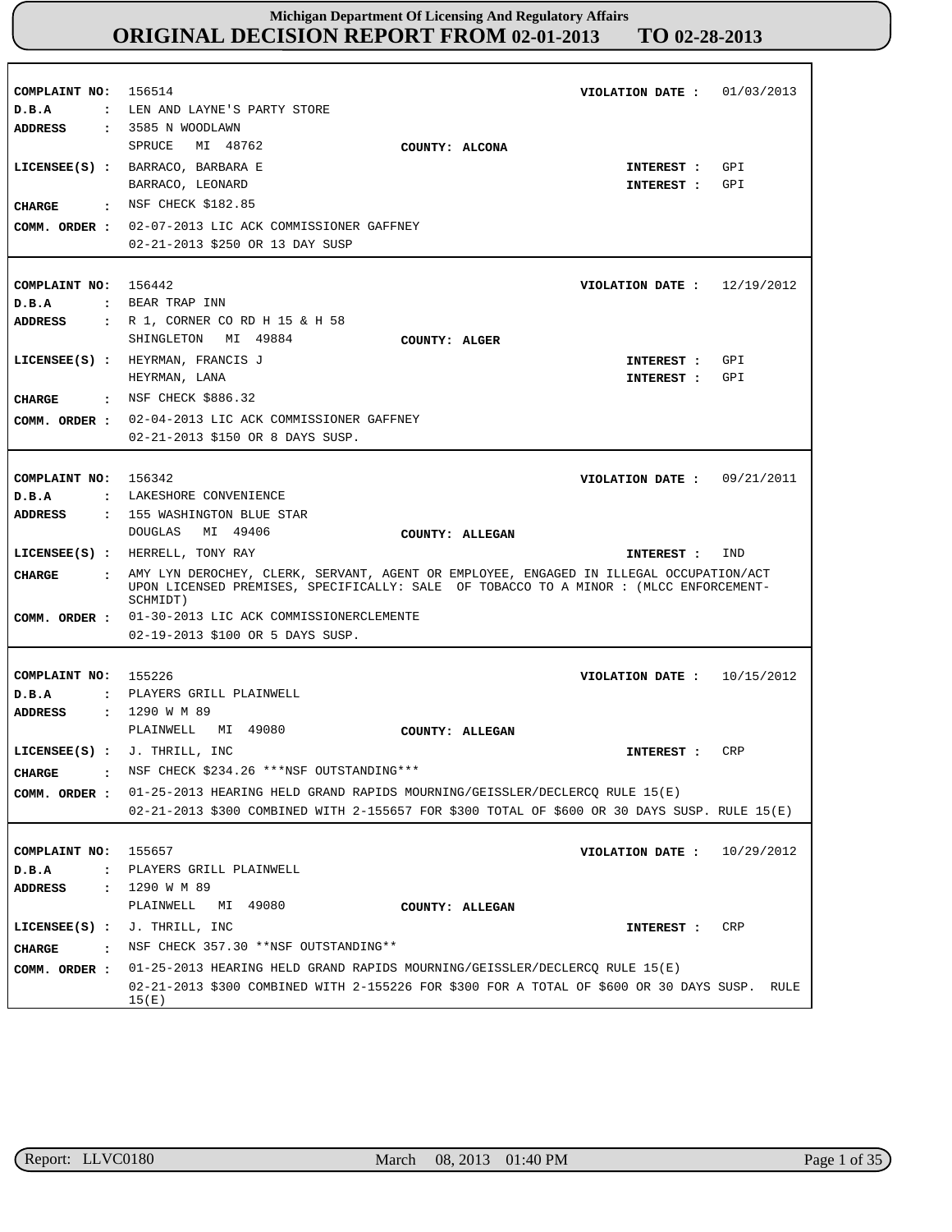| COMPLAINT NO: 156514<br>D.B.A                                                      | : LEN AND LAYNE'S PARTY STORE                                                                                                                                                                        | VIOLATION DATE :             | 01/03/2013 |
|------------------------------------------------------------------------------------|------------------------------------------------------------------------------------------------------------------------------------------------------------------------------------------------------|------------------------------|------------|
| ADDRESS                                                                            | : 3585 N WOODLAWN<br>SPRUCE<br>MI 48762<br>COUNTY: ALCONA<br>LICENSEE(S) : BARRACO, BARBARA E<br>BARRACO, LEONARD                                                                                    | INTEREST :<br>INTEREST :     | GPI<br>GPI |
| CHARGE                                                                             | : NSF CHECK \$182.85<br>COMM. ORDER : 02-07-2013 LIC ACK COMMISSIONER GAFFNEY<br>02-21-2013 \$250 OR 13 DAY SUSP                                                                                     |                              |            |
| COMPLAINT NO: 156442<br>D.B.A<br><b>ADDRESS</b>                                    | : BEAR TRAP INN<br>: R 1, CORNER CO RD H 15 & H 58                                                                                                                                                   | VIOLATION DATE: $12/19/2012$ |            |
| CIIARGE                                                                            | SHINGLETON MI 49884<br>COUNTY: ALGER<br>LICENSEE(S) : HEYRMAN, FRANCIS J<br>HEYRMAN, LANA<br>: NSF CHECK \$886.32                                                                                    | INTEREST :<br>INTEREST :     | GPI<br>GPI |
| COMM. ORDER :                                                                      | 02-04-2013 LIC ACK COMMISSIONER GAFFNEY<br>02-21-2013 \$150 OR 8 DAYS SUSP.                                                                                                                          |                              |            |
| COMPLAINT NO: 156342<br>D.B.A<br>ADDRESS                                           | : LAKESHORE CONVENIENCE<br>: 155 WASHINGTON BLUE STAR<br>DOUGLAS MI 49406<br>COUNTY: ALLEGAN                                                                                                         | VIOLATION DATE: $09/21/2011$ |            |
|                                                                                    |                                                                                                                                                                                                      |                              |            |
| CHARGE<br>$\mathbf{r}$                                                             | LICENSEE(S) : HERRELL, TONY RAY<br>AMY LYN DEROCHEY, CLERK, SERVANT, AGENT OR EMPLOYEE, ENGAGED IN ILLEGAL OCCUPATION/ACT                                                                            | INTEREST :                   | IND        |
|                                                                                    | UPON LICENSED PREMISES, SPECIFICALLY: SALE OF TOBACCO TO A MINOR : (MLCC ENFORCEMENT-<br>SCHMIDT)<br>COMM. ORDER : 01-30-2013 LIC ACK COMMISSIONERCLEMENTE<br>02-19-2013 \$100 OR 5 DAYS SUSP.       |                              |            |
| COMPLAINT NO: 155226<br>D.B.A<br><b>ADDRESS</b>                                    | : PLAYERS GRILL PLAINWELL<br>$: 1290$ W M 89                                                                                                                                                         | VIOLATION DATE :             | 10/15/2012 |
| CHARGE<br>:<br>COMM. ORDER :                                                       | PLAINWELL MI 49080<br>COUNTY: ALLEGAN<br>LICENSEE(S) : $J$ . THRILL, INC<br>NSF CHECK \$234.26 *** NSF OUTSTANDING ***<br>01-25-2013 HEARING HELD GRAND RAPIDS MOURNING/GEISSLER/DECLERCQ RULE 15(E) | INTEREST :                   | <b>CRP</b> |
|                                                                                    | 02-21-2013 \$300 COMBINED WITH 2-155657 FOR \$300 TOTAL OF \$600 OR 30 DAYS SUSP. RULE 15(E)                                                                                                         |                              |            |
| COMPLAINT NO:<br>D.B.A<br>$\ddot{\phantom{a}}$<br><b>ADDRESS</b><br>$\ddot{\cdot}$ | 155657<br>PLAYERS GRILL PLAINWELL<br>1290 W M 89                                                                                                                                                     | VIOLATION DATE :             | 10/29/2012 |
| $LICENSEE(S)$ :<br><b>CHARGE</b><br>$\cdot$ :<br>COMM. ORDER :                     | ΜI<br>49080<br>PLAINWELL<br>COUNTY: ALLEGAN<br>J. THRILL, INC<br>NSF CHECK 357.30 ** NSF OUTSTANDING **<br>01-25-2013 HEARING HELD GRAND RAPIDS MOURNING/GEISSLER/DECLERCQ RULE 15(E)                | INTEREST :                   | CRP        |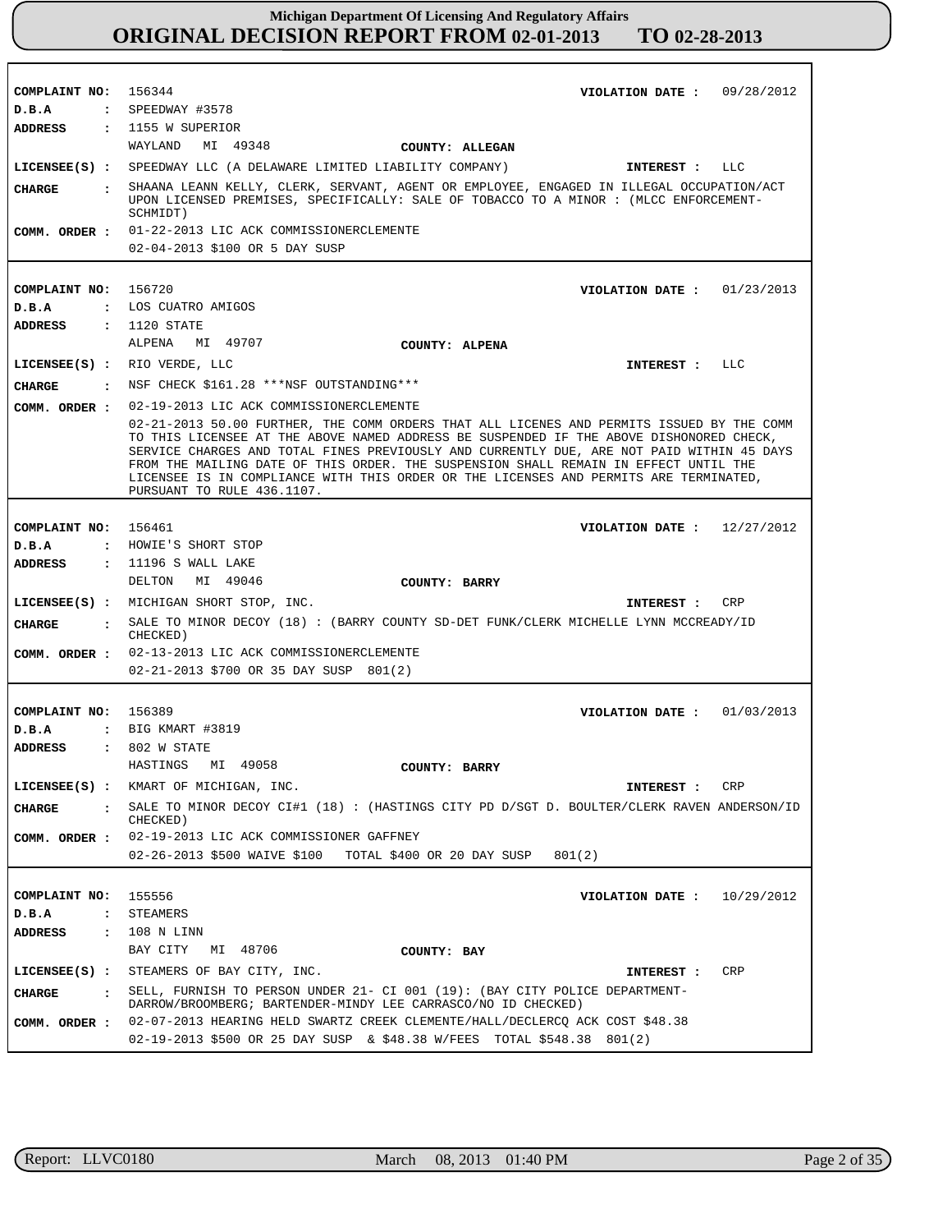| COMPLAINT NO: 156344                   | VIOLATION DATE: $09/28/2012$                                                                                                                                                                                                                                                                                                                                                                                                                                                                     |
|----------------------------------------|--------------------------------------------------------------------------------------------------------------------------------------------------------------------------------------------------------------------------------------------------------------------------------------------------------------------------------------------------------------------------------------------------------------------------------------------------------------------------------------------------|
| D.B.A                                  | : SPEEDWAY #3578                                                                                                                                                                                                                                                                                                                                                                                                                                                                                 |
|                                        | ADDRESS : 1155 W SUPERIOR                                                                                                                                                                                                                                                                                                                                                                                                                                                                        |
|                                        | WAYLAND MI 49348<br>COUNTY: ALLEGAN                                                                                                                                                                                                                                                                                                                                                                                                                                                              |
|                                        | LICENSEE(S) : SPEEDWAY LLC (A DELAWARE LIMITED LIABILITY COMPANY)<br>INTEREST : LLC                                                                                                                                                                                                                                                                                                                                                                                                              |
| CIIARGE                                | : SHAANA LEANN KELLY, CLERK, SERVANT, AGENT OR EMPLOYEE, ENGAGED IN ILLEGAL OCCUPATION/ACT<br>UPON LICENSED PREMISES, SPECIFICALLY: SALE OF TOBACCO TO A MINOR : (MLCC ENFORCEMENT-                                                                                                                                                                                                                                                                                                              |
|                                        | SCHMIDT)                                                                                                                                                                                                                                                                                                                                                                                                                                                                                         |
|                                        | COMM. ORDER : 01-22-2013 LIC ACK COMMISSIONERCLEMENTE                                                                                                                                                                                                                                                                                                                                                                                                                                            |
|                                        | 02-04-2013 \$100 OR 5 DAY SUSP                                                                                                                                                                                                                                                                                                                                                                                                                                                                   |
|                                        |                                                                                                                                                                                                                                                                                                                                                                                                                                                                                                  |
| COMPLAINT NO: 156720                   | VIOLATION DATE: $01/23/2013$                                                                                                                                                                                                                                                                                                                                                                                                                                                                     |
| D.B.A                                  | : LOS CUATRO AMIGOS                                                                                                                                                                                                                                                                                                                                                                                                                                                                              |
| ADDRESS                                | : 1120 STATE                                                                                                                                                                                                                                                                                                                                                                                                                                                                                     |
|                                        | ALPENA MI 49707<br><b>COUNTY: ALPENA</b>                                                                                                                                                                                                                                                                                                                                                                                                                                                         |
|                                        |                                                                                                                                                                                                                                                                                                                                                                                                                                                                                                  |
|                                        | LICENSE (S) : RIO VERDE, LLC<br>INTEREST : LLC                                                                                                                                                                                                                                                                                                                                                                                                                                                   |
|                                        | CHARGE : NSF CHECK \$161.28 ***NSF OUTSTANDING***                                                                                                                                                                                                                                                                                                                                                                                                                                                |
|                                        | COMM. ORDER : 02-19-2013 LIC ACK COMMISSIONERCLEMENTE                                                                                                                                                                                                                                                                                                                                                                                                                                            |
|                                        | 02-21-2013 50.00 FURTHER, THE COMM ORDERS THAT ALL LICENES AND PERMITS ISSUED BY THE COMM<br>TO THIS LICENSEE AT THE ABOVE NAMED ADDRESS BE SUSPENDED IF THE ABOVE DISHONORED CHECK,<br>SERVICE CHARGES AND TOTAL FINES PREVIOUSLY AND CURRENTLY DUE, ARE NOT PAID WITHIN 45 DAYS<br>FROM THE MAILING DATE OF THIS ORDER. THE SUSPENSION SHALL REMAIN IN EFFECT UNTIL THE<br>LICENSEE IS IN COMPLIANCE WITH THIS ORDER OR THE LICENSES AND PERMITS ARE TERMINATED,<br>PURSUANT TO RULE 436.1107. |
|                                        |                                                                                                                                                                                                                                                                                                                                                                                                                                                                                                  |
| COMPLAINT NO: 156461                   | VIOLATION DATE: $12/27/2012$                                                                                                                                                                                                                                                                                                                                                                                                                                                                     |
| D.B.A                                  | : HOWIE'S SHORT STOP                                                                                                                                                                                                                                                                                                                                                                                                                                                                             |
| ADDRESS                                | : 11196 S WALL LAKE                                                                                                                                                                                                                                                                                                                                                                                                                                                                              |
|                                        | DELTON MI 49046<br>COUNTY: BARRY                                                                                                                                                                                                                                                                                                                                                                                                                                                                 |
|                                        | LICENSEE(S) : MICHIGAN SHORT STOP, INC.<br>CRP<br>INTEREST :                                                                                                                                                                                                                                                                                                                                                                                                                                     |
| CHARGE                                 | : SALE TO MINOR DECOY (18) : (BARRY COUNTY SD-DET FUNK/CLERK MICHELLE LYNN MCCREADY/ID<br>CHECKED)                                                                                                                                                                                                                                                                                                                                                                                               |
|                                        | COMM. ORDER : 02-13-2013 LIC ACK COMMISSIONERCLEMENTE                                                                                                                                                                                                                                                                                                                                                                                                                                            |
|                                        | 02-21-2013 \$700 OR 35 DAY SUSP 801(2)                                                                                                                                                                                                                                                                                                                                                                                                                                                           |
|                                        |                                                                                                                                                                                                                                                                                                                                                                                                                                                                                                  |
| COMPLAINT NO: 156389                   | VIOLATION DATE: $01/03/2013$                                                                                                                                                                                                                                                                                                                                                                                                                                                                     |
| D.B.A                                  | : BIG KMART #3819                                                                                                                                                                                                                                                                                                                                                                                                                                                                                |
|                                        |                                                                                                                                                                                                                                                                                                                                                                                                                                                                                                  |
| <b>ADDRESS</b>                         | $: 802$ W STATE<br>HASTINGS MI 49058                                                                                                                                                                                                                                                                                                                                                                                                                                                             |
|                                        | COUNTY: BARRY                                                                                                                                                                                                                                                                                                                                                                                                                                                                                    |
|                                        | LICENSEE(S) : KMART OF MICHIGAN, INC.<br>CRP<br>INTEREST :                                                                                                                                                                                                                                                                                                                                                                                                                                       |
| <b>CHARGE</b><br>$\mathbf{r}$          | SALE TO MINOR DECOY CI#1 (18) : (HASTINGS CITY PD D/SGT D. BOULTER/CLERK RAVEN ANDERSON/ID<br>CHECKED)                                                                                                                                                                                                                                                                                                                                                                                           |
| COMM. ORDER :                          | 02-19-2013 LIC ACK COMMISSIONER GAFFNEY                                                                                                                                                                                                                                                                                                                                                                                                                                                          |
|                                        | 02-26-2013 \$500 WAIVE \$100 TOTAL \$400 OR 20 DAY SUSP<br>801(2)                                                                                                                                                                                                                                                                                                                                                                                                                                |
|                                        |                                                                                                                                                                                                                                                                                                                                                                                                                                                                                                  |
| COMPLAINT NO:                          | 155556<br>VIOLATION DATE: $10/29/2012$                                                                                                                                                                                                                                                                                                                                                                                                                                                           |
| D.B.A<br>$\ddot{\cdot}$                | STEAMERS                                                                                                                                                                                                                                                                                                                                                                                                                                                                                         |
| <b>ADDRESS</b><br>$\ddot{\phantom{a}}$ | 108 N LINN                                                                                                                                                                                                                                                                                                                                                                                                                                                                                       |
|                                        | BAY CITY<br>MI 48706<br>COUNTY: BAY                                                                                                                                                                                                                                                                                                                                                                                                                                                              |
| $LICENSEE(S)$ :                        | STEAMERS OF BAY CITY, INC.<br>CRP<br>INTEREST :                                                                                                                                                                                                                                                                                                                                                                                                                                                  |
|                                        |                                                                                                                                                                                                                                                                                                                                                                                                                                                                                                  |
| <b>CHARGE</b><br>$\ddot{\mathbf{r}}$   | SELL, FURNISH TO PERSON UNDER 21- CI 001 (19): (BAY CITY POLICE DEPARTMENT-<br>DARROW/BROOMBERG; BARTENDER-MINDY LEE CARRASCO/NO ID CHECKED)                                                                                                                                                                                                                                                                                                                                                     |
| COMM. ORDER :                          | 02-07-2013 HEARING HELD SWARTZ CREEK CLEMENTE/HALL/DECLERCQ ACK COST \$48.38                                                                                                                                                                                                                                                                                                                                                                                                                     |
|                                        | 02-19-2013 \$500 OR 25 DAY SUSP & \$48.38 W/FEES TOTAL \$548.38 801(2)                                                                                                                                                                                                                                                                                                                                                                                                                           |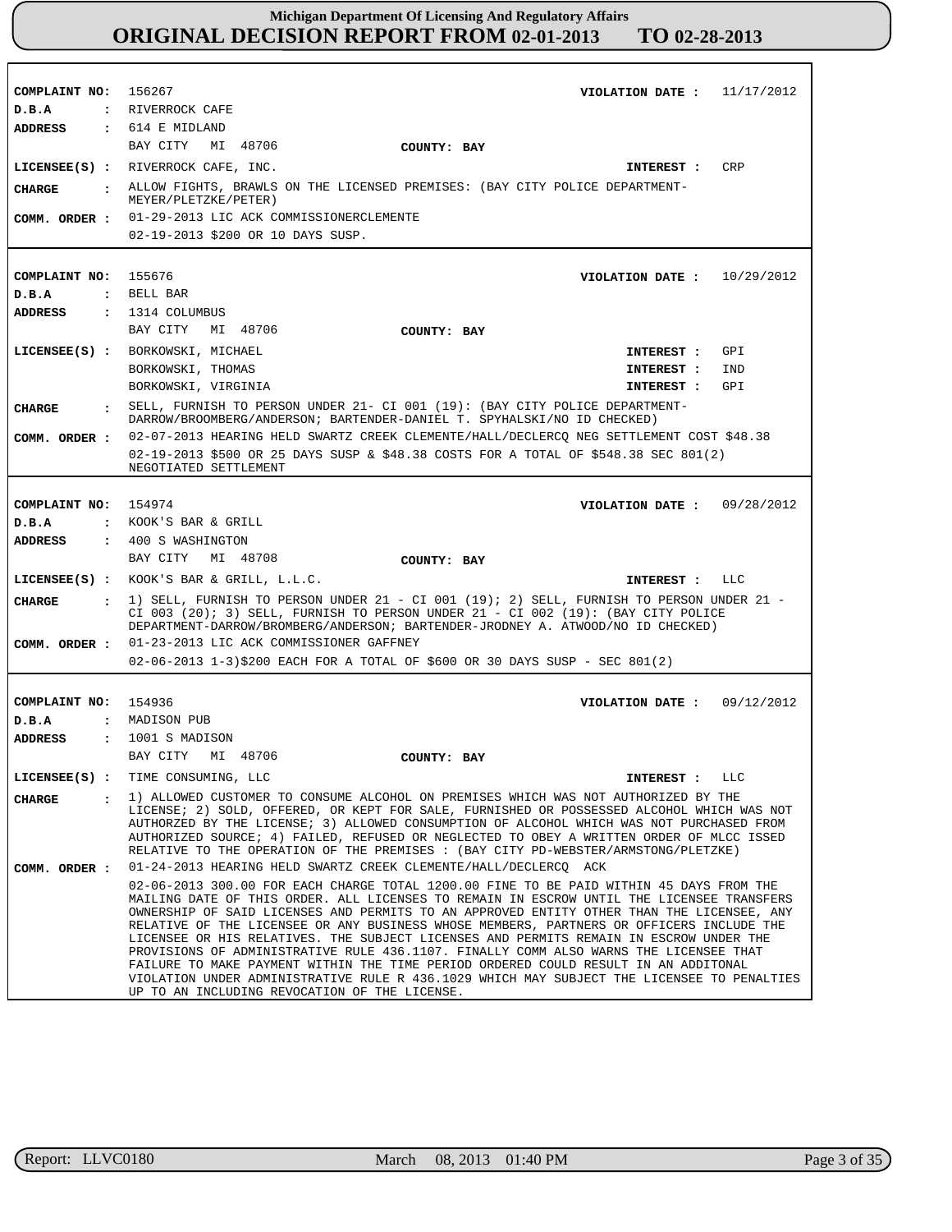**COMPLAINT NO: COMPLAINT NO:** 155676 **COMPLAINT NO: COMPLAINT NO:** 156267 154974 154936 **VIOLATION DATE : VIOLATION DATE : VIOLATION DATE : VIOLATION DATE :** 11/17/2012 10/29/2012 09/28/2012 09/12/2012 **D.B.A : D.B.A : D.B.A : D.B.A :** RIVERROCK CAFE BELL BAR KOOK'S BAR & GRILL MADISON PUB **ADDRESS : ADDRESS : ADDRESS : ADDRESS :** 614 E MIDLAND 1314 COLUMBUS 400 S WASHINGTON 1001 S MADISON BAY CITY MI 48706 BAY CITY MI 48706 BAY CITY MI 48708 BAY CITY MI 48706 01-29-2013 LIC ACK COMMISSIONERCLEMENTE 02-19-2013 \$200 OR 10 DAYS SUSP. 02-07-2013 HEARING HELD SWARTZ CREEK CLEMENTE/HALL/DECLERCQ NEG SETTLEMENT COST \$48.38 02-19-2013 \$500 OR 25 DAYS SUSP & \$48.38 COSTS FOR A TOTAL OF \$548.38 SEC 801(2) NEGOTIATED SETTLEMENT 01-23-2013 LIC ACK COMMISSIONER GAFFNEY 02-06-2013 1-3)\$200 EACH FOR A TOTAL OF \$600 OR 30 DAYS SUSP - SEC 801(2) 01-24-2013 HEARING HELD SWARTZ CREEK CLEMENTE/HALL/DECLERCQ ACK 02-06-2013 300.00 FOR EACH CHARGE TOTAL 1200.00 FINE TO BE PAID WITHIN 45 DAYS FROM THE MAILING DATE OF THIS ORDER. ALL LICENSES TO REMAIN IN ESCROW UNTIL THE LICENSEE TRANSFERS OWNERSHIP OF SAID LICENSES AND PERMITS TO AN APPROVED ENTITY OTHER THAN THE LICENSEE, ANY RELATIVE OF THE LICENSEE OR ANY BUSINESS WHOSE MEMBERS, PARTNERS OR OFFICERS INCLUDE THE LICENSEE OR HIS RELATIVES. THE SUBJECT LICENSES AND PERMITS REMAIN IN ESCROW UNDER THE PROVISIONS OF ADMINISTRATIVE RULE 436.1107. FINALLY COMM ALSO WARNS THE LICENSEE THAT FAILURE TO MAKE PAYMENT WITHIN THE TIME PERIOD ORDERED COULD RESULT IN AN ADDITONAL VIOLATION UNDER ADMINISTRATIVE RULE R 436.1029 WHICH MAY SUBJECT THE LICENSEE TO PENALTIES UP TO AN INCLUDING REVOCATION OF THE LICENSE. **LICENSEE(S) : LICENSEE(S) : LICENSEE(S) :** KOOK'S BAR & GRILL, L.L.C. **LICENSEE(S) :** TIME CONSUMING, LLC RIVERROCK CAFE, INC. BORKOWSKI, MICHAEL BORKOWSKI, THOMAS BORKOWSKI, VIRGINIA **CRP** GPI IND GPI  $T.T.C$ LLC **CHARGE : CHARGE : CHARGE : CHARGE :** ALLOW FIGHTS, BRAWLS ON THE LICENSED PREMISES: (BAY CITY POLICE DEPARTMENT-MEYER/PLETZKE/PETER) SELL, FURNISH TO PERSON UNDER 21- CI 001 (19): (BAY CITY POLICE DEPARTMENT-DARROW/BROOMBERG/ANDERSON; BARTENDER-DANIEL T. SPYHALSKI/NO ID CHECKED) 1) SELL, FURNISH TO PERSON UNDER 21 - CI 001 (19); 2) SELL, FURNISH TO PERSON UNDER 21 - CI 003 (20); 3) SELL, FURNISH TO PERSON UNDER  $21 - CI$  002 (19): (BAY CITY POLICE DEPARTMENT-DARROW/BROMBERG/ANDERSON; BARTENDER-JRODNEY A. ATWOOD/NO ID CHECKED) 1) ALLOWED CUSTOMER TO CONSUME ALCOHOL ON PREMISES WHICH WAS NOT AUTHORIZED BY THE LICENSE; 2) SOLD, OFFERED, OR KEPT FOR SALE, FURNISHED OR POSSESSED ALCOHOL WHICH WAS NOT AUTHORZED BY THE LICENSE; 3) ALLOWED CONSUMPTION OF ALCOHOL WHICH WAS NOT PURCHASED FROM AUTHORIZED SOURCE; 4) FAILED, REFUSED OR NEGLECTED TO OBEY A WRITTEN ORDER OF MLCC ISSED RELATIVE TO THE OPERATION OF THE PREMISES : (BAY CITY PD-WEBSTER/ARMSTONG/PLETZKE) **INTEREST : INTEREST : INTEREST : INTEREST : INTEREST : INTEREST : COMM. ORDER : COMM. ORDER : COMM. ORDER : COMM. ORDER : COUNTY: BAY COUNTY: BAY COUNTY: BAY COUNTY: BAY**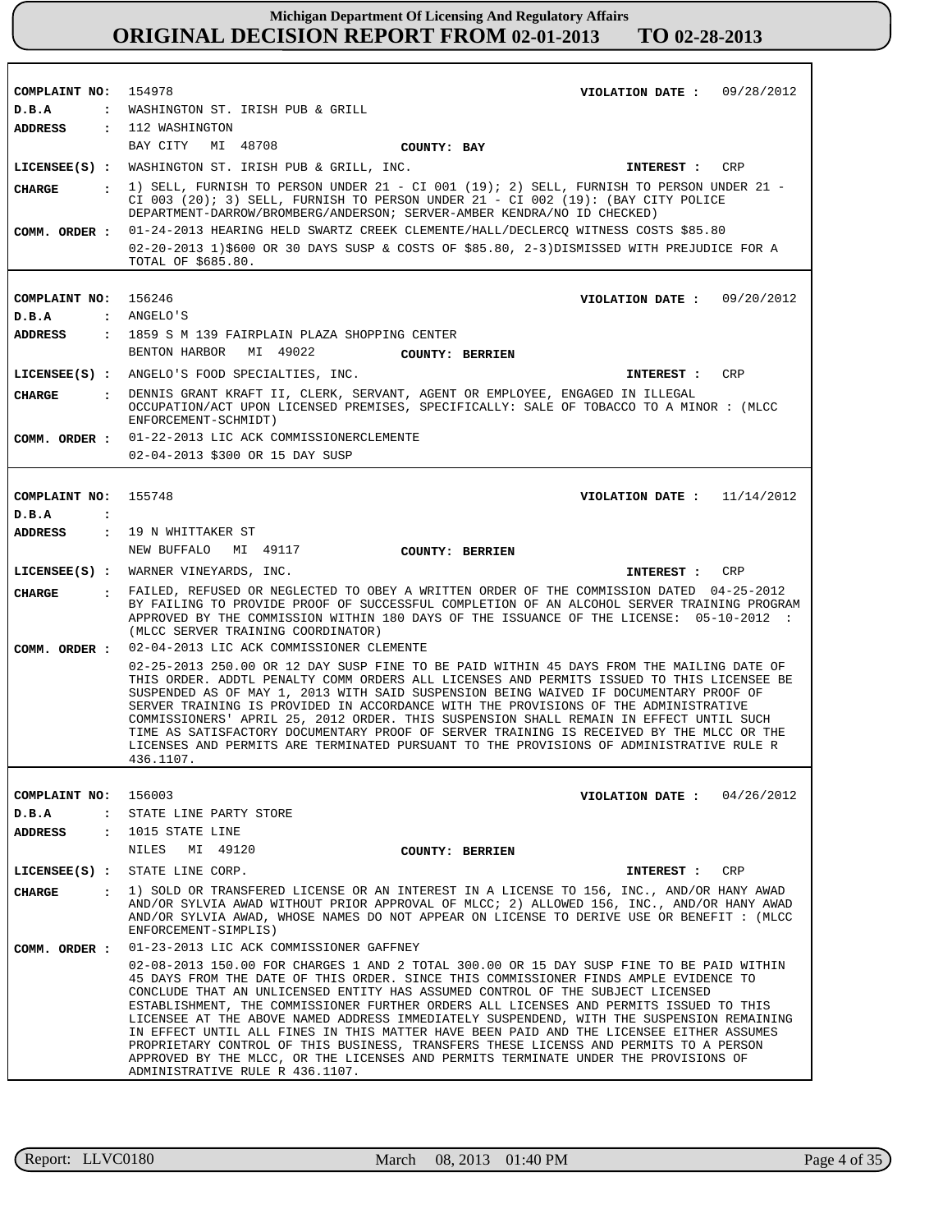| COMPLAINT NO: 154978    | VIOLATION DATE: 09/28/2012                                                                                                                                                                                                                                                                                                                                                                                                                                                                                                                                                                                                                                                                                                                                              |
|-------------------------|-------------------------------------------------------------------------------------------------------------------------------------------------------------------------------------------------------------------------------------------------------------------------------------------------------------------------------------------------------------------------------------------------------------------------------------------------------------------------------------------------------------------------------------------------------------------------------------------------------------------------------------------------------------------------------------------------------------------------------------------------------------------------|
| D.B.A                   | : WASHINGTON ST. IRISH PUB & GRILL                                                                                                                                                                                                                                                                                                                                                                                                                                                                                                                                                                                                                                                                                                                                      |
| ADDRESS                 | : 112 WASHINGTON                                                                                                                                                                                                                                                                                                                                                                                                                                                                                                                                                                                                                                                                                                                                                        |
|                         | BAY CITY<br>MI 48708<br>COUNTY: BAY                                                                                                                                                                                                                                                                                                                                                                                                                                                                                                                                                                                                                                                                                                                                     |
|                         | LICENSEE(S) : WASHINGTON ST. IRISH PUB & GRILL, INC.<br>INTEREST : CRP                                                                                                                                                                                                                                                                                                                                                                                                                                                                                                                                                                                                                                                                                                  |
| CIIARGE                 | $\pm$ 1) SELL, FURNISH TO PERSON UNDER 21 - CI 001 (19); 2) SELL, FURNISH TO PERSON UNDER 21 -                                                                                                                                                                                                                                                                                                                                                                                                                                                                                                                                                                                                                                                                          |
|                         | CI 003 (20); 3) SELL, FURNISH TO PERSON UNDER $21 - CI$ 002 (19): (BAY CITY POLICE                                                                                                                                                                                                                                                                                                                                                                                                                                                                                                                                                                                                                                                                                      |
|                         | DEPARTMENT-DARROW/BROMBERG/ANDERSON; SERVER-AMBER KENDRA/NO ID CHECKED)                                                                                                                                                                                                                                                                                                                                                                                                                                                                                                                                                                                                                                                                                                 |
|                         | COMM. ORDER: 01-24-2013 HEARING HELD SWARTZ CREEK CLEMENTE/HALL/DECLERCQ WITNESS COSTS \$85.80                                                                                                                                                                                                                                                                                                                                                                                                                                                                                                                                                                                                                                                                          |
|                         | 02-20-2013 1)\$600 OR 30 DAYS SUSP & COSTS OF \$85.80, 2-3)DISMISSED WITH PREJUDICE FOR A<br>TOTAL OF \$685.80.                                                                                                                                                                                                                                                                                                                                                                                                                                                                                                                                                                                                                                                         |
|                         |                                                                                                                                                                                                                                                                                                                                                                                                                                                                                                                                                                                                                                                                                                                                                                         |
| COMPLAINT NO: 156246    | VIOLATION DATE: 09/20/2012                                                                                                                                                                                                                                                                                                                                                                                                                                                                                                                                                                                                                                                                                                                                              |
| D.B.A                   | : ANGELO'S                                                                                                                                                                                                                                                                                                                                                                                                                                                                                                                                                                                                                                                                                                                                                              |
|                         | ADDRESS : 1859 S M 139 FAIRPLAIN PLAZA SHOPPING CENTER                                                                                                                                                                                                                                                                                                                                                                                                                                                                                                                                                                                                                                                                                                                  |
|                         | BENTON HARBOR MI 49022<br><b>COUNTY: BERRIEN</b>                                                                                                                                                                                                                                                                                                                                                                                                                                                                                                                                                                                                                                                                                                                        |
|                         | LICENSEE(S) : ANGELO'S FOOD SPECIALTIES, INC.<br>INTEREST : CRP                                                                                                                                                                                                                                                                                                                                                                                                                                                                                                                                                                                                                                                                                                         |
|                         | : DENNIS GRANT KRAFT II, CLERK, SERVANT, AGENT OR EMPLOYEE, ENGAGED IN ILLEGAL                                                                                                                                                                                                                                                                                                                                                                                                                                                                                                                                                                                                                                                                                          |
| CHARGE                  | OCCUPATION/ACT UPON LICENSED PREMISES, SPECIFICALLY: SALE OF TOBACCO TO A MINOR : (MLCC<br>ENFORCEMENT-SCHMIDT)                                                                                                                                                                                                                                                                                                                                                                                                                                                                                                                                                                                                                                                         |
|                         | COMM. ORDER : 01-22-2013 LIC ACK COMMISSIONERCLEMENTE                                                                                                                                                                                                                                                                                                                                                                                                                                                                                                                                                                                                                                                                                                                   |
|                         | 02-04-2013 \$300 OR 15 DAY SUSP                                                                                                                                                                                                                                                                                                                                                                                                                                                                                                                                                                                                                                                                                                                                         |
|                         |                                                                                                                                                                                                                                                                                                                                                                                                                                                                                                                                                                                                                                                                                                                                                                         |
| COMPLAINT NO: 155748    | VIOLATION DATE: $11/14/2012$                                                                                                                                                                                                                                                                                                                                                                                                                                                                                                                                                                                                                                                                                                                                            |
| D.B.A<br>$\ddot{\cdot}$ |                                                                                                                                                                                                                                                                                                                                                                                                                                                                                                                                                                                                                                                                                                                                                                         |
| ADDRESS                 | : 19 N WHITTAKER ST                                                                                                                                                                                                                                                                                                                                                                                                                                                                                                                                                                                                                                                                                                                                                     |
|                         | NEW BUFFALO<br>MI 49117<br><b>COUNTY: BERRIEN</b>                                                                                                                                                                                                                                                                                                                                                                                                                                                                                                                                                                                                                                                                                                                       |
|                         | LICENSEE(S) : WARNER VINEYARDS, INC.<br>INTEREST : CRP                                                                                                                                                                                                                                                                                                                                                                                                                                                                                                                                                                                                                                                                                                                  |
| CHARGE                  | : FAILED, REFUSED OR NEGLECTED TO OBEY A WRITTEN ORDER OF THE COMMISSION DATED 04-25-2012<br>BY FAILING TO PROVIDE PROOF OF SUCCESSFUL COMPLETION OF AN ALCOHOL SERVER TRAINING PROGRAM<br>APPROVED BY THE COMMISSION WITHIN 180 DAYS OF THE ISSUANCE OF THE LICENSE: 05-10-2012 :<br>(MLCC SERVER TRAINING COORDINATOR)                                                                                                                                                                                                                                                                                                                                                                                                                                                |
|                         | COMM. ORDER : 02-04-2013 LIC ACK COMMISSIONER CLEMENTE                                                                                                                                                                                                                                                                                                                                                                                                                                                                                                                                                                                                                                                                                                                  |
|                         | 02-25-2013 250.00 OR 12 DAY SUSP FINE TO BE PAID WITHIN 45 DAYS FROM THE MAILING DATE OF<br>THIS ORDER. ADDTL PENALTY COMM ORDERS ALL LICENSES AND PERMITS ISSUED TO THIS LICENSEE BE<br>SUSPENDED AS OF MAY 1, 2013 WITH SAID SUSPENSION BEING WAIVED IF DOCUMENTARY PROOF OF<br>SERVER TRAINING IS PROVIDED IN ACCORDANCE WITH THE PROVISIONS OF THE ADMINISTRATIVE<br>COMMISSIONERS' APRIL 25, 2012 ORDER. THIS SUSPENSION SHALL REMAIN IN EFFECT UNTIL SUCH<br>TIME AS SATISFACTORY DOCUMENTARY PROOF OF SERVER TRAINING IS RECEIVED BY THE MLCC OR THE<br>LICENSES AND PERMITS ARE TERMINATED PURSUANT TO THE PROVISIONS OF ADMINISTRATIVE RULE R<br>436.1107.                                                                                                     |
|                         |                                                                                                                                                                                                                                                                                                                                                                                                                                                                                                                                                                                                                                                                                                                                                                         |
| COMPLAINT NO: 156003    | VIOLATION DATE: $04/26/2012$                                                                                                                                                                                                                                                                                                                                                                                                                                                                                                                                                                                                                                                                                                                                            |
| D.B.A                   | : STATE LINE PARTY STORE                                                                                                                                                                                                                                                                                                                                                                                                                                                                                                                                                                                                                                                                                                                                                |
| ADDRESS                 | : 1015 STATE LINE                                                                                                                                                                                                                                                                                                                                                                                                                                                                                                                                                                                                                                                                                                                                                       |
|                         | NILES<br>MI 49120<br><b>COUNTY: BERRIEN</b>                                                                                                                                                                                                                                                                                                                                                                                                                                                                                                                                                                                                                                                                                                                             |
|                         | LICENSEE(S) : STATE LINE CORP.<br>INTEREST : CRP                                                                                                                                                                                                                                                                                                                                                                                                                                                                                                                                                                                                                                                                                                                        |
| CHARGE                  | : 1) SOLD OR TRANSFERED LICENSE OR AN INTEREST IN A LICENSE TO 156, INC., AND/OR HANY AWAD<br>AND/OR SYLVIA AWAD WITHOUT PRIOR APPROVAL OF MLCC; 2) ALLOWED 156, INC., AND/OR HANY AWAD<br>AND/OR SYLVIA AWAD, WHOSE NAMES DO NOT APPEAR ON LICENSE TO DERIVE USE OR BENEFIT : (MLCC<br>ENFORCEMENT-SIMPLIS)                                                                                                                                                                                                                                                                                                                                                                                                                                                            |
| COMM. ORDER :           | 01-23-2013 LIC ACK COMMISSIONER GAFFNEY                                                                                                                                                                                                                                                                                                                                                                                                                                                                                                                                                                                                                                                                                                                                 |
|                         | 02-08-2013 150.00 FOR CHARGES 1 AND 2 TOTAL 300.00 OR 15 DAY SUSP FINE TO BE PAID WITHIN<br>45 DAYS FROM THE DATE OF THIS ORDER. SINCE THIS COMMISSIONER FINDS AMPLE EVIDENCE TO<br>CONCLUDE THAT AN UNLICENSED ENTITY HAS ASSUMED CONTROL OF THE SUBJECT LICENSED<br>ESTABLISHMENT, THE COMMISSIONER FURTHER ORDERS ALL LICENSES AND PERMITS ISSUED TO THIS<br>LICENSEE AT THE ABOVE NAMED ADDRESS IMMEDIATELY SUSPENDEND, WITH THE SUSPENSION REMAINING<br>IN EFFECT UNTIL ALL FINES IN THIS MATTER HAVE BEEN PAID AND THE LICENSEE EITHER ASSUMES<br>PROPRIETARY CONTROL OF THIS BUSINESS, TRANSFERS THESE LICENSS AND PERMITS TO A PERSON<br>APPROVED BY THE MLCC, OR THE LICENSES AND PERMITS TERMINATE UNDER THE PROVISIONS OF<br>ADMINISTRATIVE RULE R 436.1107. |

r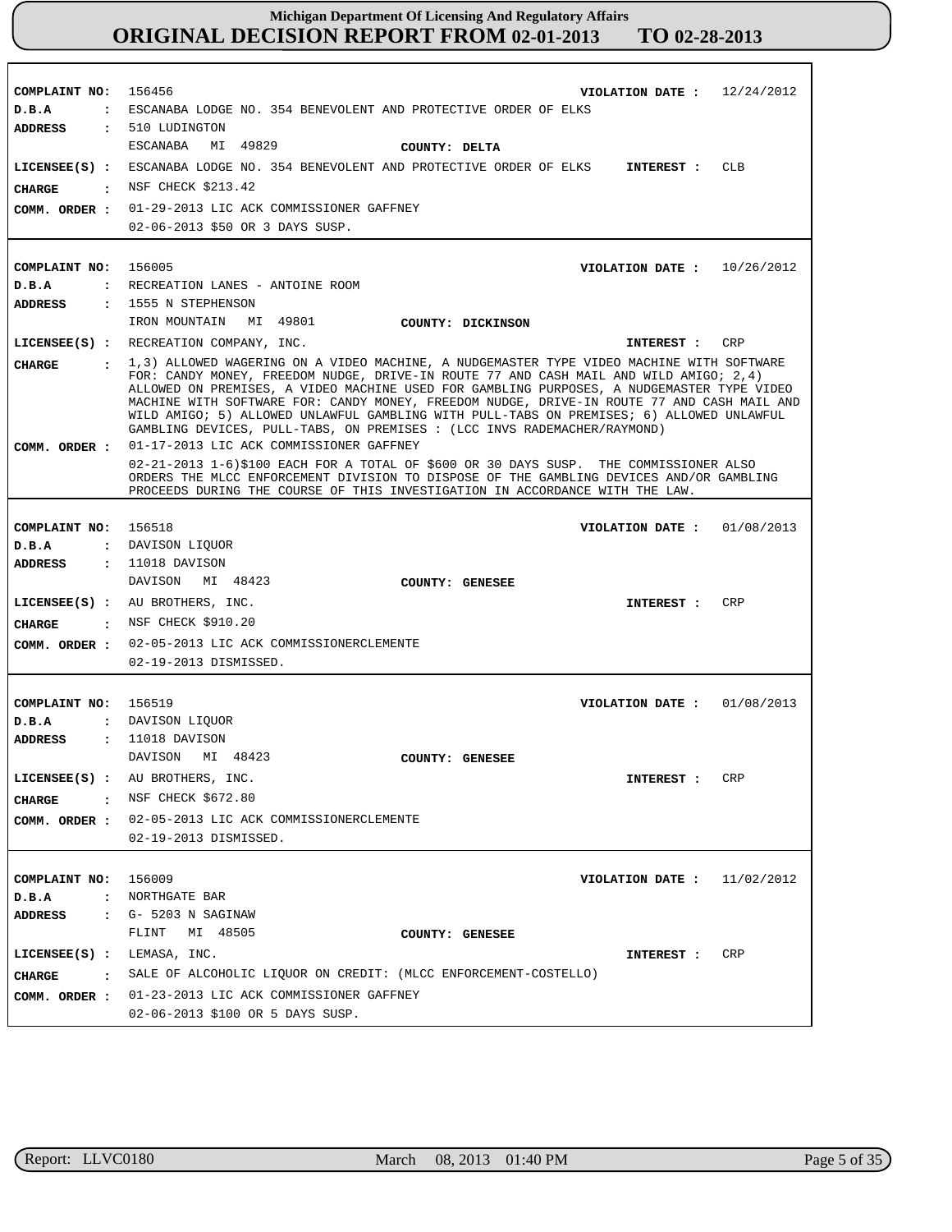| COMPLAINT NO:<br>D.B.A<br>$\ddot{\phantom{a}}$ | 156456<br>12/24/2012<br>VIOLATION DATE :<br>ESCANABA LODGE NO. 354 BENEVOLENT AND PROTECTIVE ORDER OF ELKS                                                                                                                                                                                                                                                                                                                                                                                                                                                                                        |
|------------------------------------------------|---------------------------------------------------------------------------------------------------------------------------------------------------------------------------------------------------------------------------------------------------------------------------------------------------------------------------------------------------------------------------------------------------------------------------------------------------------------------------------------------------------------------------------------------------------------------------------------------------|
| <b>ADDRESS</b>                                 | : 510 LUDINGTON                                                                                                                                                                                                                                                                                                                                                                                                                                                                                                                                                                                   |
|                                                | MI 49829<br>ESCANABA<br>COUNTY: DELTA                                                                                                                                                                                                                                                                                                                                                                                                                                                                                                                                                             |
|                                                | LICENSEE(S) : ESCANABA LODGE NO. 354 BENEVOLENT AND PROTECTIVE ORDER OF ELKS<br><b>CLB</b><br>INTEREST :                                                                                                                                                                                                                                                                                                                                                                                                                                                                                          |
| CHARGE<br>$\mathbf{r}$                         | NSF CHECK \$213.42                                                                                                                                                                                                                                                                                                                                                                                                                                                                                                                                                                                |
| COMM. ORDER :                                  | 01-29-2013 LIC ACK COMMISSIONER GAFFNEY                                                                                                                                                                                                                                                                                                                                                                                                                                                                                                                                                           |
|                                                | 02-06-2013 \$50 OR 3 DAYS SUSP.                                                                                                                                                                                                                                                                                                                                                                                                                                                                                                                                                                   |
|                                                |                                                                                                                                                                                                                                                                                                                                                                                                                                                                                                                                                                                                   |
| COMPLAINT NO: 156005                           | VIOLATION DATE : $10/26/2012$                                                                                                                                                                                                                                                                                                                                                                                                                                                                                                                                                                     |
| D.B.A                                          | : RECREATION LANES - ANTOINE ROOM                                                                                                                                                                                                                                                                                                                                                                                                                                                                                                                                                                 |
| ADDRESS                                        | : 1555 N STEPHENSON                                                                                                                                                                                                                                                                                                                                                                                                                                                                                                                                                                               |
|                                                | IRON MOUNTAIN MI 49801<br>COUNTY: DICKINSON                                                                                                                                                                                                                                                                                                                                                                                                                                                                                                                                                       |
|                                                | LICENSEE(S) : RECREATION COMPANY, INC.<br>INTEREST :<br>CRP                                                                                                                                                                                                                                                                                                                                                                                                                                                                                                                                       |
| <b>CHARGE</b>                                  | : 1,3) ALLOWED WAGERING ON A VIDEO MACHINE, A NUDGEMASTER TYPE VIDEO MACHINE WITH SOFTWARE<br>FOR: CANDY MONEY, FREEDOM NUDGE, DRIVE-IN ROUTE 77 AND CASH MAIL AND WILD AMIGO; 2,4)<br>ALLOWED ON PREMISES, A VIDEO MACHINE USED FOR GAMBLING PURPOSES, A NUDGEMASTER TYPE VIDEO<br>MACHINE WITH SOFTWARE FOR: CANDY MONEY, FREEDOM NUDGE, DRIVE-IN ROUTE 77 AND CASH MAIL AND<br>WILD AMIGO; 5) ALLOWED UNLAWFUL GAMBLING WITH PULL-TABS ON PREMISES; 6) ALLOWED UNLAWFUL<br>GAMBLING DEVICES, PULL-TABS, ON PREMISES : (LCC INVS RADEMACHER/RAYMOND)<br>01-17-2013 LIC ACK COMMISSIONER GAFFNEY |
| COMM. ORDER :                                  | 02-21-2013 1-6)\$100 EACH FOR A TOTAL OF \$600 OR 30 DAYS SUSP. THE COMMISSIONER ALSO<br>ORDERS THE MLCC ENFORCEMENT DIVISION TO DISPOSE OF THE GAMBLING DEVICES AND/OR GAMBLING<br>PROCEEDS DURING THE COURSE OF THIS INVESTIGATION IN ACCORDANCE WITH THE LAW.                                                                                                                                                                                                                                                                                                                                  |
|                                                |                                                                                                                                                                                                                                                                                                                                                                                                                                                                                                                                                                                                   |
| COMPLAINT NO:                                  | 156518<br>VIOLATION DATE: $01/08/2013$                                                                                                                                                                                                                                                                                                                                                                                                                                                                                                                                                            |
| D.B.A                                          | : DAVISON LIQUOR                                                                                                                                                                                                                                                                                                                                                                                                                                                                                                                                                                                  |
| ADDRESS                                        | $: 11018$ DAVISON                                                                                                                                                                                                                                                                                                                                                                                                                                                                                                                                                                                 |
|                                                | DAVISON MI 48423<br>COUNTY: GENESEE                                                                                                                                                                                                                                                                                                                                                                                                                                                                                                                                                               |
|                                                | $LICENSEE(S)$ : AU BROTHERS, INC.<br>CRP<br>INTEREST :                                                                                                                                                                                                                                                                                                                                                                                                                                                                                                                                            |
| <b>CHARGE</b>                                  | : NSF CHECK \$910.20                                                                                                                                                                                                                                                                                                                                                                                                                                                                                                                                                                              |
| COMM. ORDER :                                  | 02-05-2013 LIC ACK COMMISSIONERCLEMENTE                                                                                                                                                                                                                                                                                                                                                                                                                                                                                                                                                           |
|                                                | 02-19-2013 DISMISSED.                                                                                                                                                                                                                                                                                                                                                                                                                                                                                                                                                                             |
|                                                |                                                                                                                                                                                                                                                                                                                                                                                                                                                                                                                                                                                                   |
| COMPLAINT NO:                                  | VIOLATION DATE: $01/08/2013$<br>156519                                                                                                                                                                                                                                                                                                                                                                                                                                                                                                                                                            |
| D.B.A                                          | : DAVISON LIQUOR                                                                                                                                                                                                                                                                                                                                                                                                                                                                                                                                                                                  |
| <b>ADDRESS</b>                                 | : 11018 DAVISON                                                                                                                                                                                                                                                                                                                                                                                                                                                                                                                                                                                   |
|                                                | DAVISON MI 48423<br>COUNTY: GENESEE                                                                                                                                                                                                                                                                                                                                                                                                                                                                                                                                                               |
|                                                | LICENSEE(S) : AU BROTHERS, INC.<br>CRP<br>INTEREST :                                                                                                                                                                                                                                                                                                                                                                                                                                                                                                                                              |
| <b>CHARGE</b>                                  | : NSF CHECK \$672.80                                                                                                                                                                                                                                                                                                                                                                                                                                                                                                                                                                              |
| COMM. ORDER :                                  | 02-05-2013 LIC ACK COMMISSIONERCLEMENTE                                                                                                                                                                                                                                                                                                                                                                                                                                                                                                                                                           |
|                                                | 02-19-2013 DISMISSED.                                                                                                                                                                                                                                                                                                                                                                                                                                                                                                                                                                             |
|                                                |                                                                                                                                                                                                                                                                                                                                                                                                                                                                                                                                                                                                   |
| COMPLAINT NO: 156009                           | 11/02/2012<br>VIOLATION DATE :                                                                                                                                                                                                                                                                                                                                                                                                                                                                                                                                                                    |
| D.B.A                                          | : NORTHGATE BAR                                                                                                                                                                                                                                                                                                                                                                                                                                                                                                                                                                                   |
| ADDRESS<br>$\mathbf{r}$                        | G- 5203 N SAGINAW                                                                                                                                                                                                                                                                                                                                                                                                                                                                                                                                                                                 |
|                                                | MI 48505<br>FLINT<br>COUNTY: GENESEE                                                                                                                                                                                                                                                                                                                                                                                                                                                                                                                                                              |
| $LICENSEE(S):$ LEMASA, INC.                    | CRP<br>INTEREST :                                                                                                                                                                                                                                                                                                                                                                                                                                                                                                                                                                                 |
| CHARGE                                         | : SALE OF ALCOHOLIC LIQUOR ON CREDIT: (MLCC ENFORCEMENT-COSTELLO)                                                                                                                                                                                                                                                                                                                                                                                                                                                                                                                                 |
|                                                | COMM. ORDER : 01-23-2013 LIC ACK COMMISSIONER GAFFNEY                                                                                                                                                                                                                                                                                                                                                                                                                                                                                                                                             |
|                                                | 02-06-2013 \$100 OR 5 DAYS SUSP.                                                                                                                                                                                                                                                                                                                                                                                                                                                                                                                                                                  |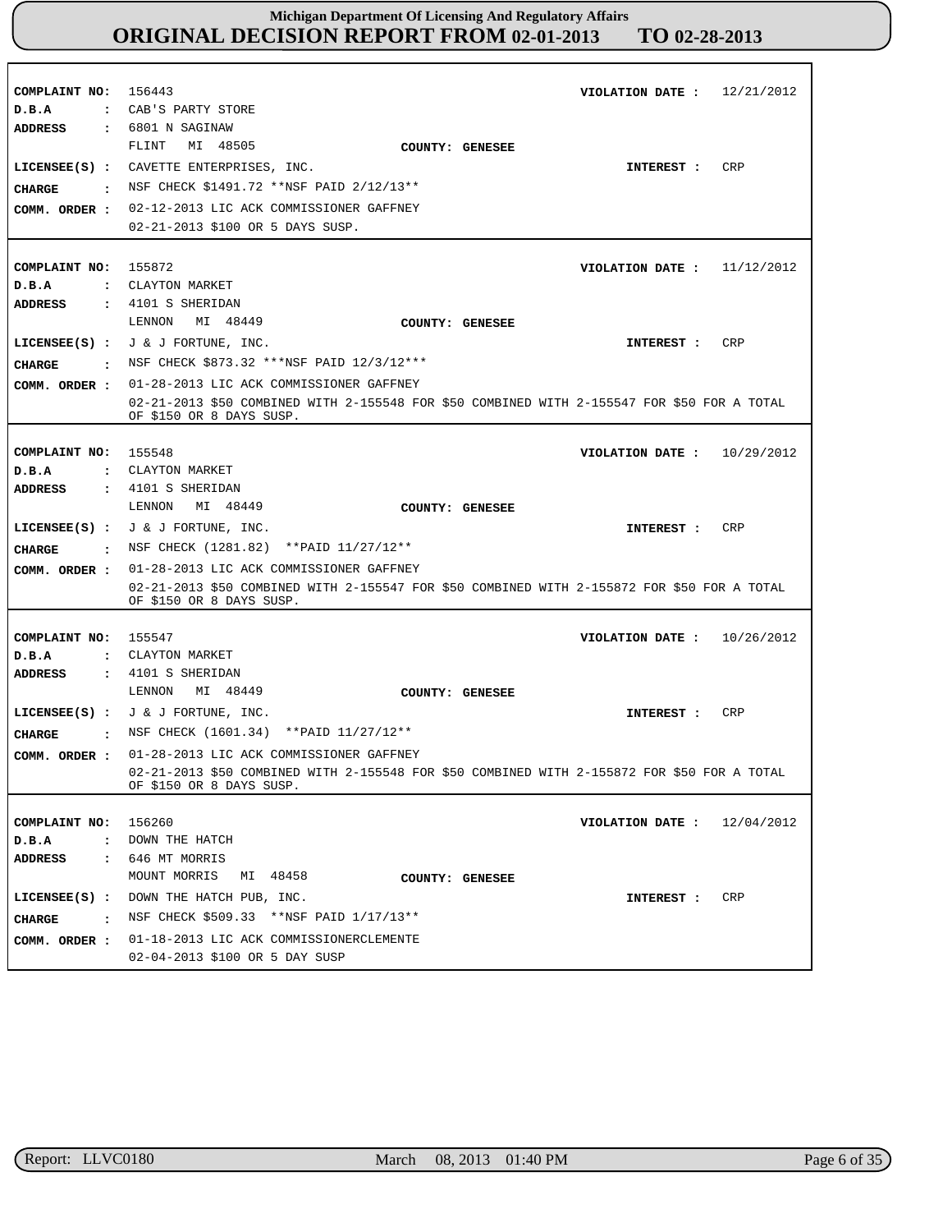| COMPLAINT NO: 156443<br>D.B.A                           | : CAB'S PARTY STORE                                                                                                                                                                                                              | VIOLATION DATE: $12/21/2012$ |            |
|---------------------------------------------------------|----------------------------------------------------------------------------------------------------------------------------------------------------------------------------------------------------------------------------------|------------------------------|------------|
| <b>ADDRESS</b><br>CIIARGE<br>$\sim$ 1.<br>COMM. ORDER : | $: 6801$ N SAGINAW<br>MI 48505<br>FLINT<br>COUNTY: GENESEE<br>LICENSEE(S) : CAVETTE ENTERPRISES, INC.<br>NSF CHECK \$1491.72 **NSF PAID 2/12/13**<br>02-12-2013 LIC ACK COMMISSIONER GAFFNEY<br>02-21-2013 \$100 OR 5 DAYS SUSP. | INTEREST :                   | CRP        |
| COMPLAINT NO: 155872<br>D.B.A<br><b>ADDRESS</b>         | : CLAYTON MARKET<br>: 4101 S SHERIDAN                                                                                                                                                                                            | VIOLATION DATE: $11/12/2012$ |            |
| CHARGE                                                  | MI 48449<br>LENNON<br>COUNTY: GENESEE<br>LICENSEE(S) : $J & J$ for TUNE, INC.<br>: NSF CHECK \$873.32 ***NSF PAID 12/3/12***                                                                                                     | <b>INTEREST :</b>            | CRP        |
| COMM. ORDER :                                           | 01-28-2013 LIC ACK COMMISSIONER GAFFNEY<br>02-21-2013 \$50 COMBINED WITH 2-155548 FOR \$50 COMBINED WITH 2-155547 FOR \$50 FOR A TOTAL<br>OF \$150 OR 8 DAYS SUSP.                                                               |                              |            |
| COMPLAINT NO: 155548<br>D.B.A<br><b>ADDRESS</b>         | : CLAYTON MARKET<br>: 4101 S SHERIDAN                                                                                                                                                                                            | VIOLATION DATE: $10/29/2012$ |            |
| <b>CHARGE</b>                                           | MI 48449<br>LENNON<br>COUNTY: GENESEE<br>LICENSEE(S) : $J \& J$ FORTUNE, INC.<br>: NSF CHECK (1281.82) ** PAID 11/27/12**                                                                                                        | INTEREST :                   | CRP        |
| COMM. ORDER :                                           | 01-28-2013 LIC ACK COMMISSIONER GAFFNEY<br>02-21-2013 \$50 COMBINED WITH 2-155547 FOR \$50 COMBINED WITH 2-155872 FOR \$50 FOR A TOTAL<br>OF \$150 OR 8 DAYS SUSP.                                                               |                              |            |
| COMPLAINT NO: 155547<br>D.B.A<br>ADDRESS                | : CLAYTON MARKET<br>$\,$ : 4101 S SHERIDAN                                                                                                                                                                                       | VIOLATION DATE: $10/26/2012$ |            |
| <b>CHARGE</b>                                           | MI 48449<br>LENNON<br>COUNTY: GENESEE<br>LICENSEE(S) : $J & J$ $\in$ J FORTUNE, INC.<br>: NSF CHECK (1601.34) ** PAID 11/27/12**                                                                                                 | INTEREST :                   | CRP        |
|                                                         | COMM. ORDER: 01-28-2013 LIC ACK COMMISSIONER GAFFNEY<br>02-21-2013 \$50 COMBINED WITH 2-155548 FOR \$50 COMBINED WITH 2-155872 FOR \$50 FOR A TOTAL<br>OF \$150 OR 8 DAYS SUSP.                                                  |                              |            |
| COMPLAINT NO:<br>D.B.A<br>ADDRESS                       | 156260<br>: DOWN THE HATCH<br>: 646 MT MORRIS                                                                                                                                                                                    | VIOLATION DATE :             | 12/04/2012 |
| $LICENSEE(S)$ :<br><b>CHARGE</b>                        | MOUNT MORRIS<br>MI 48458<br>COUNTY: GENESEE<br>DOWN THE HATCH PUB, INC.<br>: NSF CHECK \$509.33 **NSF PAID $1/17/13**$<br>COMM. ORDER : 01-18-2013 LIC ACK COMMISSIONERCLEMENTE                                                  | INTEREST :                   | CRP        |
|                                                         | 02-04-2013 \$100 OR 5 DAY SUSP                                                                                                                                                                                                   |                              |            |

r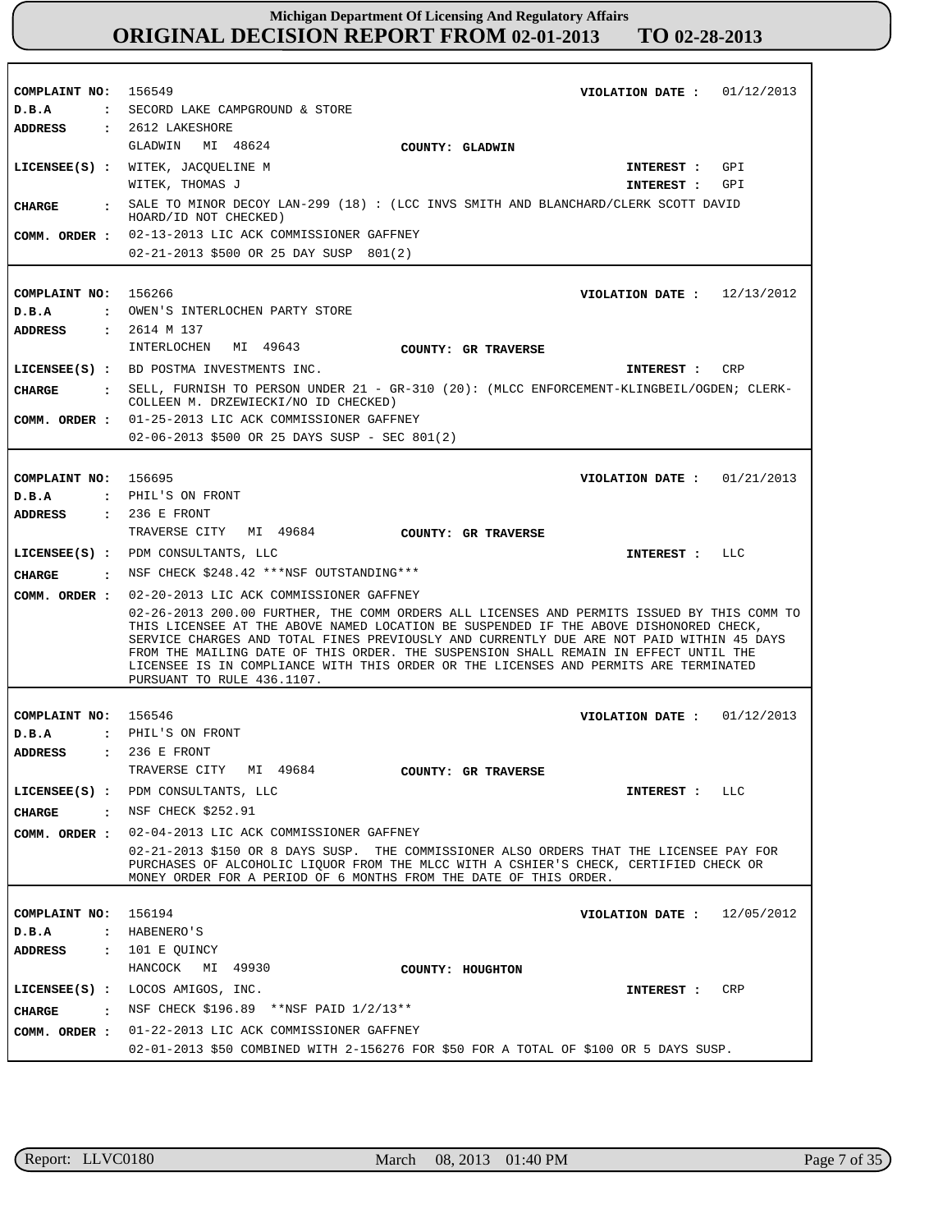| COMPLAINT NO: 156549                  | VIOLATION DATE: $01/12/2013$                                                                                                                                                                                                                                                                                                                                                                                                                                                                                                                           |
|---------------------------------------|--------------------------------------------------------------------------------------------------------------------------------------------------------------------------------------------------------------------------------------------------------------------------------------------------------------------------------------------------------------------------------------------------------------------------------------------------------------------------------------------------------------------------------------------------------|
| D.B.A                                 | : SECORD LAKE CAMPGROUND & STORE                                                                                                                                                                                                                                                                                                                                                                                                                                                                                                                       |
| ADDRESS                               | : 2612 LAKESHORE                                                                                                                                                                                                                                                                                                                                                                                                                                                                                                                                       |
|                                       | GLADWIN MI 48624<br>COUNTY: GLADWIN                                                                                                                                                                                                                                                                                                                                                                                                                                                                                                                    |
|                                       | LICENSEE(S) : WITEK, JACOUELINE M<br>GPI<br>INTEREST :                                                                                                                                                                                                                                                                                                                                                                                                                                                                                                 |
|                                       | WITEK, THOMAS J<br>GPI<br>INTEREST :                                                                                                                                                                                                                                                                                                                                                                                                                                                                                                                   |
| <b>CHARGE</b>                         | SALE TO MINOR DECOY LAN-299 (18) : (LCC INVS SMITH AND BLANCHARD/CLERK SCOTT DAVID<br>HOARD/ID NOT CHECKED)                                                                                                                                                                                                                                                                                                                                                                                                                                            |
|                                       | COMM. ORDER : 02-13-2013 LIC ACK COMMISSIONER GAFFNEY                                                                                                                                                                                                                                                                                                                                                                                                                                                                                                  |
|                                       | 02-21-2013 \$500 OR 25 DAY SUSP 801(2)                                                                                                                                                                                                                                                                                                                                                                                                                                                                                                                 |
|                                       |                                                                                                                                                                                                                                                                                                                                                                                                                                                                                                                                                        |
| COMPLAINT NO: 156266                  | VIOLATION DATE: $12/13/2012$                                                                                                                                                                                                                                                                                                                                                                                                                                                                                                                           |
| D.B.A                                 | : OWEN'S INTERLOCHEN PARTY STORE                                                                                                                                                                                                                                                                                                                                                                                                                                                                                                                       |
| ADDRESS                               | : 2614 M 137                                                                                                                                                                                                                                                                                                                                                                                                                                                                                                                                           |
|                                       | INTERLOCHEN MI 49643<br>COUNTY: GR TRAVERSE                                                                                                                                                                                                                                                                                                                                                                                                                                                                                                            |
|                                       | LICENSEE(S) : BD POSTMA INVESTMENTS INC.<br>INTEREST : CRP                                                                                                                                                                                                                                                                                                                                                                                                                                                                                             |
|                                       | : SELL, FURNISH TO PERSON UNDER 21 - GR-310 (20): (MLCC ENFORCEMENT-KLINGBEIL/OGDEN; CLERK-                                                                                                                                                                                                                                                                                                                                                                                                                                                            |
| CHARGE                                | COLLEEN M. DRZEWIECKI/NO ID CHECKED)                                                                                                                                                                                                                                                                                                                                                                                                                                                                                                                   |
| COMM. ORDER :                         | 01-25-2013 LIC ACK COMMISSIONER GAFFNEY                                                                                                                                                                                                                                                                                                                                                                                                                                                                                                                |
|                                       | 02-06-2013 \$500 OR 25 DAYS SUSP - SEC 801(2)                                                                                                                                                                                                                                                                                                                                                                                                                                                                                                          |
|                                       |                                                                                                                                                                                                                                                                                                                                                                                                                                                                                                                                                        |
| COMPLAINT NO: 156695                  | VIOLATION DATE: $01/21/2013$                                                                                                                                                                                                                                                                                                                                                                                                                                                                                                                           |
| D.B.A                                 | : PHIL'S ON FRONT                                                                                                                                                                                                                                                                                                                                                                                                                                                                                                                                      |
| ADDRESS                               | $: 236$ E FRONT                                                                                                                                                                                                                                                                                                                                                                                                                                                                                                                                        |
|                                       | TRAVERSE CITY MI 49684<br><b>COUNTY: GR TRAVERSE</b>                                                                                                                                                                                                                                                                                                                                                                                                                                                                                                   |
|                                       | LICENSEE(S) : PDM CONSULTANTS, LLC<br>INTEREST : LLC                                                                                                                                                                                                                                                                                                                                                                                                                                                                                                   |
|                                       | CHARGE : NSF CHECK \$248.42 *** NSF OUTSTANDING***                                                                                                                                                                                                                                                                                                                                                                                                                                                                                                     |
|                                       |                                                                                                                                                                                                                                                                                                                                                                                                                                                                                                                                                        |
|                                       | COMM. ORDER : 02-20-2013 LIC ACK COMMISSIONER GAFFNEY<br>02-26-2013 200.00 FURTHER, THE COMM ORDERS ALL LICENSES AND PERMITS ISSUED BY THIS COMM TO<br>THIS LICENSEE AT THE ABOVE NAMED LOCATION BE SUSPENDED IF THE ABOVE DISHONORED CHECK,<br>SERVICE CHARGES AND TOTAL FINES PREVIOUSLY AND CURRENTLY DUE ARE NOT PAID WITHIN 45 DAYS<br>FROM THE MAILING DATE OF THIS ORDER. THE SUSPENSION SHALL REMAIN IN EFFECT UNTIL THE<br>LICENSEE IS IN COMPLIANCE WITH THIS ORDER OR THE LICENSES AND PERMITS ARE TERMINATED<br>PURSUANT TO RULE 436.1107. |
| COMPLAINT NO: 156546                  | VIOLATION DATE: $01/12/2013$                                                                                                                                                                                                                                                                                                                                                                                                                                                                                                                           |
| D.B.A                                 | : PHIL'S ON FRONT                                                                                                                                                                                                                                                                                                                                                                                                                                                                                                                                      |
| ADDRESS                               | : 236 E FRONT                                                                                                                                                                                                                                                                                                                                                                                                                                                                                                                                          |
|                                       | TRAVERSE CITY MI 49684                                                                                                                                                                                                                                                                                                                                                                                                                                                                                                                                 |
|                                       | COUNTY: GR TRAVERSE<br>LICENSEE(S) : PDM CONSULTANTS, LLC                                                                                                                                                                                                                                                                                                                                                                                                                                                                                              |
|                                       | LLC<br><b>INTEREST :</b>                                                                                                                                                                                                                                                                                                                                                                                                                                                                                                                               |
| CHARGE<br>$\sim$ $\sim$ $\sim$        | NSF CHECK \$252.91                                                                                                                                                                                                                                                                                                                                                                                                                                                                                                                                     |
| COMM. ORDER :                         | 02-04-2013 LIC ACK COMMISSIONER GAFFNEY                                                                                                                                                                                                                                                                                                                                                                                                                                                                                                                |
|                                       | 02-21-2013 \$150 OR 8 DAYS SUSP. THE COMMISSIONER ALSO ORDERS THAT THE LICENSEE PAY FOR<br>PURCHASES OF ALCOHOLIC LIQUOR FROM THE MLCC WITH A CSHIER'S CHECK, CERTIFIED CHECK OR<br>MONEY ORDER FOR A PERIOD OF 6 MONTHS FROM THE DATE OF THIS ORDER.                                                                                                                                                                                                                                                                                                  |
|                                       |                                                                                                                                                                                                                                                                                                                                                                                                                                                                                                                                                        |
| COMPLAINT NO:                         | 156194<br>12/05/2012<br>VIOLATION DATE :                                                                                                                                                                                                                                                                                                                                                                                                                                                                                                               |
| $D$ . B. A                            | : HABENERO'S                                                                                                                                                                                                                                                                                                                                                                                                                                                                                                                                           |
| <b>ADDRESS</b>                        | : 101 E QUINCY<br>MI 49930<br>HANCOCK<br>COUNTY: HOUGHTON                                                                                                                                                                                                                                                                                                                                                                                                                                                                                              |
|                                       | LICENSEE(S) : LOCOS AMIGOS, INC.<br>CRP<br>INTEREST :                                                                                                                                                                                                                                                                                                                                                                                                                                                                                                  |
| CHARGE<br>$\sim$ $\sim$ $\sim$ $\sim$ | NSF CHECK \$196.89 **NSF PAID 1/2/13**                                                                                                                                                                                                                                                                                                                                                                                                                                                                                                                 |
| COMM. ORDER :                         | 01-22-2013 LIC ACK COMMISSIONER GAFFNEY                                                                                                                                                                                                                                                                                                                                                                                                                                                                                                                |
|                                       | 02-01-2013 \$50 COMBINED WITH 2-156276 FOR \$50 FOR A TOTAL OF \$100 OR 5 DAYS SUSP.                                                                                                                                                                                                                                                                                                                                                                                                                                                                   |

r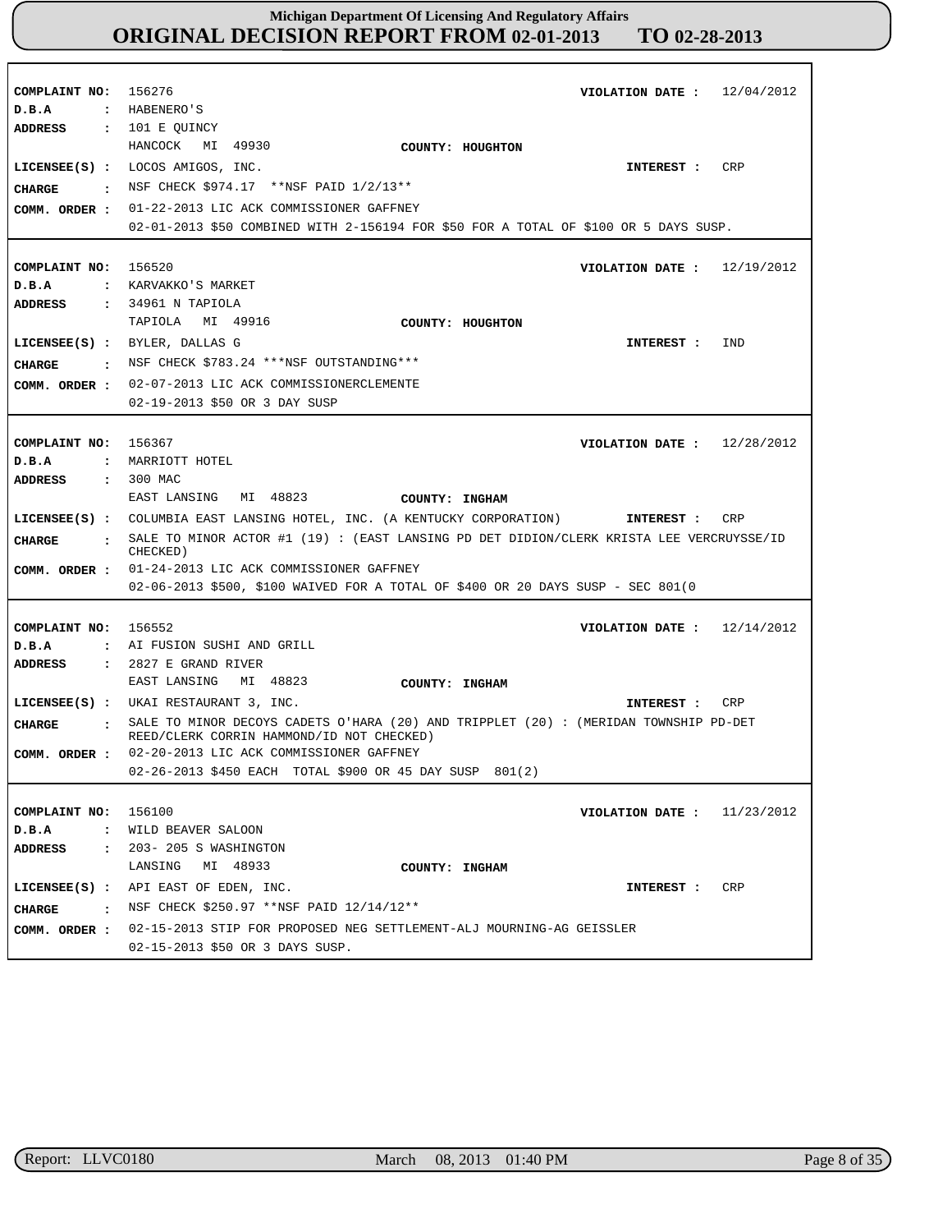| COMPLAINT NO: 156276<br>D.B.A                      | VIOLATION DATE: $12/04/2012$<br>: HABENERO'S                                                                                                                                                                                                                                                                                                                                                     |
|----------------------------------------------------|--------------------------------------------------------------------------------------------------------------------------------------------------------------------------------------------------------------------------------------------------------------------------------------------------------------------------------------------------------------------------------------------------|
| ADDRESS : 101 E QUINCY<br>CIIARGE<br>COMM. ORDER : | HANCOCK MI 49930<br>COUNTY: HOUGHTON<br>CRP<br>LICENSEE(S) : LOCOS AMIGOS, INC.<br>INTEREST :<br>: NSF CHECK $$974.17$ **NSF PAID $1/2/13**$<br>01-22-2013 LIC ACK COMMISSIONER GAFFNEY<br>02-01-2013 \$50 COMBINED WITH 2-156194 FOR \$50 FOR A TOTAL OF \$100 OR 5 DAYS SUSP.                                                                                                                  |
| COMPLAINT NO: 156520<br>D.B.A<br>ADDRESS           | VIOLATION DATE: $12/19/2012$<br>: KARVAKKO'S MARKET<br>: 34961 N TAPIOLA                                                                                                                                                                                                                                                                                                                         |
| CHARGE<br>COMM. ORDER :                            | TAPIOLA MI 49916<br>COUNTY: HOUGHTON<br>LICENSEE(S) : BYLER, DALLAS G<br>IND<br>INTEREST :<br>: NSF CHECK \$783.24 ***NSF OUTSTANDING***<br>02-07-2013 LIC ACK COMMISSIONERCLEMENTE<br>02-19-2013 \$50 OR 3 DAY SUSP                                                                                                                                                                             |
| COMPLAINT NO: 156367<br>D.B.A<br>ADDRESS           | VIOLATION DATE: $12/28/2012$<br>: MARRIOTT HOTEL<br>: 300 MAC                                                                                                                                                                                                                                                                                                                                    |
| CIIARGE<br>$\mathbf{r}$                            | EAST LANSING MI 48823<br>COUNTY: INGHAM<br>LICENSEE(S) : COLUMBIA EAST LANSING HOTEL, INC. (A KENTUCKY CORPORATION) <b>INTEREST :</b><br>CRP<br>SALE TO MINOR ACTOR #1 (19) : (EAST LANSING PD DET DIDION/CLERK KRISTA LEE VERCRUYSSE/ID<br>CHECKED)<br>COMM. ORDER : 01-24-2013 LIC ACK COMMISSIONER GAFFNEY<br>02-06-2013 \$500, \$100 WAIVED FOR A TOTAL OF \$400 OR 20 DAYS SUSP - SEC 801(0 |
| COMPLAINT NO: 156552<br>D.B.A<br>ADDRESS           | VIOLATION DATE : $12/14/2012$<br>: AI FUSION SUSHI AND GRILL<br>$: 2827$ E GRAND RIVER                                                                                                                                                                                                                                                                                                           |
| CIIARGE<br>COMM. ORDER :                           | EAST LANSING MI 48823<br>COUNTY: INGHAM<br>LICENSEE(S) : UKAI RESTAURANT 3, INC.<br>INTEREST : CRP<br>: SALE TO MINOR DECOYS CADETS O'HARA (20) AND TRIPPLET (20) : (MERIDAN TOWNSHIP PD-DET<br>REED/CLERK CORRIN HAMMOND/ID NOT CHECKED)<br>02-20-2013 LIC ACK COMMISSIONER GAFFNEY<br>02-26-2013 \$450 EACH TOTAL \$900 OR 45 DAY SUSP 801(2)                                                  |
| COMPLAINT NO: 156100<br>D.B.A<br>ADDRESS           | 11/23/2012<br>VIOLATION DATE :<br>: WILD BEAVER SALOON<br>: 203-205 S WASHINGTON<br>MI 48933<br>LANSING<br>COUNTY: INGHAM                                                                                                                                                                                                                                                                        |
| CHARGE                                             | LICENSEE(S) : API EAST OF EDEN, INC.<br>CRP<br>INTEREST :<br>NSF CHECK \$250.97 **NSF PAID 12/14/12**<br>COMM. ORDER : 02-15-2013 STIP FOR PROPOSED NEG SETTLEMENT-ALJ MOURNING-AG GEISSLER<br>02-15-2013 \$50 OR 3 DAYS SUSP.                                                                                                                                                                   |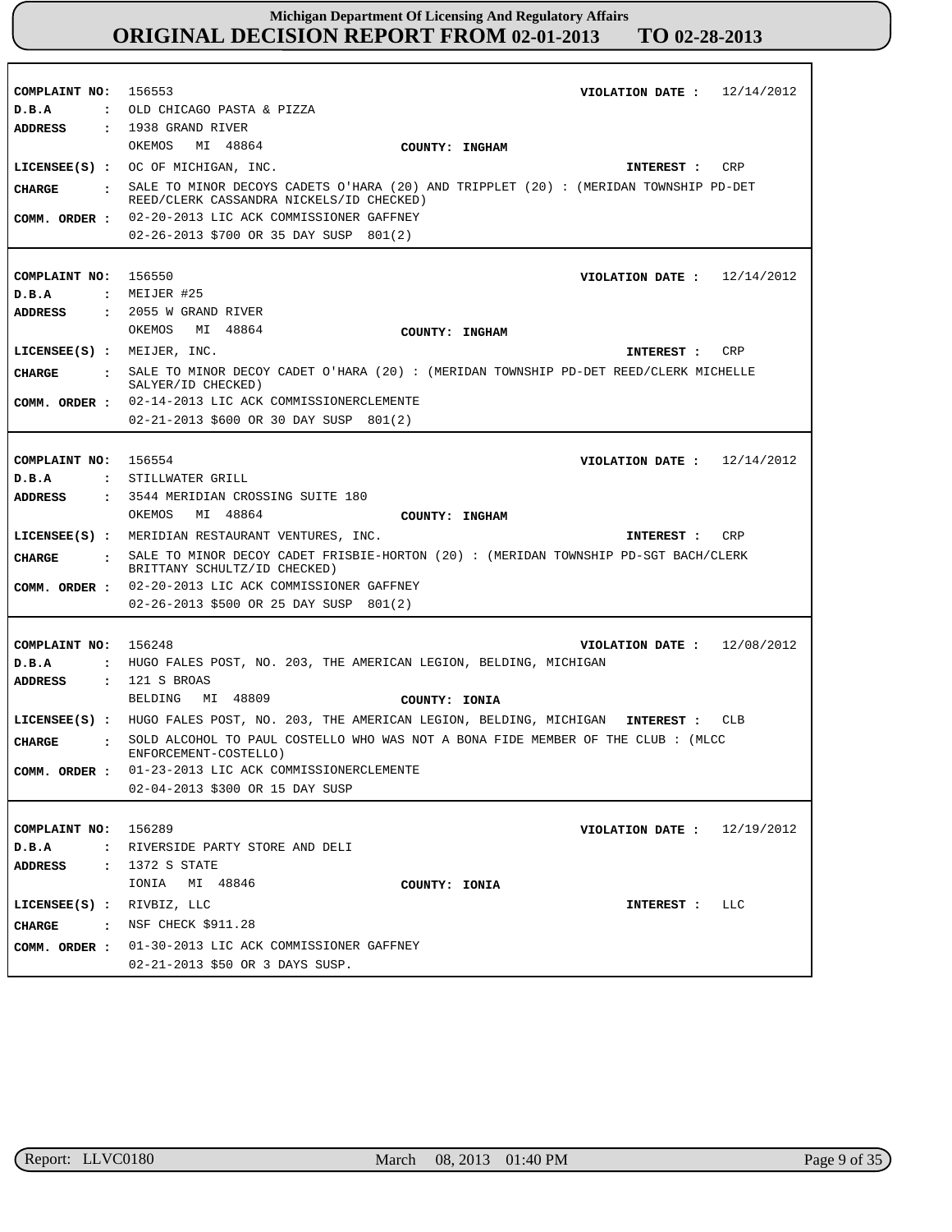| COMPLAINT NO: 156553           | VIOLATION DATE: $12/14/2012$                                                                                          |
|--------------------------------|-----------------------------------------------------------------------------------------------------------------------|
| D.B.A                          | : OLD CHICAGO PASTA & PIZZA                                                                                           |
| ADDRESS                        | $: 1938$ GRAND RIVER                                                                                                  |
|                                | OKEMOS<br>MI 48864<br>COUNTY: INGHAM                                                                                  |
|                                | $LICENSEE(S)$ : OC OF MICHIGAN, INC.<br>CRP<br>INTEREST :                                                             |
| <b>CHARGE</b><br>$\sim$ $\sim$ | SALE TO MINOR DECOYS CADETS O'HARA (20) AND TRIPPLET (20): (MERIDAN TOWNSHIP PD-DET                                   |
|                                | REED/CLERK CASSANDRA NICKELS/ID CHECKED)                                                                              |
| COMM. ORDER :                  | 02-20-2013 LIC ACK COMMISSIONER GAFFNEY                                                                               |
|                                | 02-26-2013 \$700 OR 35 DAY SUSP 801(2)                                                                                |
|                                |                                                                                                                       |
| COMPLAINT NO: 156550           | VIOLATION DATE: $12/14/2012$                                                                                          |
| D.B.A                          | $:$ MEIJER #25                                                                                                        |
| ADDRESS                        | $: 2055$ W GRAND RIVER                                                                                                |
|                                | MI 48864<br>OKEMOS<br>COUNTY: INGHAM                                                                                  |
| $LICENSEE(S)$ : MEIJER, INC.   | CRP                                                                                                                   |
|                                | INTEREST :                                                                                                            |
| CHARGE                         | : SALE TO MINOR DECOY CADET O'HARA (20) : (MERIDAN TOWNSHIP PD-DET REED/CLERK MICHELLE<br>SALYER/ID CHECKED)          |
| COMM. ORDER :                  | 02-14-2013 LIC ACK COMMISSIONERCLEMENTE                                                                               |
|                                | 02-21-2013 \$600 OR 30 DAY SUSP 801(2)                                                                                |
|                                |                                                                                                                       |
|                                |                                                                                                                       |
| COMPLAINT NO: 156554           | VIOLATION DATE: $12/14/2012$                                                                                          |
| D.B.A                          | : STILLWATER GRILL                                                                                                    |
| <b>ADDRESS</b>                 | : 3544 MERIDIAN CROSSING SUITE 180                                                                                    |
|                                | MI 48864<br>OKEMOS<br>COUNTY: INGHAM                                                                                  |
|                                | LICENSEE(S) : MERIDIAN RESTAURANT VENTURES, INC.<br>CRP<br><b>INTEREST :</b>                                          |
| CHARGE                         | : SALE TO MINOR DECOY CADET FRISBIE-HORTON (20) : (MERIDAN TOWNSHIP PD-SGT BACH/CLERK<br>BRITTANY SCHULTZ/ID CHECKED) |
| COMM. ORDER :                  | 02-20-2013 LIC ACK COMMISSIONER GAFFNEY                                                                               |
|                                | 02-26-2013 \$500 OR 25 DAY SUSP 801(2)                                                                                |
|                                |                                                                                                                       |
| COMPLAINT NO: 156248           | 12/08/2012<br>VIOLATION DATE :                                                                                        |
| D.B.A<br>$\mathbf{r}$          | HUGO FALES POST, NO. 203, THE AMERICAN LEGION, BELDING, MICHIGAN                                                      |
| <b>ADDRESS</b><br>$\mathbf{r}$ | 121 S BROAS                                                                                                           |
|                                | BELDING<br>MI 48809<br>COUNTY: IONIA                                                                                  |
|                                | LICENSEE(S): HUGO FALES POST, NO. 203, THE AMERICAN LEGION, BELDING, MICHIGAN INTEREST:<br>CLB                        |
| CIIARGE                        | SOLD ALCOHOL TO PAUL COSTELLO WHO WAS NOT A BONA FIDE MEMBER OF THE CLUB: (MLCC                                       |
| $\ddot{\cdot}$                 | ENFORCEMENT-COSTELLO)                                                                                                 |
| COMM. ORDER :                  | 01-23-2013 LIC ACK COMMISSIONERCLEMENTE                                                                               |
|                                | 02-04-2013 \$300 OR 15 DAY SUSP                                                                                       |
|                                |                                                                                                                       |
| COMPLAINT NO: 156289           | VIOLATION DATE: $12/19/2012$                                                                                          |
| D.B.A                          | : RIVERSIDE PARTY STORE AND DELI                                                                                      |
| <b>ADDRESS</b>                 | : 1372 S STATE                                                                                                        |
|                                | IONIA MI 48846<br>COUNTY: IONIA                                                                                       |
|                                |                                                                                                                       |
| LICENSEE(S) : RIVBIZ, LLC      | LLC<br><b>INTEREST :</b>                                                                                              |
|                                | CHARGE : NSF CHECK \$911.28                                                                                           |
|                                | COMM. ORDER : 01-30-2013 LIC ACK COMMISSIONER GAFFNEY                                                                 |
|                                |                                                                                                                       |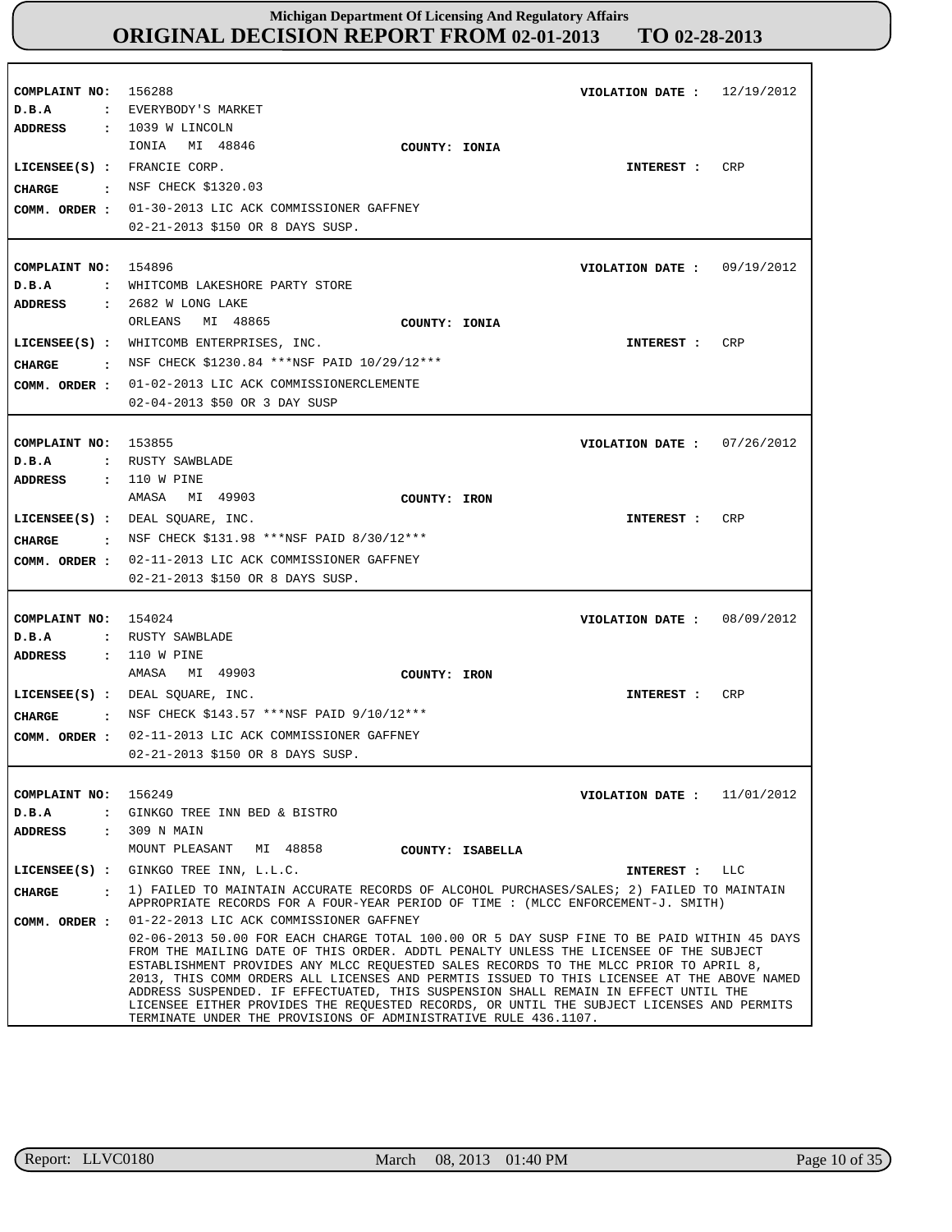| COMPLAINT NO: 156288<br>D.B.A<br>ADDRESS  | 12/19/2012<br>VIOLATION DATE :<br>: EVERYBODY'S MARKET<br>: 1039 W LINCOLN                                                                                                                                                                                                                                                                                                                                                                                                                                                                                                                                                                                                                                                                                       |
|-------------------------------------------|------------------------------------------------------------------------------------------------------------------------------------------------------------------------------------------------------------------------------------------------------------------------------------------------------------------------------------------------------------------------------------------------------------------------------------------------------------------------------------------------------------------------------------------------------------------------------------------------------------------------------------------------------------------------------------------------------------------------------------------------------------------|
| CHARGE                                    | MI 48846<br>IONIA<br>COUNTY: IONIA<br>LICENSEE(S) : FRANCIE CORP.<br>CRP<br>INTEREST :<br>: NSF CHECK \$1320.03<br>COMM. ORDER : 01-30-2013 LIC ACK COMMISSIONER GAFFNEY<br>02-21-2013 \$150 OR 8 DAYS SUSP.                                                                                                                                                                                                                                                                                                                                                                                                                                                                                                                                                     |
| COMPLAINT NO: 154896<br>D.B.A             | VIOLATION DATE: $09/19/2012$<br>: WHITCOMB LAKESHORE PARTY STORE                                                                                                                                                                                                                                                                                                                                                                                                                                                                                                                                                                                                                                                                                                 |
| ADDRESS<br>CHARGE                         | : 2682 W LONG LAKE<br>MI 48865<br>ORLEANS<br>COUNTY: IONIA<br>LICENSEE(S) : WHITCOMB ENTERPRISES, INC.<br>CRP<br>INTEREST :<br>: NSF CHECK \$1230.84 ***NSF PAID $10/29/12$ ***<br>COMM. ORDER : 01-02-2013 LIC ACK COMMISSIONERCLEMENTE<br>02-04-2013 \$50 OR 3 DAY SUSP                                                                                                                                                                                                                                                                                                                                                                                                                                                                                        |
| COMPLAINT NO: 153855<br>D.B.A             | 07/26/2012<br>VIOLATION DATE :<br>: RUSTY SAWBLADE                                                                                                                                                                                                                                                                                                                                                                                                                                                                                                                                                                                                                                                                                                               |
| <b>ADDRESS</b><br>CHARGE                  | : 110 W PINE<br>AMASA MI 49903<br>COUNTY: IRON<br>LICENSEE(S) : DEAL SQUARE, INC.<br>CRP<br>INTEREST :<br>: NSF CHECK \$131.98 ***NSF PAID 8/30/12***<br>COMM. ORDER : 02-11-2013 LIC ACK COMMISSIONER GAFFNEY<br>02-21-2013 \$150 OR 8 DAYS SUSP.                                                                                                                                                                                                                                                                                                                                                                                                                                                                                                               |
| COMPLAINT NO: 154024<br>D.B.A             | VIOLATION DATE : $08/09/2012$<br>: RUSTY SAWBLADE                                                                                                                                                                                                                                                                                                                                                                                                                                                                                                                                                                                                                                                                                                                |
| <b>ADDRESS</b><br>CHARGE<br>COMM. ORDER : | : 110 W PINE<br>AMASA<br>MI 49903<br>COUNTY: IRON<br>LICENSEE(S) : DEAL SQUARE, INC.<br>CRP<br>INTEREST :<br>: NSF CHECK \$143.57 ***NSF PAID 9/10/12***<br>02-11-2013 LIC ACK COMMISSIONER GAFFNEY<br>02-21-2013 \$150 OR 8 DAYS SUSP.                                                                                                                                                                                                                                                                                                                                                                                                                                                                                                                          |
| COMPLAINT NO: 156249<br>D.B.A<br>ADDRESS  | VIOLATION DATE: $11/01/2012$<br>: GINKGO TREE INN BED & BISTRO<br>: 309 N MAIN<br>MOUNT PLEASANT MI 48858<br>COUNTY: ISABELLA                                                                                                                                                                                                                                                                                                                                                                                                                                                                                                                                                                                                                                    |
|                                           | LICENSEE(S) : GINKGO TREE INN, L.L.C.<br>INTEREST : LLC                                                                                                                                                                                                                                                                                                                                                                                                                                                                                                                                                                                                                                                                                                          |
| CIIARGE                                   | . 1) FAILED TO MAINTAIN ACCURATE RECORDS OF ALCOHOL PURCHASES/SALES; 2) FAILED TO MAINTAIN                                                                                                                                                                                                                                                                                                                                                                                                                                                                                                                                                                                                                                                                       |
| COMM. ORDER :                             | APPROPRIATE RECORDS FOR A FOUR-YEAR PERIOD OF TIME : (MLCC ENFORCEMENT-J. SMITH)<br>01-22-2013 LIC ACK COMMISSIONER GAFFNEY<br>02-06-2013 50.00 FOR EACH CHARGE TOTAL 100.00 OR 5 DAY SUSP FINE TO BE PAID WITHIN 45 DAYS<br>FROM THE MAILING DATE OF THIS ORDER. ADDTL PENALTY UNLESS THE LICENSEE OF THE SUBJECT<br>ESTABLISHMENT PROVIDES ANY MLCC REQUESTED SALES RECORDS TO THE MLCC PRIOR TO APRIL 8,<br>2013, THIS COMM ORDERS ALL LICENSES AND PERMTIS ISSUED TO THIS LICENSEE AT THE ABOVE NAMED<br>ADDRESS SUSPENDED. IF EFFECTUATED, THIS SUSPENSION SHALL REMAIN IN EFFECT UNTIL THE<br>LICENSEE EITHER PROVIDES THE REQUESTED RECORDS, OR UNTIL THE SUBJECT LICENSES AND PERMITS<br>TERMINATE UNDER THE PROVISIONS OF ADMINISTRATIVE RULE 436.1107. |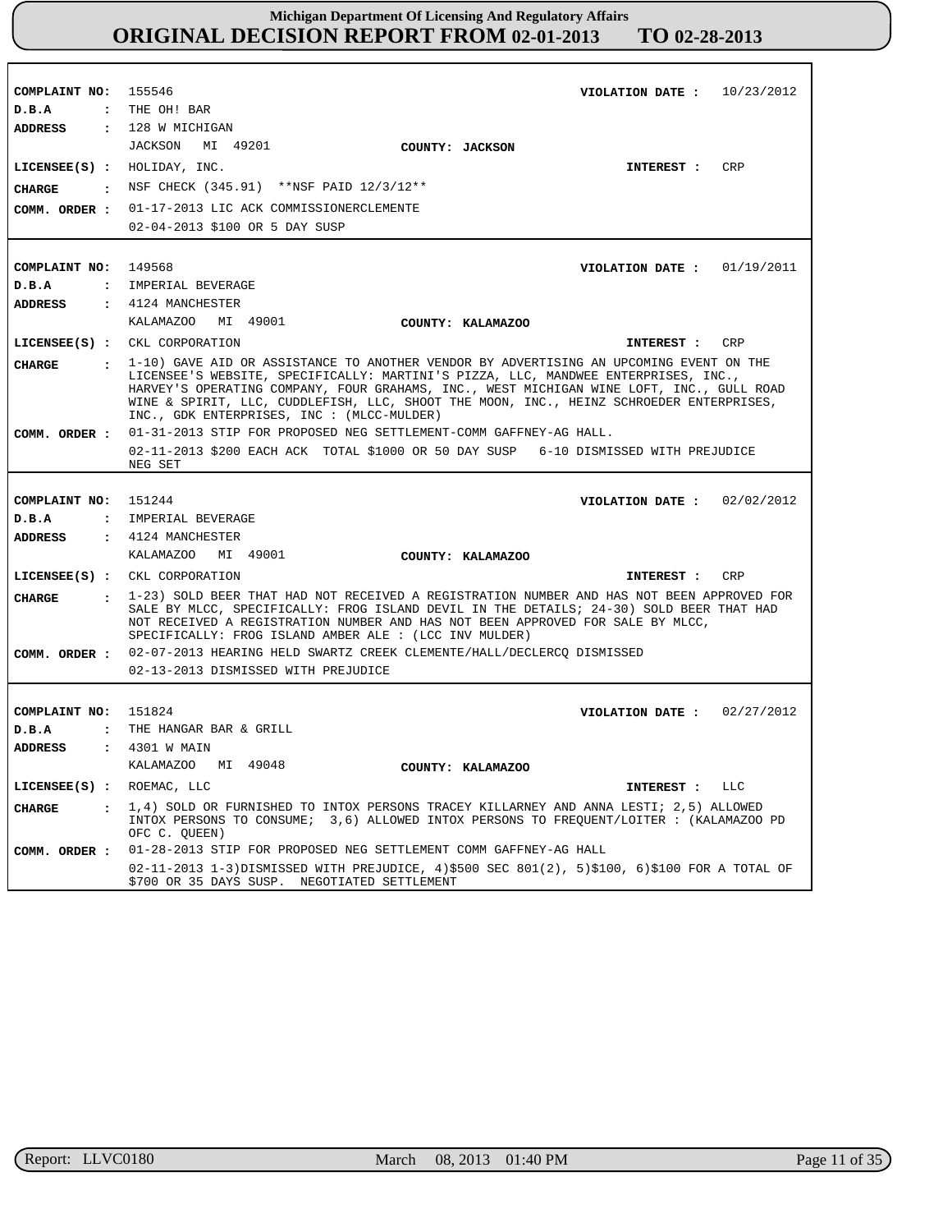| COMPLAINT NO: 155546          | VIOLATION DATE: $10/23/2012$                                                                                                                                                                     |
|-------------------------------|--------------------------------------------------------------------------------------------------------------------------------------------------------------------------------------------------|
| $D$ . B. A                    | : THE OH! BAR                                                                                                                                                                                    |
| <b>ADDRESS</b>                | $: 128$ W MICHIGAN                                                                                                                                                                               |
|                               | JACKSON MI 49201<br>COUNTY: JACKSON                                                                                                                                                              |
|                               | LICENSEE(S) : HOLIDAY, INC.<br><b>CRP</b><br>INTEREST :                                                                                                                                          |
| <b>CHARGE</b>                 | : NSF CHECK (345.91) **NSF PAID 12/3/12**                                                                                                                                                        |
|                               | COMM. ORDER : 01-17-2013 LIC ACK COMMISSIONERCLEMENTE                                                                                                                                            |
|                               | 02-04-2013 \$100 OR 5 DAY SUSP                                                                                                                                                                   |
|                               |                                                                                                                                                                                                  |
| COMPLAINT NO: 149568          | VIOLATION DATE : $01/19/2011$                                                                                                                                                                    |
| D.B.A                         | : IMPERIAL BEVERAGE                                                                                                                                                                              |
| ADDRESS                       | $\,$ : 4124 MANCHESTER                                                                                                                                                                           |
|                               | KALAMAZOO MI 49001<br>COUNTY: KALAMAZOO                                                                                                                                                          |
|                               | LICENSEE(S) : CKL CORPORATION<br>INTEREST : CRP                                                                                                                                                  |
|                               |                                                                                                                                                                                                  |
| <b>CHARGE</b>                 | : 1-10) GAVE AID OR ASSISTANCE TO ANOTHER VENDOR BY ADVERTISING AN UPCOMING EVENT ON THE<br>LICENSEE'S WEBSITE, SPECIFICALLY: MARTINI'S PIZZA, LLC, MANDWEE ENTERPRISES, INC.,                   |
|                               | HARVEY'S OPERATING COMPANY, FOUR GRAHAMS, INC., WEST MICHIGAN WINE LOFT, INC., GULL ROAD                                                                                                         |
|                               | WINE & SPIRIT, LLC, CUDDLEFISH, LLC, SHOOT THE MOON, INC., HEINZ SCHROEDER ENTERPRISES,<br>$INC.$ , GDK ENTERPRISES, INC : $(MLCC-MULDER)$                                                       |
| COMM. ORDER :                 | 01-31-2013 STIP FOR PROPOSED NEG SETTLEMENT-COMM GAFFNEY-AG HALL.                                                                                                                                |
|                               | 02-11-2013 \$200 EACH ACK TOTAL \$1000 OR 50 DAY SUSP 6-10 DISMISSED WITH PREJUDICE                                                                                                              |
|                               | NEG SET                                                                                                                                                                                          |
|                               |                                                                                                                                                                                                  |
|                               |                                                                                                                                                                                                  |
| COMPLAINT NO: 151244          | VIOLATION DATE: $02/02/2012$                                                                                                                                                                     |
| D.B.A                         | : IMPERIAL BEVERAGE                                                                                                                                                                              |
| ADDRESS                       | $\,$ : 4124 MANCHESTER                                                                                                                                                                           |
|                               | KALAMAZOO MI 49001<br>COUNTY: KALAMAZOO                                                                                                                                                          |
|                               | LICENSEE(S) : CKL CORPORATION<br>CRP<br>INTEREST :                                                                                                                                               |
| <b>CHARGE</b>                 | : 1-23) SOLD BEER THAT HAD NOT RECEIVED A REGISTRATION NUMBER AND HAS NOT BEEN APPROVED FOR                                                                                                      |
|                               | SALE BY MLCC, SPECIFICALLY: FROG ISLAND DEVIL IN THE DETAILS; 24-30) SOLD BEER THAT HAD                                                                                                          |
|                               | NOT RECEIVED A REGISTRATION NUMBER AND HAS NOT BEEN APPROVED FOR SALE BY MLCC,<br>SPECIFICALLY: FROG ISLAND AMBER ALE : (LCC INV MULDER)                                                         |
|                               | COMM. ORDER : 02-07-2013 HEARING HELD SWARTZ CREEK CLEMENTE/HALL/DECLERCQ DISMISSED                                                                                                              |
|                               | 02-13-2013 DISMISSED WITH PREJUDICE                                                                                                                                                              |
|                               |                                                                                                                                                                                                  |
| COMPLAINT NO: 151824          | VIOLATION DATE: $02/27/2012$                                                                                                                                                                     |
| D.B.A                         | : THE HANGAR BAR & GRILL                                                                                                                                                                         |
| <b>ADDRESS</b>                | : 4301 W MAIN                                                                                                                                                                                    |
|                               | KALAMAZOO MI 49048<br>COUNTY: KALAMAZOO                                                                                                                                                          |
| LICENSEE(S) : ROEMAC, LLC     | INTEREST :<br><b>LLC</b>                                                                                                                                                                         |
|                               |                                                                                                                                                                                                  |
| <b>CHARGE</b><br>$\mathbf{r}$ | 1,4) SOLD OR FURNISHED TO INTOX PERSONS TRACEY KILLARNEY AND ANNA LESTI; 2,5) ALLOWED<br>INTOX PERSONS TO CONSUME; 3,6) ALLOWED INTOX PERSONS TO FREQUENT/LOITER: (KALAMAZOO PD<br>OFC C. OUEEN) |
| COMM. ORDER :                 | 01-28-2013 STIP FOR PROPOSED NEG SETTLEMENT COMM GAFFNEY-AG HALL                                                                                                                                 |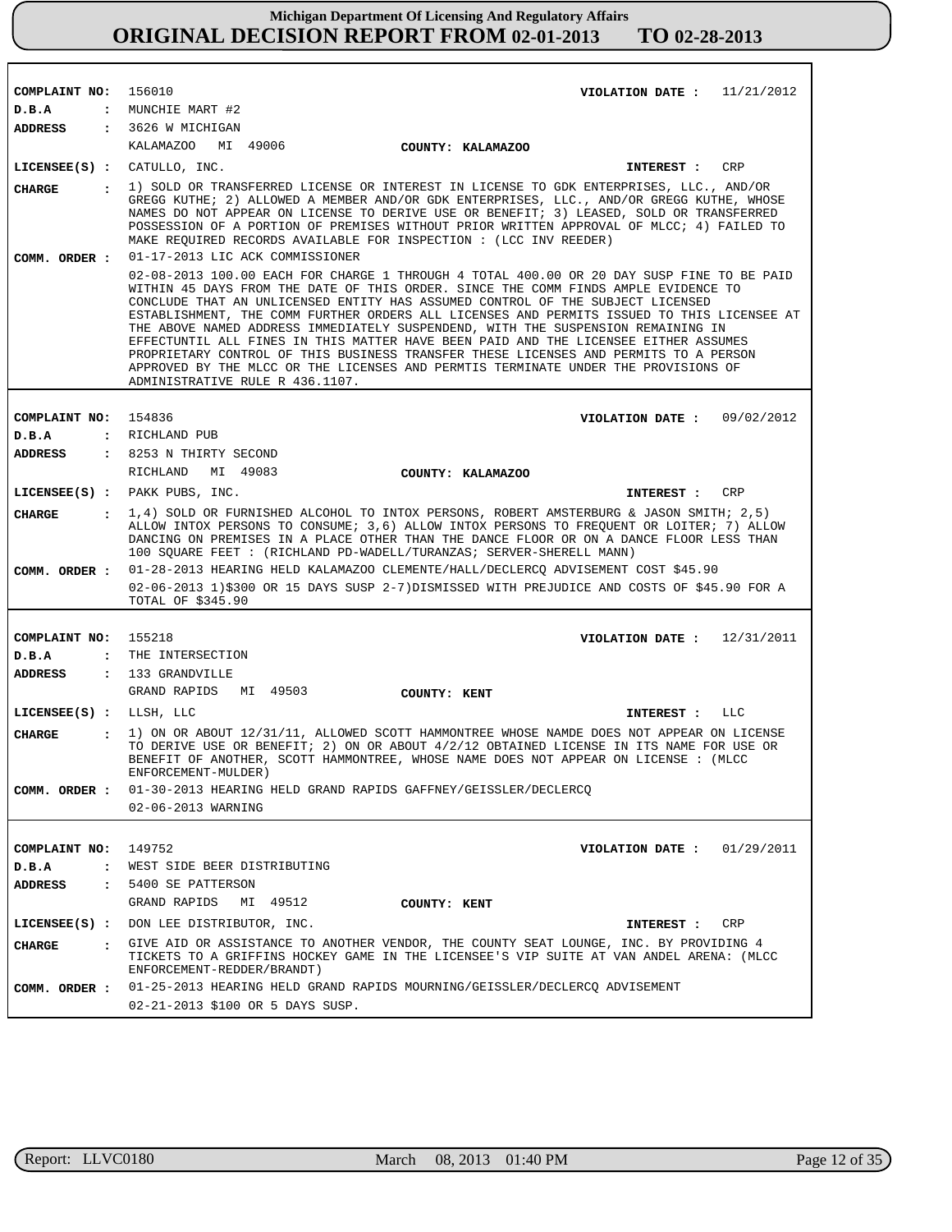| COMPLAINT NO:           |                | 156010<br>VIOLATION DATE: $11/21/2012$                                                                                                                                                                                                                                                                                                                                                                                                                                                                                                                                                                                                                                                                                                                      |
|-------------------------|----------------|-------------------------------------------------------------------------------------------------------------------------------------------------------------------------------------------------------------------------------------------------------------------------------------------------------------------------------------------------------------------------------------------------------------------------------------------------------------------------------------------------------------------------------------------------------------------------------------------------------------------------------------------------------------------------------------------------------------------------------------------------------------|
| D.B.A                   |                | : MUNCHIE MART #2                                                                                                                                                                                                                                                                                                                                                                                                                                                                                                                                                                                                                                                                                                                                           |
| ADDRESS                 |                | : 3626 W MICHIGAN                                                                                                                                                                                                                                                                                                                                                                                                                                                                                                                                                                                                                                                                                                                                           |
|                         |                | KALAMAZOO MI 49006<br>COUNTY: KALAMAZOO                                                                                                                                                                                                                                                                                                                                                                                                                                                                                                                                                                                                                                                                                                                     |
|                         |                | $LICENSE (S) : CATULLO, INC.$<br>CRP<br><b>INTEREST :</b>                                                                                                                                                                                                                                                                                                                                                                                                                                                                                                                                                                                                                                                                                                   |
| <b>CHARGE</b>           |                | 1) SOLD OR TRANSFERRED LICENSE OR INTEREST IN LICENSE TO GDK ENTERPRISES, LLC., AND/OR<br>GREGG KUTHE; 2) ALLOWED A MEMBER AND/OR GDK ENTERPRISES, LLC., AND/OR GREGG KUTHE, WHOSE<br>NAMES DO NOT APPEAR ON LICENSE TO DERIVE USE OR BENEFIT; 3) LEASED, SOLD OR TRANSFERRED<br>POSSESSION OF A PORTION OF PREMISES WITHOUT PRIOR WRITTEN APPROVAL OF MLCC; 4) FAILED TO<br>MAKE REQUIRED RECORDS AVAILABLE FOR INSPECTION : (LCC INV REEDER)                                                                                                                                                                                                                                                                                                              |
| COMM. ORDER :           |                | 01-17-2013 LIC ACK COMMISSIONER                                                                                                                                                                                                                                                                                                                                                                                                                                                                                                                                                                                                                                                                                                                             |
|                         |                | 02-08-2013 100.00 EACH FOR CHARGE 1 THROUGH 4 TOTAL 400.00 OR 20 DAY SUSP FINE TO BE PAID<br>WITHIN 45 DAYS FROM THE DATE OF THIS ORDER. SINCE THE COMM FINDS AMPLE EVIDENCE TO<br>CONCLUDE THAT AN UNLICENSED ENTITY HAS ASSUMED CONTROL OF THE SUBJECT LICENSED<br>ESTABLISHMENT, THE COMM FURTHER ORDERS ALL LICENSES AND PERMITS ISSUED TO THIS LICENSEE AT<br>THE ABOVE NAMED ADDRESS IMMEDIATELY SUSPENDEND, WITH THE SUSPENSION REMAINING IN<br>EFFECTUNTIL ALL FINES IN THIS MATTER HAVE BEEN PAID AND THE LICENSEE EITHER ASSUMES<br>PROPRIETARY CONTROL OF THIS BUSINESS TRANSFER THESE LICENSES AND PERMITS TO A PERSON<br>APPROVED BY THE MLCC OR THE LICENSES AND PERMITS TERMINATE UNDER THE PROVISIONS OF<br>ADMINISTRATIVE RULE R 436.1107. |
|                         |                |                                                                                                                                                                                                                                                                                                                                                                                                                                                                                                                                                                                                                                                                                                                                                             |
| COMPLAINT NO: 154836    |                | VIOLATION DATE: $09/02/2012$                                                                                                                                                                                                                                                                                                                                                                                                                                                                                                                                                                                                                                                                                                                                |
| D.B.A                   |                | : RICHLAND PUB                                                                                                                                                                                                                                                                                                                                                                                                                                                                                                                                                                                                                                                                                                                                              |
| ADDRESS                 |                | : 8253 N THIRTY SECOND                                                                                                                                                                                                                                                                                                                                                                                                                                                                                                                                                                                                                                                                                                                                      |
|                         |                | RICHLAND<br>MI 49083<br>COUNTY: KALAMAZOO                                                                                                                                                                                                                                                                                                                                                                                                                                                                                                                                                                                                                                                                                                                   |
|                         |                | LICENSEE(S) : PAKK PUBS, INC.<br>CRP<br>INTEREST :                                                                                                                                                                                                                                                                                                                                                                                                                                                                                                                                                                                                                                                                                                          |
| CHARGE                  |                | : 1,4) SOLD OR FURNISHED ALCOHOL TO INTOX PERSONS, ROBERT AMSTERBURG & JASON SMITH; 2,5)<br>ALLOW INTOX PERSONS TO CONSUME; 3,6) ALLOW INTOX PERSONS TO FREOUENT OR LOITER; 7) ALLOW<br>DANCING ON PREMISES IN A PLACE OTHER THAN THE DANCE FLOOR OR ON A DANCE FLOOR LESS THAN<br>100 SQUARE FEET : (RICHLAND PD-WADELL/TURANZAS; SERVER-SHERELL MANN)                                                                                                                                                                                                                                                                                                                                                                                                     |
| COMM. ORDER :           |                | 01-28-2013 HEARING HELD KALAMAZOO CLEMENTE/HALL/DECLERCQ ADVISEMENT COST \$45.90                                                                                                                                                                                                                                                                                                                                                                                                                                                                                                                                                                                                                                                                            |
|                         |                | 02-06-2013 1)\$300 OR 15 DAYS SUSP 2-7)DISMISSED WITH PREJUDICE AND COSTS OF \$45.90 FOR A<br>TOTAL OF \$345.90                                                                                                                                                                                                                                                                                                                                                                                                                                                                                                                                                                                                                                             |
|                         |                |                                                                                                                                                                                                                                                                                                                                                                                                                                                                                                                                                                                                                                                                                                                                                             |
| COMPLAINT NO:           |                | 155218<br>VIOLATION DATE: $12/31/2011$                                                                                                                                                                                                                                                                                                                                                                                                                                                                                                                                                                                                                                                                                                                      |
| D.B.A                   |                | : THE INTERSECTION                                                                                                                                                                                                                                                                                                                                                                                                                                                                                                                                                                                                                                                                                                                                          |
| <b>ADDRESS</b>          |                | $: 133$ GRANDVILLE                                                                                                                                                                                                                                                                                                                                                                                                                                                                                                                                                                                                                                                                                                                                          |
|                         |                | GRAND RAPIDS MI 49503<br>COUNTY: KENT                                                                                                                                                                                                                                                                                                                                                                                                                                                                                                                                                                                                                                                                                                                       |
| LICENSEE(S) : LLSH, LLC |                | INTEREST : LLC                                                                                                                                                                                                                                                                                                                                                                                                                                                                                                                                                                                                                                                                                                                                              |
| <b>CHARGE</b>           |                | 1) ON OR ABOUT 12/31/11, ALLOWED SCOTT HAMMONTREE WHOSE NAMDE DOES NOT APPEAR ON LICENSE<br>TO DERIVE USE OR BENEFIT; 2) ON OR ABOUT 4/2/12 OBTAINED LICENSE IN ITS NAME FOR USE OR<br>BENEFIT OF ANOTHER, SCOTT HAMMONTREE, WHOSE NAME DOES NOT APPEAR ON LICENSE : (MLCC<br>ENFORCEMENT-MULDER)                                                                                                                                                                                                                                                                                                                                                                                                                                                           |
| COMM. ORDER :           |                | 01-30-2013 HEARING HELD GRAND RAPIDS GAFFNEY/GEISSLER/DECLERCO                                                                                                                                                                                                                                                                                                                                                                                                                                                                                                                                                                                                                                                                                              |
|                         |                | 02-06-2013 WARNING                                                                                                                                                                                                                                                                                                                                                                                                                                                                                                                                                                                                                                                                                                                                          |
|                         |                |                                                                                                                                                                                                                                                                                                                                                                                                                                                                                                                                                                                                                                                                                                                                                             |
| COMPLAINT NO:           |                | 149752<br>01/29/2011<br>VIOLATION DATE :                                                                                                                                                                                                                                                                                                                                                                                                                                                                                                                                                                                                                                                                                                                    |
| D.B.A                   | $\ddot{\cdot}$ | WEST SIDE BEER DISTRIBUTING                                                                                                                                                                                                                                                                                                                                                                                                                                                                                                                                                                                                                                                                                                                                 |
| ADDRESS                 | $\mathbf{r}$   | 5400 SE PATTERSON                                                                                                                                                                                                                                                                                                                                                                                                                                                                                                                                                                                                                                                                                                                                           |
|                         |                | GRAND RAPIDS<br>MI 49512<br>COUNTY: KENT                                                                                                                                                                                                                                                                                                                                                                                                                                                                                                                                                                                                                                                                                                                    |
|                         |                | LICENSEE(S) : DON LEE DISTRIBUTOR, INC.<br>CRP<br>INTEREST :                                                                                                                                                                                                                                                                                                                                                                                                                                                                                                                                                                                                                                                                                                |
| <b>CHARGE</b>           | $\mathbf{r}$   | GIVE AID OR ASSISTANCE TO ANOTHER VENDOR, THE COUNTY SEAT LOUNGE, INC. BY PROVIDING 4<br>TICKETS TO A GRIFFINS HOCKEY GAME IN THE LICENSEE'S VIP SUITE AT VAN ANDEL ARENA: (MLCC<br>ENFORCEMENT-REDDER/BRANDT)                                                                                                                                                                                                                                                                                                                                                                                                                                                                                                                                              |
| COMM. ORDER :           |                | 01-25-2013 HEARING HELD GRAND RAPIDS MOURNING/GEISSLER/DECLERCQ ADVISEMENT                                                                                                                                                                                                                                                                                                                                                                                                                                                                                                                                                                                                                                                                                  |
|                         |                | 02-21-2013 \$100 OR 5 DAYS SUSP.                                                                                                                                                                                                                                                                                                                                                                                                                                                                                                                                                                                                                                                                                                                            |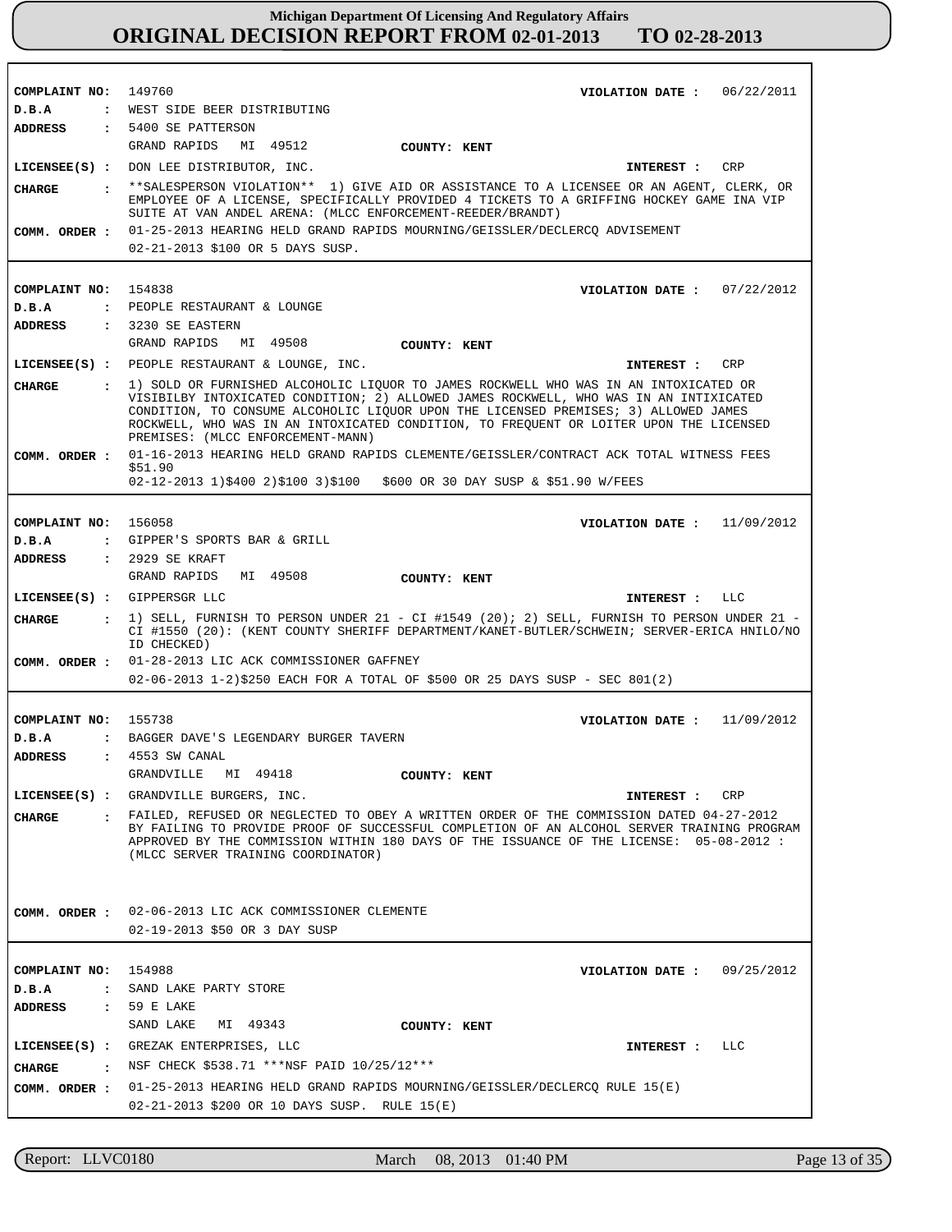| COMPLAINT NO: 149760 |              | VIOLATION DATE: $06/22/2011$                                                                                                                                                            |
|----------------------|--------------|-----------------------------------------------------------------------------------------------------------------------------------------------------------------------------------------|
| D.B.A                |              | : WEST SIDE BEER DISTRIBUTING                                                                                                                                                           |
|                      |              | ADDRESS : 5400 SE PATTERSON                                                                                                                                                             |
|                      |              | GRAND RAPIDS MI 49512<br>COUNTY: KENT                                                                                                                                                   |
|                      |              | LICENSEE(S) : DON LEE DISTRIBUTOR, INC.<br>INTEREST : CRP                                                                                                                               |
| CIIARGE              |              | **SALESPERSON VIOLATION** 1) GIVE AID OR ASSISTANCE TO A LICENSEE OR AN AGENT, CLERK, OR                                                                                                |
|                      |              | EMPLOYEE OF A LICENSE, SPECIFICALLY PROVIDED 4 TICKETS TO A GRIFFING HOCKEY GAME INA VIP                                                                                                |
|                      |              | SUITE AT VAN ANDEL ARENA: (MLCC ENFORCEMENT-REEDER/BRANDT)                                                                                                                              |
| COMM. ORDER :        |              | 01-25-2013 HEARING HELD GRAND RAPIDS MOURNING/GEISSLER/DECLERCO ADVISEMENT                                                                                                              |
|                      |              | 02-21-2013 \$100 OR 5 DAYS SUSP.                                                                                                                                                        |
|                      |              |                                                                                                                                                                                         |
| COMPLAINT NO: 154838 |              | VIOLATION DATE: $07/22/2012$                                                                                                                                                            |
| D.B.A                |              | : PEOPLE RESTAURANT & LOUNGE                                                                                                                                                            |
| ADDRESS              |              | $: 3230$ SE EASTERN                                                                                                                                                                     |
|                      |              | GRAND RAPIDS MI 49508<br>COUNTY: KENT                                                                                                                                                   |
|                      |              | LICENSEE(S) : PEOPLE RESTAURANT & LOUNGE, INC.<br>INTEREST : CRP                                                                                                                        |
| CHARGE               | $\mathbf{r}$ | 1) SOLD OR FURNISHED ALCOHOLIC LIOUOR TO JAMES ROCKWELL WHO WAS IN AN INTOXICATED OR                                                                                                    |
|                      |              | VISIBILBY INTOXICATED CONDITION; 2) ALLOWED JAMES ROCKWELL, WHO WAS IN AN INTIXICATED                                                                                                   |
|                      |              | CONDITION, TO CONSUME ALCOHOLIC LIQUOR UPON THE LICENSED PREMISES; 3) ALLOWED JAMES<br>ROCKWELL, WHO WAS IN AN INTOXICATED CONDITION, TO FREQUENT OR LOITER UPON THE LICENSED           |
|                      |              | PREMISES: (MLCC ENFORCEMENT-MANN)                                                                                                                                                       |
| COMM. ORDER :        |              | 01-16-2013 HEARING HELD GRAND RAPIDS CLEMENTE/GEISSLER/CONTRACT ACK TOTAL WITNESS FEES                                                                                                  |
|                      |              | \$51.90<br>02-12-2013 1)\$400 2)\$100 3)\$100 \$600 OR 30 DAY SUSP & \$51.90 W/FEES                                                                                                     |
|                      |              |                                                                                                                                                                                         |
|                      |              |                                                                                                                                                                                         |
| COMPLAINT NO: 156058 |              | VIOLATION DATE: $11/09/2012$                                                                                                                                                            |
| D.B.A                |              | : GIPPER'S SPORTS BAR & GRILL                                                                                                                                                           |
| <b>ADDRESS</b>       |              | : 2929 SE KRAFT                                                                                                                                                                         |
|                      |              | GRAND RAPIDS MI 49508<br>COUNTY: KENT                                                                                                                                                   |
|                      |              | LICENSEE(S) : GIPPERSGR LLC<br>INTEREST : LLC                                                                                                                                           |
| CHARGE               |              | $\pm$ 1) SELL, FURNISH TO PERSON UNDER 21 - CI #1549 (20); 2) SELL, FURNISH TO PERSON UNDER 21 -                                                                                        |
|                      |              | CI #1550 (20): (KENT COUNTY SHERIFF DEPARTMENT/KANET-BUTLER/SCHWEIN; SERVER-ERICA HNILO/NO<br>ID CHECKED)                                                                               |
| COMM. ORDER :        |              | 01-28-2013 LIC ACK COMMISSIONER GAFFNEY                                                                                                                                                 |
|                      |              | $02-06-2013$ 1-2)\$250 EACH FOR A TOTAL OF \$500 OR 25 DAYS SUSP - SEC 801(2)                                                                                                           |
|                      |              |                                                                                                                                                                                         |
| COMPLAINT NO: 155738 |              | VIOLATION DATE: $11/09/2012$                                                                                                                                                            |
| D.B.A                |              | : BAGGER DAVE'S LEGENDARY BURGER TAVERN                                                                                                                                                 |
| ADDRESS              |              | : 4553 SW CANAL                                                                                                                                                                         |
|                      |              | GRANDVILLE<br>MI 49418<br>COUNTY: KENT                                                                                                                                                  |
|                      |              | LICENSEE(S) : GRANDVILLE BURGERS, INC.<br>CRP<br>INTEREST :                                                                                                                             |
|                      |              |                                                                                                                                                                                         |
| CHARGE               |              | : FAILED, REFUSED OR NEGLECTED TO OBEY A WRITTEN ORDER OF THE COMMISSION DATED 04-27-2012<br>BY FAILING TO PROVIDE PROOF OF SUCCESSFUL COMPLETION OF AN ALCOHOL SERVER TRAINING PROGRAM |
|                      |              | APPROVED BY THE COMMISSION WITHIN 180 DAYS OF THE ISSUANCE OF THE LICENSE: 05-08-2012:                                                                                                  |
|                      |              | (MLCC SERVER TRAINING COORDINATOR)                                                                                                                                                      |
|                      |              |                                                                                                                                                                                         |
|                      |              |                                                                                                                                                                                         |
|                      |              | COMM. ORDER : 02-06-2013 LIC ACK COMMISSIONER CLEMENTE                                                                                                                                  |
|                      |              | 02-19-2013 \$50 OR 3 DAY SUSP                                                                                                                                                           |
|                      |              |                                                                                                                                                                                         |
| COMPLAINT NO: 154988 |              | VIOLATION DATE: $09/25/2012$                                                                                                                                                            |
| D.B.A                | $\mathbf{r}$ | SAND LAKE PARTY STORE                                                                                                                                                                   |
| <b>ADDRESS</b>       | $\mathbf{r}$ | 59 E LAKE                                                                                                                                                                               |
|                      |              | SAND LAKE<br>MI 49343<br>COUNTY: KENT                                                                                                                                                   |
|                      |              | LICENSEE(S) : GREZAK ENTERPRISES, LLC<br>LLC<br>INTEREST :                                                                                                                              |
| CHARGE               |              | : NSF CHECK \$538.71 *** NSF PAID 10/25/12***                                                                                                                                           |
|                      |              | COMM. ORDER : 01-25-2013 HEARING HELD GRAND RAPIDS MOURNING/GEISSLER/DECLERCQ RULE 15(E)                                                                                                |
|                      |              |                                                                                                                                                                                         |
|                      |              | 02-21-2013 \$200 OR 10 DAYS SUSP. RULE 15(E)                                                                                                                                            |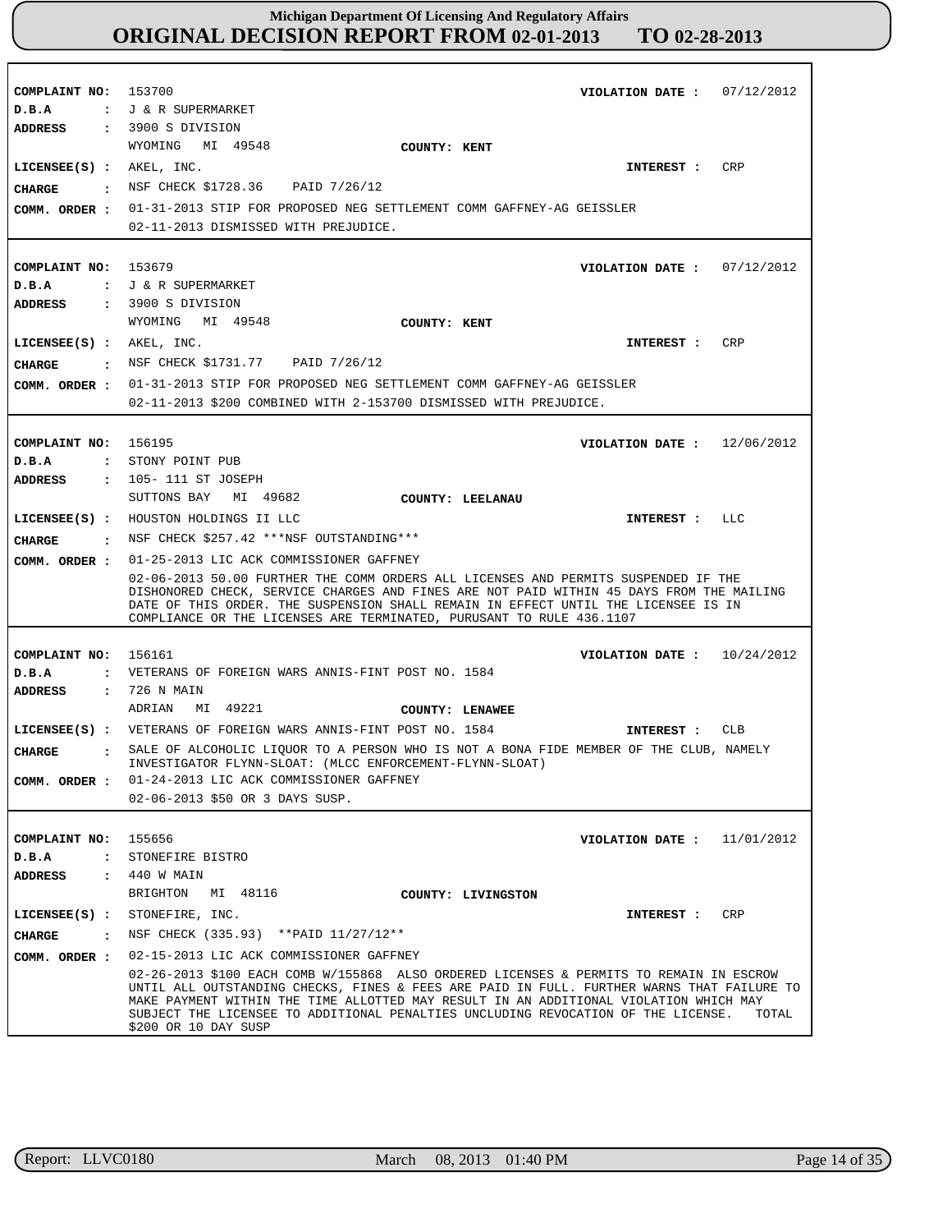| COMPLAINT NO: 153700<br>D.B.A                          | VIOLATION DATE: $07/12/2012$<br>: J & R SUPERMARKET<br>ADDRESS : 3900 S DIVISION                                                                                                                                                                                                                                                                                                                     |
|--------------------------------------------------------|------------------------------------------------------------------------------------------------------------------------------------------------------------------------------------------------------------------------------------------------------------------------------------------------------------------------------------------------------------------------------------------------------|
| $LICENSEE(S)$ : $AKEL$ , $INC.$<br><b>CHARGE</b>       | WYOMING MI 49548<br>COUNTY: KENT<br><b>CRP</b><br>INTEREST :<br>: NSF CHECK \$1728.36 PAID 7/26/12<br>COMM. ORDER : 01-31-2013 STIP FOR PROPOSED NEG SETTLEMENT COMM GAFFNEY-AG GEISSLER<br>02-11-2013 DISMISSED WITH PREJUDICE.                                                                                                                                                                     |
| COMPLAINT NO: 153679<br>D.B.A                          | VIOLATION DATE : $07/12/2012$<br>: J & R SUPERMARKET<br>$\,$ : 3900 S DIVISION                                                                                                                                                                                                                                                                                                                       |
| ADDRESS<br>$LICENSEE(S)$ : $AKEL$ , $INC.$<br>CHARGE   | WYOMING MI 49548<br>COUNTY: KENT<br>CRP<br><b>INTEREST :</b><br>: NSF CHECK \$1731.77 PAID 7/26/12<br>COMM. ORDER : 01-31-2013 STIP FOR PROPOSED NEG SETTLEMENT COMM GAFFNEY-AG GEISSLER<br>02-11-2013 \$200 COMBINED WITH 2-153700 DISMISSED WITH PREJUDICE.                                                                                                                                        |
| COMPLAINT NO: 156195<br>D.B.A<br>ADDRESS               | VIOLATION DATE: $12/06/2012$<br>: STONY POINT PUB<br>: 105-111 ST JOSEPH                                                                                                                                                                                                                                                                                                                             |
|                                                        | SUTTONS BAY MI 49682<br>COUNTY: LEELANAU<br>LICENSEE(S) : HOUSTON HOLDINGS II LLC<br>INTEREST : LLC<br>CHARGE : NSF CHECK \$257.42 ***NSF OUTSTANDING***                                                                                                                                                                                                                                             |
| COMM. ORDER :                                          | 01-25-2013 LIC ACK COMMISSIONER GAFFNEY<br>02-06-2013 50.00 FURTHER THE COMM ORDERS ALL LICENSES AND PERMITS SUSPENDED IF THE<br>DISHONORED CHECK, SERVICE CHARGES AND FINES ARE NOT PAID WITHIN 45 DAYS FROM THE MAILING<br>DATE OF THIS ORDER. THE SUSPENSION SHALL REMAIN IN EFFECT UNTIL THE LICENSEE IS IN<br>COMPLIANCE OR THE LICENSES ARE TERMINATED, PURUSANT TO RULE 436.1107              |
| COMPLAINT NO: 156161<br>D.B.A<br><b>ADDRESS</b>        | VIOLATION DATE: $10/24/2012$<br>: VETERANS OF FOREIGN WARS ANNIS-FINT POST NO. 1584<br>: 726 N MAIN                                                                                                                                                                                                                                                                                                  |
|                                                        | ADRIAN MI 49221<br>COUNTY: LENAWEE<br>LICENSEE(S) : VETERANS OF FOREIGN WARS ANNIS-FINT POST NO. 1584<br>CLB<br>INTEREST :                                                                                                                                                                                                                                                                           |
| CIIARGE<br>COMM. ORDER :                               | SALE OF ALCOHOLIC LIOUOR TO A PERSON WHO IS NOT A BONA FIDE MEMBER OF THE CLUB, NAMELY<br>INVESTIGATOR FLYNN-SLOAT: (MLCC ENFORCEMENT-FLYNN-SLOAT)<br>01-24-2013 LIC ACK COMMISSIONER GAFFNEY<br>02-06-2013 \$50 OR 3 DAYS SUSP.                                                                                                                                                                     |
| COMPLAINT NO: 155656<br>D.B.A<br><b>ADDRESS</b>        | VIOLATION DATE: $11/01/2012$<br>: STONEFIRE BISTRO<br>: 440 W MAIN<br>BRIGHTON<br>MI 48116<br>COUNTY: LIVINGSTON                                                                                                                                                                                                                                                                                     |
| CHARGE<br>$\sim$ $\sim$ $\sim$ $\sim$<br>COMM. ORDER : | LICENSEE(S) : STONEFFIRE, INC.<br>CRP<br><b>INTEREST :</b><br>NSF CHECK (335.93) ** PAID 11/27/12**<br>02-15-2013 LIC ACK COMMISSIONER GAFFNEY                                                                                                                                                                                                                                                       |
|                                                        | 02-26-2013 \$100 EACH COMB W/155868 ALSO ORDERED LICENSES & PERMITS TO REMAIN IN ESCROW<br>UNTIL ALL OUTSTANDING CHECKS, FINES & FEES ARE PAID IN FULL. FURTHER WARNS THAT FAILURE TO<br>MAKE PAYMENT WITHIN THE TIME ALLOTTED MAY RESULT IN AN ADDITIONAL VIOLATION WHICH MAY<br>SUBJECT THE LICENSEE TO ADDITIONAL PENALTIES UNCLUDING REVOCATION OF THE LICENSE.<br>TOTAL<br>\$200 OR 10 DAY SUSP |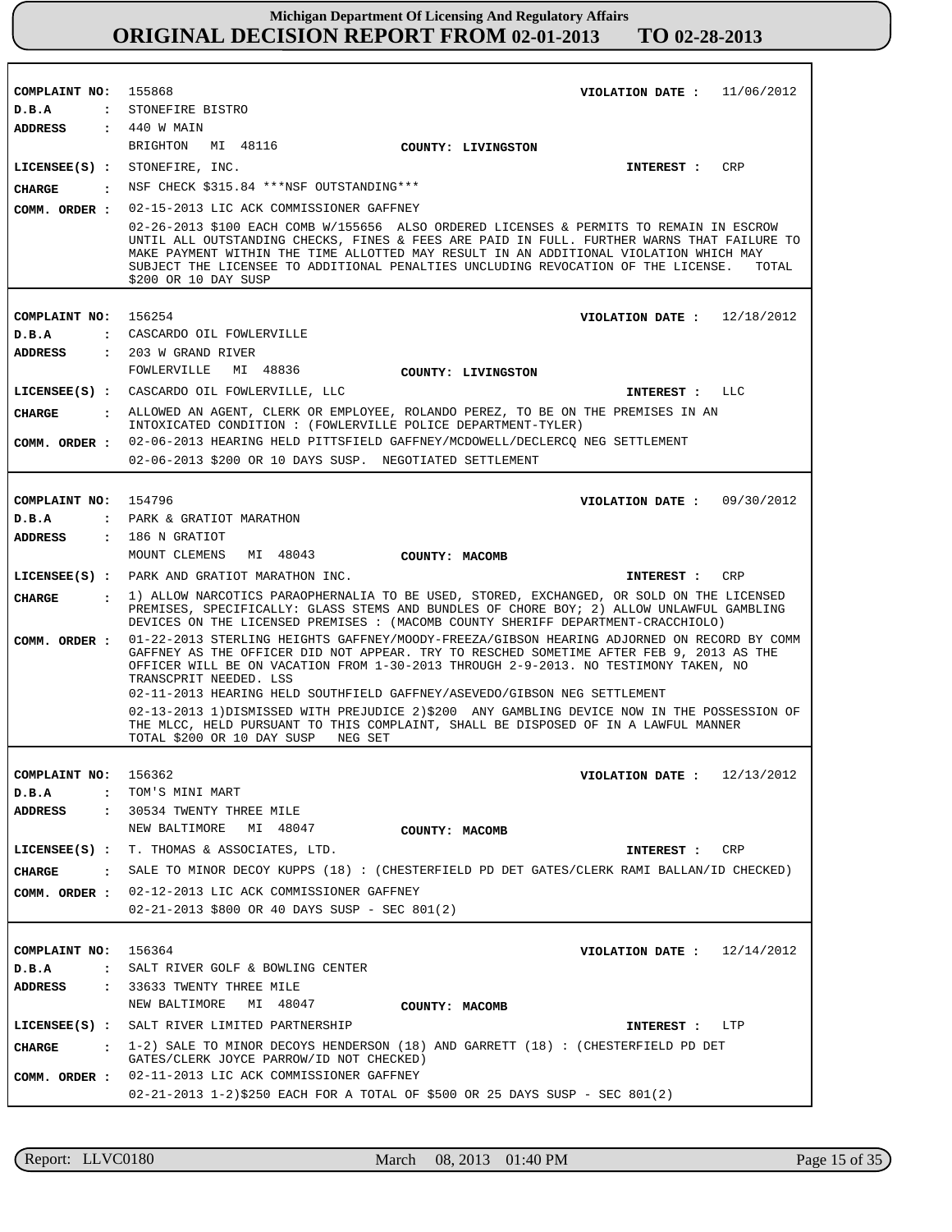| COMPLAINT NO: 155868          | VIOLATION DATE: $11/06/2012$                                                                                                                                                                                                                                                                                                                                                                         |
|-------------------------------|------------------------------------------------------------------------------------------------------------------------------------------------------------------------------------------------------------------------------------------------------------------------------------------------------------------------------------------------------------------------------------------------------|
| D.B.A                         | : STONEFIRE BISTRO                                                                                                                                                                                                                                                                                                                                                                                   |
| <b>ADDRESS</b>                | : 440 W MAIN                                                                                                                                                                                                                                                                                                                                                                                         |
|                               | BRIGHTON MI 48116<br>COUNTY: LIVINGSTON                                                                                                                                                                                                                                                                                                                                                              |
|                               | $LICENSEE(S)$ : STONEFIRE, INC.<br>CRP<br>INTEREST :                                                                                                                                                                                                                                                                                                                                                 |
|                               | CHARGE : NSF CHECK \$315.84 *** NSF OUTSTANDING***                                                                                                                                                                                                                                                                                                                                                   |
|                               | COMM. ORDER : 02-15-2013 LIC ACK COMMISSIONER GAFFNEY                                                                                                                                                                                                                                                                                                                                                |
|                               | 02-26-2013 \$100 EACH COMB W/155656 ALSO ORDERED LICENSES & PERMITS TO REMAIN IN ESCROW<br>UNTIL ALL OUTSTANDING CHECKS, FINES & FEES ARE PAID IN FULL. FURTHER WARNS THAT FAILURE TO<br>MAKE PAYMENT WITHIN THE TIME ALLOTTED MAY RESULT IN AN ADDITIONAL VIOLATION WHICH MAY<br>SUBJECT THE LICENSEE TO ADDITIONAL PENALTIES UNCLUDING REVOCATION OF THE LICENSE.<br>TOTAL<br>\$200 OR 10 DAY SUSP |
|                               |                                                                                                                                                                                                                                                                                                                                                                                                      |
| COMPLAINT NO: 156254          | VIOLATION DATE: $12/18/2012$                                                                                                                                                                                                                                                                                                                                                                         |
| D.B.A                         | : CASCARDO OIL FOWLERVILLE                                                                                                                                                                                                                                                                                                                                                                           |
| ADDRESS                       | : 203 W GRAND RIVER                                                                                                                                                                                                                                                                                                                                                                                  |
|                               | FOWLERVILLE<br>MI 48836 COUNTY: LIVINGSTON                                                                                                                                                                                                                                                                                                                                                           |
|                               | LICENSEE(S) : CASCARDO OIL FOWLERVILLE, LLC<br>INTEREST : LLC                                                                                                                                                                                                                                                                                                                                        |
| CHARGE                        | : ALLOWED AN AGENT, CLERK OR EMPLOYEE, ROLANDO PEREZ, TO BE ON THE PREMISES IN AN<br>INTOXICATED CONDITION : (FOWLERVILLE POLICE DEPARTMENT-TYLER)                                                                                                                                                                                                                                                   |
|                               | COMM. ORDER : 02-06-2013 HEARING HELD PITTSFIELD GAFFNEY/MCDOWELL/DECLERCQ NEG SETTLEMENT                                                                                                                                                                                                                                                                                                            |
|                               | 02-06-2013 \$200 OR 10 DAYS SUSP. NEGOTIATED SETTLEMENT                                                                                                                                                                                                                                                                                                                                              |
|                               |                                                                                                                                                                                                                                                                                                                                                                                                      |
| COMPLAINT NO: 154796          | VIOLATION DATE: $09/30/2012$                                                                                                                                                                                                                                                                                                                                                                         |
| D.B.A                         | : PARK & GRATIOT MARATHON                                                                                                                                                                                                                                                                                                                                                                            |
|                               | ADDRESS : 186 N GRATIOT                                                                                                                                                                                                                                                                                                                                                                              |
|                               | MOUNT CLEMENS MI 48043 COUNTY: MACOMB                                                                                                                                                                                                                                                                                                                                                                |
|                               | LICENSEE(S) : PARK AND GRATIOT MARATHON INC.<br>CRP<br>INTEREST :                                                                                                                                                                                                                                                                                                                                    |
| CHARGE                        | : 1) ALLOW NARCOTICS PARAOPHERNALIA TO BE USED, STORED, EXCHANGED, OR SOLD ON THE LICENSED<br>PREMISES, SPECIFICALLY: GLASS STEMS AND BUNDLES OF CHORE BOY; 2) ALLOW UNLAWFUL GAMBLING<br>DEVICES ON THE LICENSED PREMISES : (MACOMB COUNTY SHERIFF DEPARTMENT-CRACCHIOLO)                                                                                                                           |
| COMM. ORDER :                 | 01-22-2013 STERLING HEIGHTS GAFFNEY/MOODY-FREEZA/GIBSON HEARING ADJORNED ON RECORD BY COMM<br>GAFFNEY AS THE OFFICER DID NOT APPEAR. TRY TO RESCHED SOMETIME AFTER FEB 9, 2013 AS THE<br>OFFICER WILL BE ON VACATION FROM 1-30-2013 THROUGH 2-9-2013. NO TESTIMONY TAKEN, NO<br>TRANSCPRIT NEEDED. LSS                                                                                               |
|                               | 02-11-2013 HEARING HELD SOUTHFIELD GAFFNEY/ASEVEDO/GIBSON NEG SETTLEMENT                                                                                                                                                                                                                                                                                                                             |
|                               | 02-13-2013 1) DISMISSED WITH PREJUDICE 2) \$200 ANY GAMBLING DEVICE NOW IN THE POSSESSION OF<br>THE MLCC, HELD PURSUANT TO THIS COMPLAINT, SHALL BE DISPOSED OF IN A LAWFUL MANNER<br>TOTAL \$200 OR 10 DAY SUSP<br>NEG SET                                                                                                                                                                          |
|                               |                                                                                                                                                                                                                                                                                                                                                                                                      |
| COMPLAINT NO:                 | VIOLATION DATE: $12/13/2012$<br>156362                                                                                                                                                                                                                                                                                                                                                               |
| D.B.A<br>$\mathbf{r}$         | TOM'S MINI MART                                                                                                                                                                                                                                                                                                                                                                                      |
| ADDRESS                       | : 30534 TWENTY THREE MILE                                                                                                                                                                                                                                                                                                                                                                            |
|                               | NEW BALTIMORE MI 48047<br>COUNTY: MACOMB                                                                                                                                                                                                                                                                                                                                                             |
|                               | LICENSEE(S) : T. THOMAS & ASSOCIATES, LTD.<br>INTEREST : CRP                                                                                                                                                                                                                                                                                                                                         |
| <b>CHARGE</b><br>$\mathbf{r}$ | SALE TO MINOR DECOY KUPPS (18): (CHESTERFIELD PD DET GATES/CLERK RAMI BALLAN/ID CHECKED)                                                                                                                                                                                                                                                                                                             |
| COMM. ORDER :                 | 02-12-2013 LIC ACK COMMISSIONER GAFFNEY                                                                                                                                                                                                                                                                                                                                                              |
|                               | 02-21-2013 \$800 OR 40 DAYS SUSP - SEC 801(2)                                                                                                                                                                                                                                                                                                                                                        |
|                               |                                                                                                                                                                                                                                                                                                                                                                                                      |
| COMPLAINT NO: 156364          | VIOLATION DATE: $12/14/2012$                                                                                                                                                                                                                                                                                                                                                                         |
| D.B.A<br>$\mathbf{r}$         | SALT RIVER GOLF & BOWLING CENTER                                                                                                                                                                                                                                                                                                                                                                     |
| <b>ADDRESS</b>                | : 33633 TWENTY THREE MILE                                                                                                                                                                                                                                                                                                                                                                            |
|                               | NEW BALTIMORE MI 48047<br>COUNTY: MACOMB                                                                                                                                                                                                                                                                                                                                                             |
|                               | LICENSEE(S) : SALT RIVER LIMITED PARTNERSHIP<br>INTEREST : LTP                                                                                                                                                                                                                                                                                                                                       |
| CHARGE                        | $\pm$ 1-2) SALE TO MINOR DECOYS HENDERSON (18) AND GARRETT (18) : (CHESTERFIELD PD DET<br>GATES/CLERK JOYCE PARROW/ID NOT CHECKED)                                                                                                                                                                                                                                                                   |
| COMM. ORDER :                 | 02-11-2013 LIC ACK COMMISSIONER GAFFNEY<br>$02-21-2013$ 1-2)\$250 EACH FOR A TOTAL OF \$500 OR 25 DAYS SUSP - SEC 801(2)                                                                                                                                                                                                                                                                             |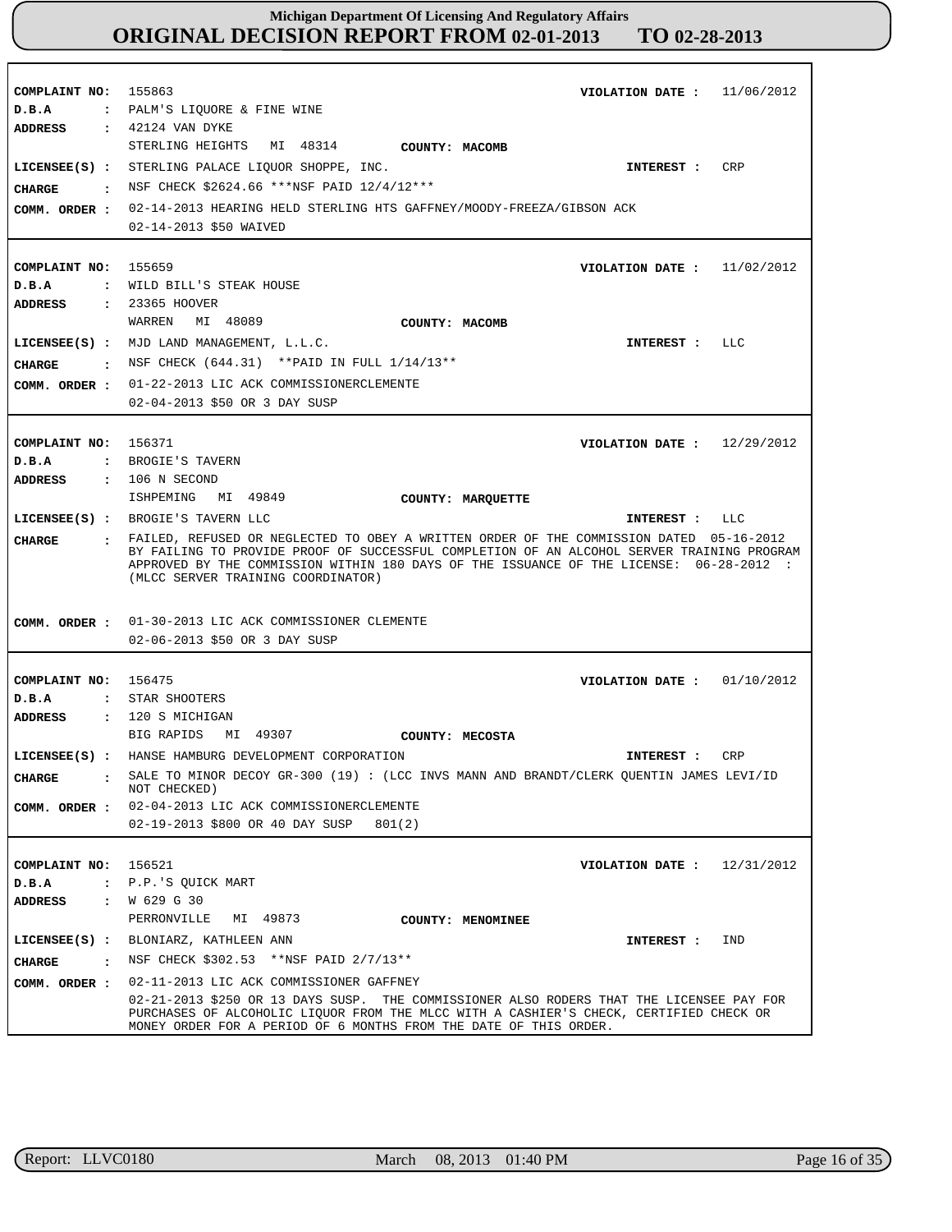| COMPLAINT NO:<br>D.B.A<br>ADDRESS        | 155863<br>11/06/2012<br>VIOLATION DATE :<br>: PALM'S LIQUORE & FINE WINE<br>: 42124 VAN DYKE                                                                                                                                                                                                                             |
|------------------------------------------|--------------------------------------------------------------------------------------------------------------------------------------------------------------------------------------------------------------------------------------------------------------------------------------------------------------------------|
| <b>CHARGE</b>                            | STERLING HEIGHTS MI 48314<br><b>COUNTY: MACOMB</b><br>LICENSEE(S) : STERLING PALACE LIOUOR SHOPPE, INC.<br>CRP<br>INTEREST :<br>. NSF CHECK \$2624.66 ***NSF PAID 12/4/12***<br>COMM. ORDER : 02-14-2013 HEARING HELD STERLING HTS GAFFNEY/MOODY-FREEZA/GIBSON ACK<br>02-14-2013 \$50 WAIVED                             |
| COMPLAINT NO: 155659<br>D.B.A<br>ADDRESS | VIOLATION DATE: $11/02/2012$<br>: WILD BILL'S STEAK HOUSE<br>: 23365 HOOVER                                                                                                                                                                                                                                              |
| <b>CHARGE</b>                            | MI 48089<br>WARREN<br>COUNTY: MACOMB<br>LICENSEE(S) : MJD LAND MANAGEMENT, L.L.C.<br>INTEREST : LLC<br>: NSF CHECK $(644.31)$ **PAID IN FULL $1/14/13**$<br>COMM. ORDER : 01-22-2013 LIC ACK COMMISSIONERCLEMENTE                                                                                                        |
| COMPLAINT NO:                            | 02-04-2013 \$50 OR 3 DAY SUSP<br>156371<br>VIOLATION DATE: $12/29/2012$                                                                                                                                                                                                                                                  |
| D.B.A<br><b>ADDRESS</b>                  | : BROGIE'S TAVERN<br>$: 106 N$ SECOND<br>ISHPEMING MI 49849<br>COUNTY: MARQUETTE                                                                                                                                                                                                                                         |
|                                          | LICENSEE(S) : BROGIE'S TAVERN LLC<br>INTEREST : LLC                                                                                                                                                                                                                                                                      |
| CIIARGE                                  | . FAILED, REFUSED OR NEGLECTED TO OBEY A WRITTEN ORDER OF THE COMMISSION DATED 05-16-2012<br>BY FAILING TO PROVIDE PROOF OF SUCCESSFUL COMPLETION OF AN ALCOHOL SERVER TRAINING PROGRAM<br>APPROVED BY THE COMMISSION WITHIN 180 DAYS OF THE ISSUANCE OF THE LICENSE: 06-28-2012 :<br>(MLCC SERVER TRAINING COORDINATOR) |
|                                          | COMM. ORDER : 01-30-2013 LIC ACK COMMISSIONER CLEMENTE<br>02-06-2013 \$50 OR 3 DAY SUSP                                                                                                                                                                                                                                  |
| COMPLAINT NO: 156475                     | VIOLATION DATE: $01/10/2012$                                                                                                                                                                                                                                                                                             |
| D.B.A                                    | : STAR SHOOTERS                                                                                                                                                                                                                                                                                                          |
| ADDRESS                                  | : 120 S MICHIGAN                                                                                                                                                                                                                                                                                                         |
|                                          | BIG RAPIDS<br>MI 49307<br>COUNTY: MECOSTA                                                                                                                                                                                                                                                                                |
|                                          | LICENSEE(S) : HANSE HAMBURG DEVELOPMENT CORPORATION<br>CRP<br><b>INTEREST :</b>                                                                                                                                                                                                                                          |
| CHARGE                                   | SALE TO MINOR DECOY GR-300 (19): (LCC INVS MANN AND BRANDT/CLERK QUENTIN JAMES LEVI/ID                                                                                                                                                                                                                                   |
| COMM. ORDER :                            | NOT CHECKED)<br>02-04-2013 LIC ACK COMMISSIONERCLEMENTE                                                                                                                                                                                                                                                                  |
|                                          | 02-19-2013 \$800 OR 40 DAY SUSP<br>801(2)                                                                                                                                                                                                                                                                                |
|                                          |                                                                                                                                                                                                                                                                                                                          |
| COMPLAINT NO:                            | 156521<br>12/31/2012<br>VIOLATION DATE :                                                                                                                                                                                                                                                                                 |
| D.B.A<br>$\ddot{\phantom{a}}$            | P.P.'S OUICK MART                                                                                                                                                                                                                                                                                                        |
| <b>ADDRESS</b><br>$\ddot{\phantom{a}}$   | W 629 G 30                                                                                                                                                                                                                                                                                                               |
|                                          | MI 49873<br>PERRONVILLE<br>COUNTY: MENOMINEE                                                                                                                                                                                                                                                                             |
| $LICENSEE(S)$ :                          | BLONIARZ, KATHLEEN ANN<br>IND<br>INTEREST :                                                                                                                                                                                                                                                                              |
| <b>CHARGE</b><br>$\ddot{\phantom{a}}$    | NSF CHECK \$302.53 ** NSF PAID 2/7/13**                                                                                                                                                                                                                                                                                  |
| COMM. ORDER :                            | 02-11-2013 LIC ACK COMMISSIONER GAFFNEY                                                                                                                                                                                                                                                                                  |
|                                          | 02-21-2013 \$250 OR 13 DAYS SUSP. THE COMMISSIONER ALSO RODERS THAT THE LICENSEE PAY FOR<br>PURCHASES OF ALCOHOLIC LIQUOR FROM THE MLCC WITH A CASHIER'S CHECK, CERTIFIED CHECK OR<br>MONEY ORDER FOR A PERIOD OF 6 MONTHS FROM THE DATE OF THIS ORDER.                                                                  |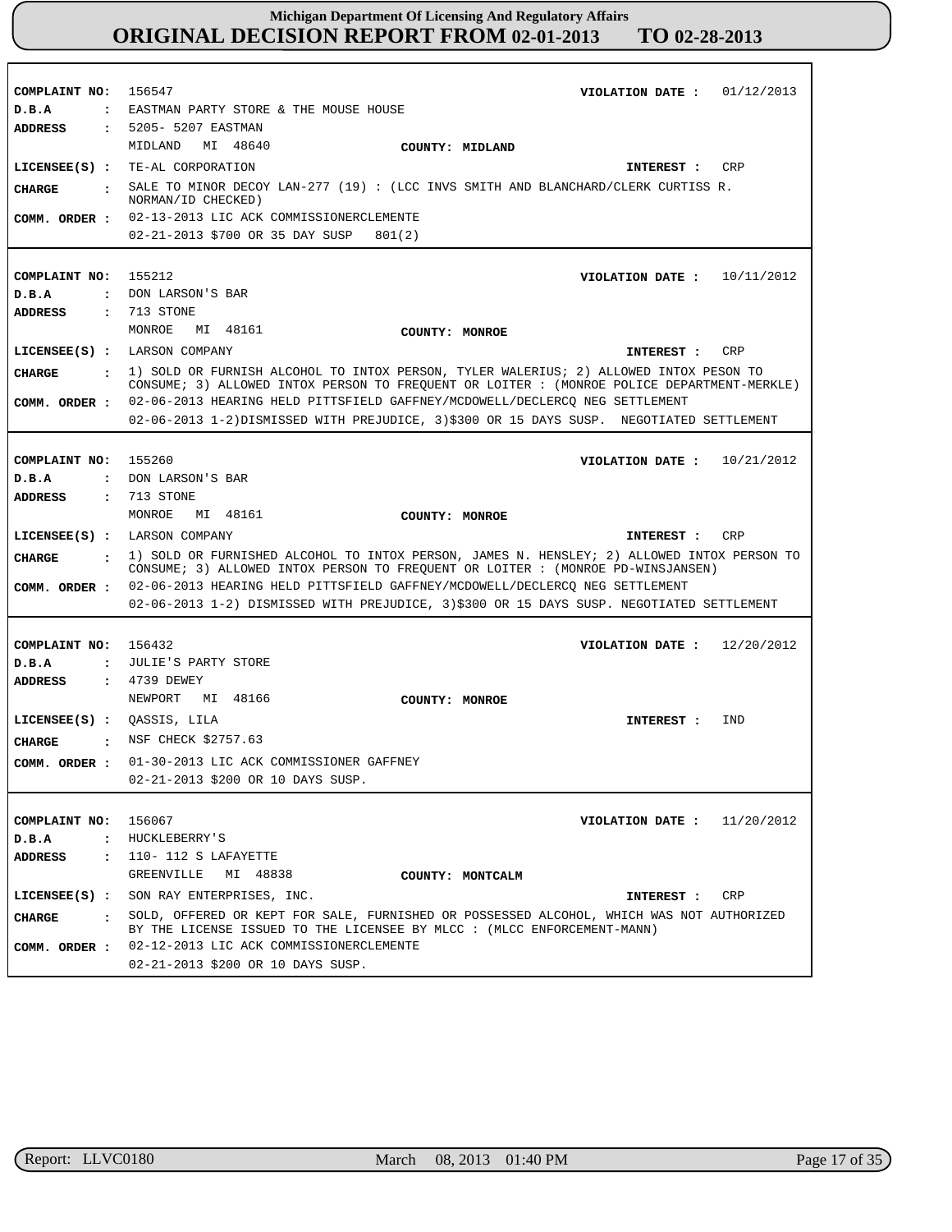| COMPLAINT NO:<br>D.B.A<br><b>ADDRESS</b> | 156547<br>01/12/2013<br>VIOLATION DATE :<br>: EASTMAN PARTY STORE & THE MOUSE HOUSE<br>: 5205- 5207 EASTMAN<br>MIDLAND MI 48640<br>COUNTY: MIDLAND                            |
|------------------------------------------|-------------------------------------------------------------------------------------------------------------------------------------------------------------------------------|
|                                          | LICENSEE(S) : TE-AL CORPORATION<br>CRP<br>INTEREST :                                                                                                                          |
| CHARGE                                   | SALE TO MINOR DECOY LAN-277 (19) : (LCC INVS SMITH AND BLANCHARD/CLERK CURTISS R.<br>NORMAN/ID CHECKED)                                                                       |
| COMM. ORDER :                            | 02-13-2013 LIC ACK COMMISSIONERCLEMENTE                                                                                                                                       |
|                                          | 02-21-2013 \$700 OR 35 DAY SUSP<br>801(2)                                                                                                                                     |
| COMPLAINT NO:<br>D.B.A<br><b>ADDRESS</b> | 155212<br>VIOLATION DATE: $10/11/2012$<br>: DON LARSON'S BAR<br>: 713 STONE                                                                                                   |
|                                          | MONROE MI 48161<br>COUNTY: MONROE                                                                                                                                             |
|                                          | LICENSEE(S) : LARSON COMPANY<br>INTEREST :<br>CRP                                                                                                                             |
| CHARGE<br>$\cdot$                        | 1) SOLD OR FURNISH ALCOHOL TO INTOX PERSON, TYLER WALERIUS; 2) ALLOWED INTOX PESON TO                                                                                         |
|                                          | CONSUME; 3) ALLOWED INTOX PERSON TO FREQUENT OR LOITER : (MONROE POLICE DEPARTMENT-MERKLE)<br>02-06-2013 HEARING HELD PITTSFIELD GAFFNEY/MCDOWELL/DECLERCO NEG SETTLEMENT     |
| COMM. ORDER :                            | 02-06-2013 1-2) DISMISSED WITH PREJUDICE, 3) \$300 OR 15 DAYS SUSP. NEGOTIATED SETTLEMENT                                                                                     |
|                                          |                                                                                                                                                                               |
| COMPLAINT NO:                            | 155260<br>VIOLATION DATE: $10/21/2012$                                                                                                                                        |
| D.B.A<br>$\mathbf{r}$                    | DON LARSON'S BAR                                                                                                                                                              |
| <b>ADDRESS</b><br>$\mathbf{r}$           | 713 STONE                                                                                                                                                                     |
|                                          | MONROE<br>MI 48161<br>COUNTY: MONROE                                                                                                                                          |
|                                          | LICENSEE(S) : LARSON COMPANY<br>CRP<br>INTEREST :                                                                                                                             |
| CHARGE<br>$\mathbf{r}$                   | 1) SOLD OR FURNISHED ALCOHOL TO INTOX PERSON, JAMES N. HENSLEY; 2) ALLOWED INTOX PERSON TO<br>CONSUME; 3) ALLOWED INTOX PERSON TO FREQUENT OR LOITER : (MONROE PD-WINSJANSEN) |
| COMM. ORDER :                            | 02-06-2013 HEARING HELD PITTSFIELD GAFFNEY/MCDOWELL/DECLERCQ NEG SETTLEMENT                                                                                                   |
|                                          | 02-06-2013 1-2) DISMISSED WITH PREJUDICE, 3)\$300 OR 15 DAYS SUSP. NEGOTIATED SETTLEMENT                                                                                      |
|                                          |                                                                                                                                                                               |
| COMPLAINT NO: 156432<br>D.B.A            | VIOLATION DATE: $12/20/2012$<br>JULIE'S PARTY STORE                                                                                                                           |
| $\mathbf{r}$<br><b>ADDRESS</b>           | : 4739 DEWEY                                                                                                                                                                  |
|                                          | NEWPORT<br>MI 48166<br>COUNTY: MONROE                                                                                                                                         |
| LICENSEE(S) : QASSIS, LILA               | IND<br>INTEREST :                                                                                                                                                             |
| CHARGE                                   | : NSF CHECK \$2757.63                                                                                                                                                         |
| COMM. ORDER :                            | 01-30-2013 LIC ACK COMMISSIONER GAFFNEY                                                                                                                                       |
|                                          | 02-21-2013 \$200 OR 10 DAYS SUSP.                                                                                                                                             |
|                                          |                                                                                                                                                                               |
| COMPLAINT NO:                            | 156067<br>11/20/2012<br>VIOLATION DATE :                                                                                                                                      |
| D.B.A                                    | : HUCKLEBERRY'S                                                                                                                                                               |
| ADDRESS<br>$\ddot{\phantom{a}}$          | 110- 112 S LAFAYETTE                                                                                                                                                          |
|                                          | GREENVILLE<br>MI 48838<br>COUNTY: MONTCALM                                                                                                                                    |
| LICENSE (S) :                            | SON RAY ENTERPRISES, INC.<br>CRP<br>INTEREST :                                                                                                                                |
| CHARGE<br>$\mathbf{r}$                   | SOLD, OFFERED OR KEPT FOR SALE, FURNISHED OR POSSESSED ALCOHOL, WHICH WAS NOT AUTHORIZED<br>BY THE LICENSE ISSUED TO THE LICENSEE BY MLCC : (MLCC ENFORCEMENT-MANN)           |
| COMM. ORDER :                            | 02-12-2013 LIC ACK COMMISSIONERCLEMENTE                                                                                                                                       |
|                                          | 02-21-2013 \$200 OR 10 DAYS SUSP.                                                                                                                                             |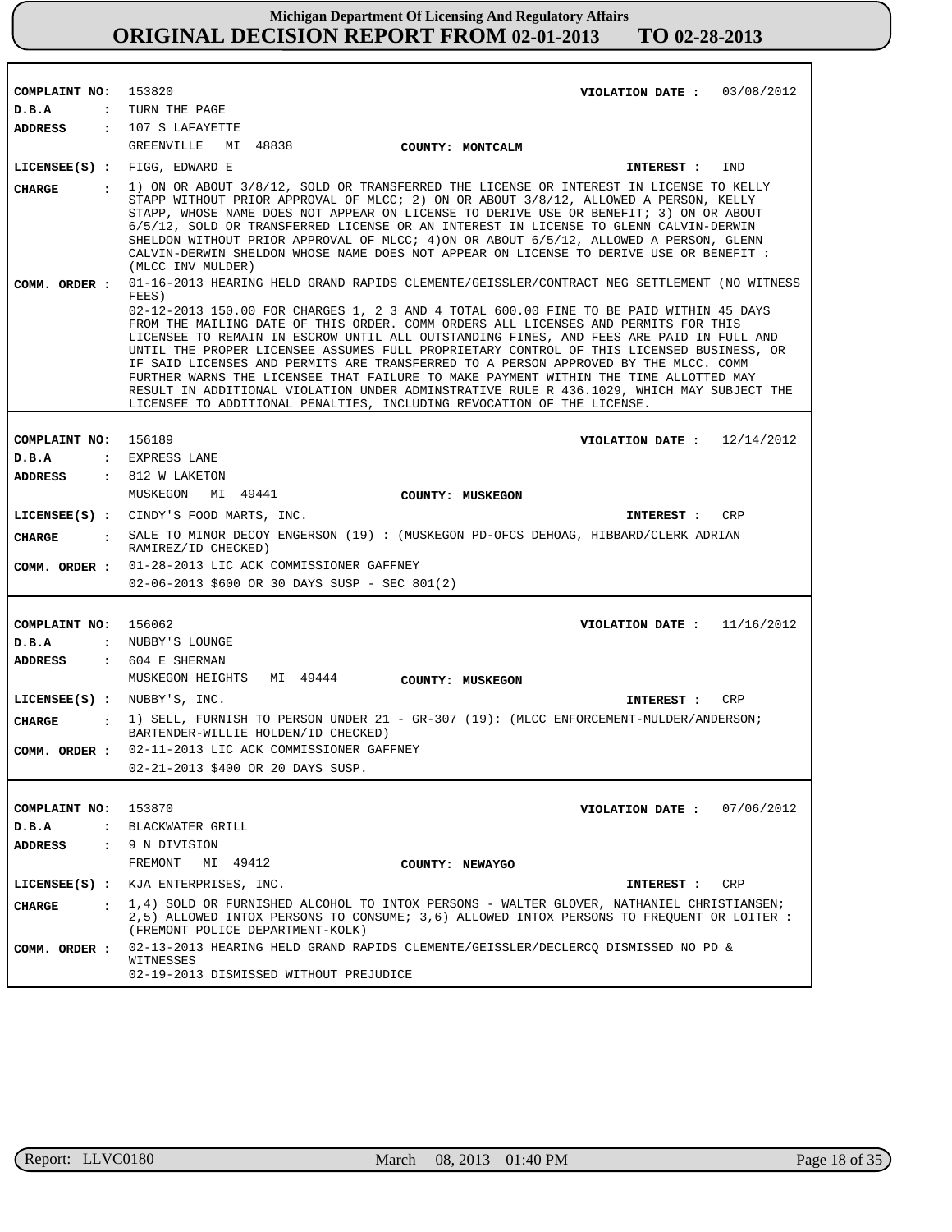| COMPLAINT NO: 153820        | VIOLATION DATE : $03/08/2012$                                                                                                                                                                                                                                                                                                                                                                                                                                                                                                                                                                                                                                                                                             |
|-----------------------------|---------------------------------------------------------------------------------------------------------------------------------------------------------------------------------------------------------------------------------------------------------------------------------------------------------------------------------------------------------------------------------------------------------------------------------------------------------------------------------------------------------------------------------------------------------------------------------------------------------------------------------------------------------------------------------------------------------------------------|
| D.B.A                       | : TURN THE PAGE                                                                                                                                                                                                                                                                                                                                                                                                                                                                                                                                                                                                                                                                                                           |
| ADDRESS                     | : 107 S LAFAYETTE                                                                                                                                                                                                                                                                                                                                                                                                                                                                                                                                                                                                                                                                                                         |
|                             | GREENVILLE MI 48838<br>COUNTY: MONTCALM                                                                                                                                                                                                                                                                                                                                                                                                                                                                                                                                                                                                                                                                                   |
|                             | LICENSEE(S) : FIGG, EDWARD E<br>IND<br>INTEREST :                                                                                                                                                                                                                                                                                                                                                                                                                                                                                                                                                                                                                                                                         |
|                             | . 1) ON OR ABOUT 3/8/12, SOLD OR TRANSFERRED THE LICENSE OR INTEREST IN LICENSE TO KELLY                                                                                                                                                                                                                                                                                                                                                                                                                                                                                                                                                                                                                                  |
| CHARGE                      | STAPP WITHOUT PRIOR APPROVAL OF MLCC; 2) ON OR ABOUT 3/8/12, ALLOWED A PERSON, KELLY<br>STAPP, WHOSE NAME DOES NOT APPEAR ON LICENSE TO DERIVE USE OR BENEFIT; 3) ON OR ABOUT<br>6/5/12, SOLD OR TRANSFERRED LICENSE OR AN INTEREST IN LICENSE TO GLENN CALVIN-DERWIN<br>SHELDON WITHOUT PRIOR APPROVAL OF MLCC; 4) ON OR ABOUT 6/5/12, ALLOWED A PERSON, GLENN<br>CALVIN-DERWIN SHELDON WHOSE NAME DOES NOT APPEAR ON LICENSE TO DERIVE USE OR BENEFIT :<br>(MLCC INV MULDER)                                                                                                                                                                                                                                            |
|                             | COMM. ORDER: 01-16-2013 HEARING HELD GRAND RAPIDS CLEMENTE/GEISSLER/CONTRACT NEG SETTLEMENT (NO WITNESS<br>FEES)                                                                                                                                                                                                                                                                                                                                                                                                                                                                                                                                                                                                          |
|                             | 02-12-2013 150.00 FOR CHARGES 1, 2 3 AND 4 TOTAL 600.00 FINE TO BE PAID WITHIN 45 DAYS<br>FROM THE MAILING DATE OF THIS ORDER. COMM ORDERS ALL LICENSES AND PERMITS FOR THIS<br>LICENSEE TO REMAIN IN ESCROW UNTIL ALL OUTSTANDING FINES, AND FEES ARE PAID IN FULL AND<br>UNTIL THE PROPER LICENSEE ASSUMES FULL PROPRIETARY CONTROL OF THIS LICENSED BUSINESS, OR<br>IF SAID LICENSES AND PERMITS ARE TRANSFERRED TO A PERSON APPROVED BY THE MLCC. COMM<br>FURTHER WARNS THE LICENSEE THAT FAILURE TO MAKE PAYMENT WITHIN THE TIME ALLOTTED MAY<br>RESULT IN ADDITIONAL VIOLATION UNDER ADMINSTRATIVE RULE R 436.1029, WHICH MAY SUBJECT THE<br>LICENSEE TO ADDITIONAL PENALTIES, INCLUDING REVOCATION OF THE LICENSE. |
| COMPLAINT NO: 156189        | VIOLATION DATE : $12/14/2012$                                                                                                                                                                                                                                                                                                                                                                                                                                                                                                                                                                                                                                                                                             |
| D.B.A                       | : EXPRESS LANE                                                                                                                                                                                                                                                                                                                                                                                                                                                                                                                                                                                                                                                                                                            |
| ADDRESS                     | : 812 W LAKETON                                                                                                                                                                                                                                                                                                                                                                                                                                                                                                                                                                                                                                                                                                           |
|                             | MUSKEGON<br>MI 49441<br>COUNTY: MUSKEGON                                                                                                                                                                                                                                                                                                                                                                                                                                                                                                                                                                                                                                                                                  |
|                             | LICENSEE(S) : CINDY'S FOOD MARTS, INC.<br><b>CRP</b><br><b>INTEREST :</b>                                                                                                                                                                                                                                                                                                                                                                                                                                                                                                                                                                                                                                                 |
| CIIARGE                     | : SALE TO MINOR DECOY ENGERSON (19) : (MUSKEGON PD-OFCS DEHOAG, HIBBARD/CLERK ADRIAN                                                                                                                                                                                                                                                                                                                                                                                                                                                                                                                                                                                                                                      |
|                             | RAMIREZ/ID CHECKED)                                                                                                                                                                                                                                                                                                                                                                                                                                                                                                                                                                                                                                                                                                       |
|                             | COMM. ORDER : 01-28-2013 LIC ACK COMMISSIONER GAFFNEY                                                                                                                                                                                                                                                                                                                                                                                                                                                                                                                                                                                                                                                                     |
|                             | $02 - 06 - 2013$ \$600 OR 30 DAYS SUSP - SEC 801(2)                                                                                                                                                                                                                                                                                                                                                                                                                                                                                                                                                                                                                                                                       |
|                             |                                                                                                                                                                                                                                                                                                                                                                                                                                                                                                                                                                                                                                                                                                                           |
| COMPLAINT NO: 156062        | VIOLATION DATE : $11/16/2012$                                                                                                                                                                                                                                                                                                                                                                                                                                                                                                                                                                                                                                                                                             |
| D.B.A                       | : NUBBY'S LOUNGE                                                                                                                                                                                                                                                                                                                                                                                                                                                                                                                                                                                                                                                                                                          |
| ADDRESS                     | $: 604$ E SHERMAN                                                                                                                                                                                                                                                                                                                                                                                                                                                                                                                                                                                                                                                                                                         |
|                             | MI 49444 COUNTY: MUSKEGON<br>MUSKEGON HEIGHTS                                                                                                                                                                                                                                                                                                                                                                                                                                                                                                                                                                                                                                                                             |
| LICENSE (S) : NUBBY'S, INC. | CRP<br>INTEREST:                                                                                                                                                                                                                                                                                                                                                                                                                                                                                                                                                                                                                                                                                                          |
| <b>CHARGE</b>               | : 1) SELL, FURNISH TO PERSON UNDER 21 - GR-307 (19): (MLCC ENFORCEMENT-MULDER/ANDERSON;<br>BARTENDER-WILLIE HOLDEN/ID CHECKED)                                                                                                                                                                                                                                                                                                                                                                                                                                                                                                                                                                                            |
|                             | COMM. ORDER : 02-11-2013 LIC ACK COMMISSIONER GAFFNEY                                                                                                                                                                                                                                                                                                                                                                                                                                                                                                                                                                                                                                                                     |
|                             | 02-21-2013 \$400 OR 20 DAYS SUSP.                                                                                                                                                                                                                                                                                                                                                                                                                                                                                                                                                                                                                                                                                         |
|                             |                                                                                                                                                                                                                                                                                                                                                                                                                                                                                                                                                                                                                                                                                                                           |
| COMPLAINT NO:               | 153870<br>VIOLATION DATE: $07/06/2012$                                                                                                                                                                                                                                                                                                                                                                                                                                                                                                                                                                                                                                                                                    |
| D.B.A                       | : BLACKWATER GRILL                                                                                                                                                                                                                                                                                                                                                                                                                                                                                                                                                                                                                                                                                                        |
| <b>ADDRESS</b>              | : 9 N DIVISION                                                                                                                                                                                                                                                                                                                                                                                                                                                                                                                                                                                                                                                                                                            |
|                             | FREMONT<br>MI 49412<br>COUNTY: NEWAYGO                                                                                                                                                                                                                                                                                                                                                                                                                                                                                                                                                                                                                                                                                    |
|                             | LICENSEE(S) : KJA ENTERPRISES, INC.<br>CRP<br>INTEREST :                                                                                                                                                                                                                                                                                                                                                                                                                                                                                                                                                                                                                                                                  |
| <b>CHARGE</b>               | : 1,4) SOLD OR FURNISHED ALCOHOL TO INTOX PERSONS - WALTER GLOVER, NATHANIEL CHRISTIANSEN;<br>2,5) ALLOWED INTOX PERSONS TO CONSUME; 3,6) ALLOWED INTOX PERSONS TO FREQUENT OR LOITER :<br>(FREMONT POLICE DEPARTMENT-KOLK)                                                                                                                                                                                                                                                                                                                                                                                                                                                                                               |
| COMM. ORDER :               | 02-13-2013 HEARING HELD GRAND RAPIDS CLEMENTE/GEISSLER/DECLERCQ DISMISSED NO PD &<br>WITNESSES<br>02-19-2013 DISMISSED WITHOUT PREJUDICE                                                                                                                                                                                                                                                                                                                                                                                                                                                                                                                                                                                  |

r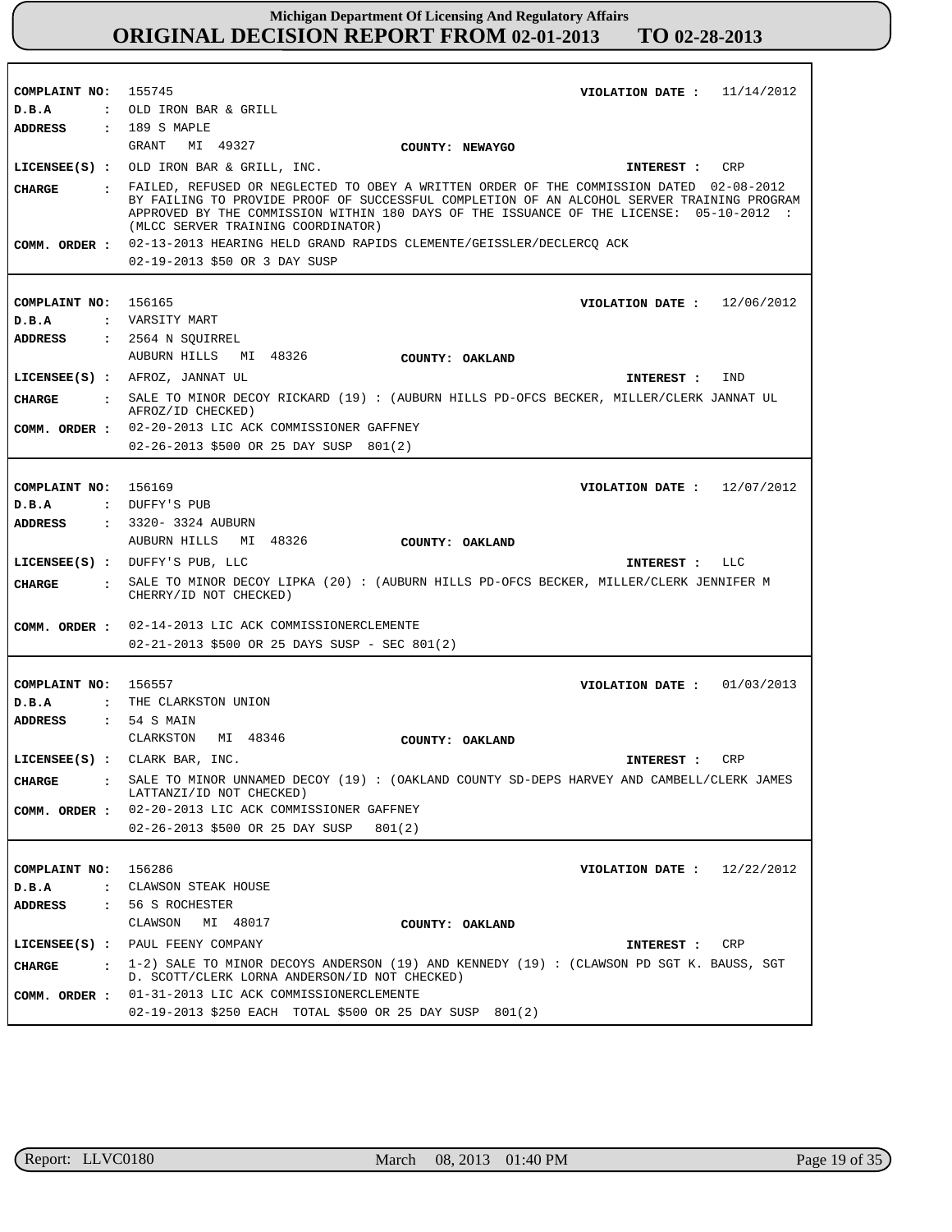| COMPLAINT NO: 155745             | VIOLATION DATE: $11/14/2012$                                                                                                                                                                                                                                                                                                                                                                                  |
|----------------------------------|---------------------------------------------------------------------------------------------------------------------------------------------------------------------------------------------------------------------------------------------------------------------------------------------------------------------------------------------------------------------------------------------------------------|
| D.B.A                            | : OLD IRON BAR & GRILL                                                                                                                                                                                                                                                                                                                                                                                        |
| <b>ADDRESS</b>                   | : 189 S MAPLE                                                                                                                                                                                                                                                                                                                                                                                                 |
|                                  | GRANT<br>MI 49327<br>COUNTY: NEWAYGO                                                                                                                                                                                                                                                                                                                                                                          |
|                                  | LICENSEE(S) : OLD IRON BAR & GRILL, INC.<br>INTEREST :<br><b>CRP</b>                                                                                                                                                                                                                                                                                                                                          |
| <b>CHARGE</b>                    | : FAILED, REFUSED OR NEGLECTED TO OBEY A WRITTEN ORDER OF THE COMMISSION DATED 02-08-2012<br>BY FAILING TO PROVIDE PROOF OF SUCCESSFUL COMPLETION OF AN ALCOHOL SERVER TRAINING PROGRAM<br>APPROVED BY THE COMMISSION WITHIN 180 DAYS OF THE ISSUANCE OF THE LICENSE: 05-10-2012 :<br>(MLCC SERVER TRAINING COORDINATOR)<br>COMM. ORDER : 02-13-2013 HEARING HELD GRAND RAPIDS CLEMENTE/GEISSLER/DECLERCQ ACK |
|                                  |                                                                                                                                                                                                                                                                                                                                                                                                               |
|                                  | 02-19-2013 \$50 OR 3 DAY SUSP                                                                                                                                                                                                                                                                                                                                                                                 |
|                                  |                                                                                                                                                                                                                                                                                                                                                                                                               |
| COMPLAINT NO:                    | 156165<br>VIOLATION DATE : $12/06/2012$                                                                                                                                                                                                                                                                                                                                                                       |
| D.B.A                            | : VARSITY MART                                                                                                                                                                                                                                                                                                                                                                                                |
| ADDRESS                          | : 2564 N SQUIRREL                                                                                                                                                                                                                                                                                                                                                                                             |
|                                  | AUBURN HILLS MI 48326<br>COUNTY: OAKLAND                                                                                                                                                                                                                                                                                                                                                                      |
|                                  | LICENSEE(S) : AFROZ, JANNAT UL<br>IND<br>INTEREST :                                                                                                                                                                                                                                                                                                                                                           |
| CHARGE                           | : SALE TO MINOR DECOY RICKARD (19) : (AUBURN HILLS PD-OFCS BECKER, MILLER/CLERK JANNAT UL                                                                                                                                                                                                                                                                                                                     |
|                                  | AFROZ/ID CHECKED)                                                                                                                                                                                                                                                                                                                                                                                             |
|                                  | COMM. ORDER : 02-20-2013 LIC ACK COMMISSIONER GAFFNEY                                                                                                                                                                                                                                                                                                                                                         |
|                                  | 02-26-2013 \$500 OR 25 DAY SUSP 801(2)                                                                                                                                                                                                                                                                                                                                                                        |
|                                  |                                                                                                                                                                                                                                                                                                                                                                                                               |
| COMPLAINT NO: 156169             | VIOLATION DATE: $12/07/2012$                                                                                                                                                                                                                                                                                                                                                                                  |
| D.B.A                            | : DUFFY'S PUB                                                                                                                                                                                                                                                                                                                                                                                                 |
| ADDRESS                          | : 3320- 3324 AUBURN                                                                                                                                                                                                                                                                                                                                                                                           |
|                                  | AUBURN HILLS MI 48326<br>COUNTY: OAKLAND                                                                                                                                                                                                                                                                                                                                                                      |
|                                  | LICENSEE(S) : DUFFY'S PUB, LLC<br>INTEREST : LLC                                                                                                                                                                                                                                                                                                                                                              |
| CIIARGE<br>$\mathbf{r}$          | SALE TO MINOR DECOY LIPKA (20): (AUBURN HILLS PD-OFCS BECKER, MILLER/CLERK JENNIFER M                                                                                                                                                                                                                                                                                                                         |
|                                  | CHERRY/ID NOT CHECKED)                                                                                                                                                                                                                                                                                                                                                                                        |
|                                  | COMM. ORDER : 02-14-2013 LIC ACK COMMISSIONERCLEMENTE                                                                                                                                                                                                                                                                                                                                                         |
|                                  | 02-21-2013 \$500 OR 25 DAYS SUSP - SEC 801(2)                                                                                                                                                                                                                                                                                                                                                                 |
|                                  |                                                                                                                                                                                                                                                                                                                                                                                                               |
|                                  |                                                                                                                                                                                                                                                                                                                                                                                                               |
| COMPLAINT NO: 156557             | VIOLATION DATE: $01/03/2013$                                                                                                                                                                                                                                                                                                                                                                                  |
| D.B.A                            | : THE CLARKSTON UNION                                                                                                                                                                                                                                                                                                                                                                                         |
| <b>ADDRESS</b>                   | $: 54$ S MAIN                                                                                                                                                                                                                                                                                                                                                                                                 |
|                                  | CLARKSTON<br>MI 48346<br>COUNTY: OAKLAND                                                                                                                                                                                                                                                                                                                                                                      |
|                                  | LICENSEE(S) : CLARK BAR, INC.<br>INTEREST : CRP                                                                                                                                                                                                                                                                                                                                                               |
| <b>CHARGE</b>                    | SALE TO MINOR UNNAMED DECOY (19) : (OAKLAND COUNTY SD-DEPS HARVEY AND CAMBELL/CLERK JAMES<br>$\mathbf{r}$<br>LATTANZI/ID NOT CHECKED)                                                                                                                                                                                                                                                                         |
| COMM. ORDER :                    | 02-20-2013 LIC ACK COMMISSIONER GAFFNEY                                                                                                                                                                                                                                                                                                                                                                       |
|                                  | 02-26-2013 \$500 OR 25 DAY SUSP<br>801(2)                                                                                                                                                                                                                                                                                                                                                                     |
|                                  |                                                                                                                                                                                                                                                                                                                                                                                                               |
| COMPLAINT NO: 156286             | VIOLATION DATE: $12/22/2012$                                                                                                                                                                                                                                                                                                                                                                                  |
| D.B.A<br>$\ddot{\phantom{a}}$    | CLAWSON STEAK HOUSE                                                                                                                                                                                                                                                                                                                                                                                           |
| <b>ADDRESS</b><br>$\ddot{\cdot}$ | 56 S ROCHESTER                                                                                                                                                                                                                                                                                                                                                                                                |
|                                  | CLAWSON MI 48017<br>COUNTY: OAKLAND                                                                                                                                                                                                                                                                                                                                                                           |
|                                  | LICENSEE(S) : PAUL FEENY COMPANY<br>CRP<br>INTEREST :                                                                                                                                                                                                                                                                                                                                                         |
| <b>CHARGE</b>                    | $\pm$ 1-2) SALE TO MINOR DECOYS ANDERSON (19) AND KENNEDY (19): (CLAWSON PD SGT K. BAUSS, SGT                                                                                                                                                                                                                                                                                                                 |
|                                  | D. SCOTT/CLERK LORNA ANDERSON/ID NOT CHECKED)<br>01-31-2013 LIC ACK COMMISSIONERCLEMENTE                                                                                                                                                                                                                                                                                                                      |
| COMM. ORDER :                    |                                                                                                                                                                                                                                                                                                                                                                                                               |
|                                  | 02-19-2013 \$250 EACH TOTAL \$500 OR 25 DAY SUSP 801(2)                                                                                                                                                                                                                                                                                                                                                       |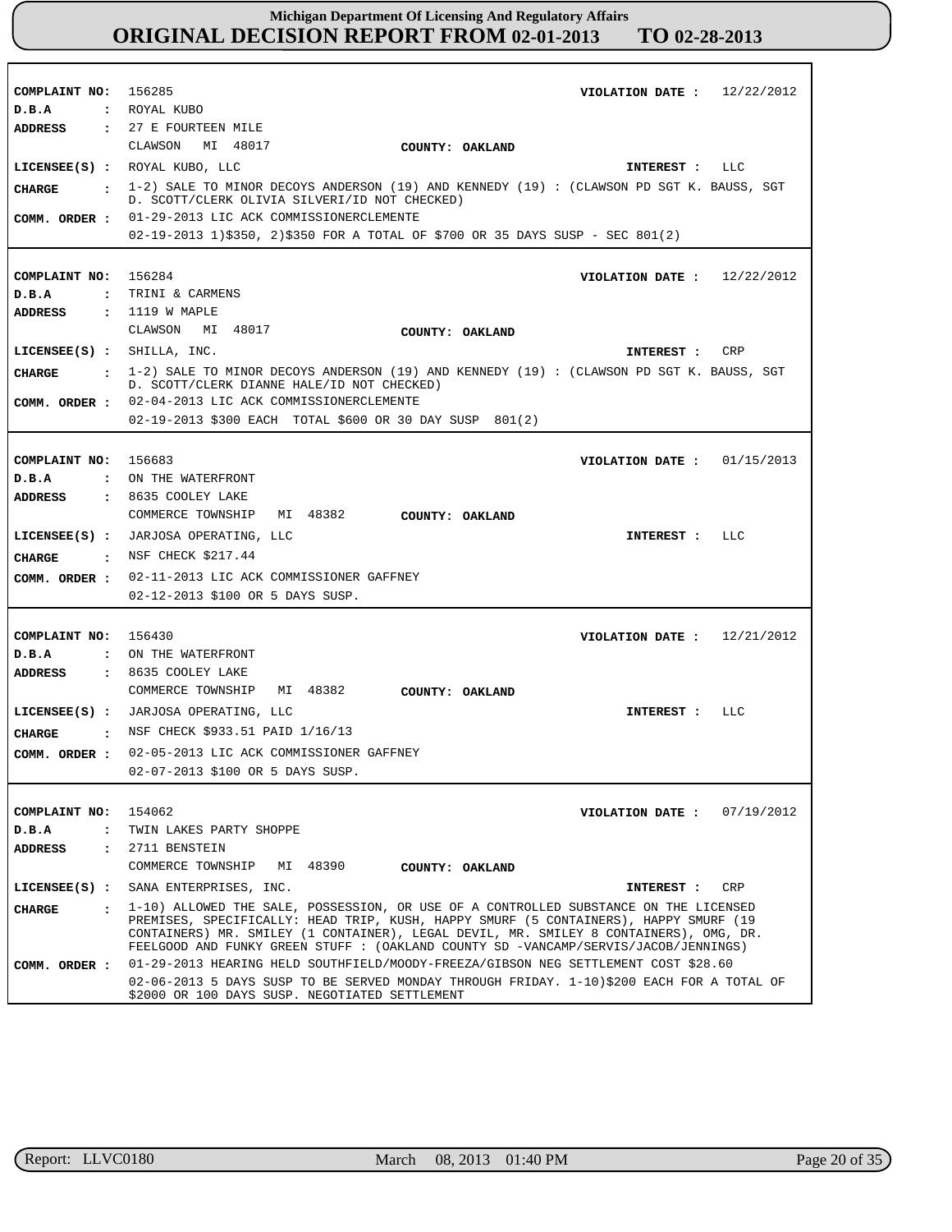| COMPLAINT NO: 156285                      | VIOLATION DATE: $12/22/2012$                                                                                                                                                                                                                                         |
|-------------------------------------------|----------------------------------------------------------------------------------------------------------------------------------------------------------------------------------------------------------------------------------------------------------------------|
| D.B.A                                     | : ROYAL KUBO                                                                                                                                                                                                                                                         |
| ADDRESS                                   | : 27 E FOURTEEN MILE                                                                                                                                                                                                                                                 |
|                                           | CLAWSON MI 48017<br>COUNTY: OAKLAND                                                                                                                                                                                                                                  |
|                                           | $LICENSEE(S)$ : ROYAL KUBO, LLC<br>INTEREST : LLC                                                                                                                                                                                                                    |
| CIIARGE<br>$\ddot{\mathbf{r}}$            | 1-2) SALE TO MINOR DECOYS ANDERSON (19) AND KENNEDY (19): (CLAWSON PD SGT K. BAUSS, SGT<br>D. SCOTT/CLERK OLIVIA SILVERI/ID NOT CHECKED)                                                                                                                             |
| COMM. ORDER :                             | 01-29-2013 LIC ACK COMMISSIONERCLEMENTE                                                                                                                                                                                                                              |
|                                           | 02-19-2013 1)\$350, 2)\$350 FOR A TOTAL OF \$700 OR 35 DAYS SUSP - SEC 801(2)                                                                                                                                                                                        |
|                                           |                                                                                                                                                                                                                                                                      |
| COMPLAINT NO: 156284                      | VIOLATION DATE: $12/22/2012$                                                                                                                                                                                                                                         |
| D.B.A                                     | : TRINI & CARMENS                                                                                                                                                                                                                                                    |
| ADDRESS                                   | : 1119 W MAPLE                                                                                                                                                                                                                                                       |
|                                           | CLAWSON MI 48017<br>COUNTY: OAKLAND                                                                                                                                                                                                                                  |
| $LICENSEE(S)$ : SHILLA, INC.              | CRP<br>INTEREST :                                                                                                                                                                                                                                                    |
|                                           |                                                                                                                                                                                                                                                                      |
| <b>CHARGE</b>                             | $\pm$ 1-2) SALE TO MINOR DECOYS ANDERSON (19) AND KENNEDY (19): (CLAWSON PD SGT K. BAUSS, SGT<br>D. SCOTT/CLERK DIANNE HALE/ID NOT CHECKED)                                                                                                                          |
| COMM. ORDER :                             | 02-04-2013 LIC ACK COMMISSIONERCLEMENTE                                                                                                                                                                                                                              |
|                                           | 02-19-2013 \$300 EACH TOTAL \$600 OR 30 DAY SUSP 801(2)                                                                                                                                                                                                              |
|                                           |                                                                                                                                                                                                                                                                      |
| COMPLAINT NO: 156683                      | 01/15/2013<br>VIOLATION DATE :                                                                                                                                                                                                                                       |
| D.B.A<br>$\mathbf{r}$                     | ON THE WATERFRONT                                                                                                                                                                                                                                                    |
| <b>ADDRESS</b>                            | : 8635 COOLEY LAKE                                                                                                                                                                                                                                                   |
|                                           | MI 48382<br>COMMERCE TOWNSHIP<br>COUNTY: OAKLAND                                                                                                                                                                                                                     |
| $LICENSEE(S)$ :                           | JARJOSA OPERATING, LLC<br>INTEREST : LLC                                                                                                                                                                                                                             |
|                                           | NSF CHECK \$217.44                                                                                                                                                                                                                                                   |
| CHARGE<br>$\sim$ $\sim$ $\sim$ $\sim$     |                                                                                                                                                                                                                                                                      |
| COMM. ORDER :                             | 02-11-2013 LIC ACK COMMISSIONER GAFFNEY                                                                                                                                                                                                                              |
|                                           | 02-12-2013 \$100 OR 5 DAYS SUSP.                                                                                                                                                                                                                                     |
|                                           |                                                                                                                                                                                                                                                                      |
| COMPLAINT NO:                             | 156430<br>12/21/2012<br>VIOLATION DATE :                                                                                                                                                                                                                             |
| D.B.A                                     | : ON THE WATERFRONT                                                                                                                                                                                                                                                  |
| ADDRESS                                   | : 8635 COOLEY LAKE                                                                                                                                                                                                                                                   |
|                                           | COMMERCE TOWNSHIP<br>MI 48382<br>COUNTY: OAKLAND                                                                                                                                                                                                                     |
| $LICENSEE(S)$ :                           | JARJOSA OPERATING, LLC<br>LLC<br>INTEREST :                                                                                                                                                                                                                          |
| CHARGE<br><b>Contract Contract Street</b> | NSF CHECK \$933.51 PAID 1/16/13                                                                                                                                                                                                                                      |
| COMM. ORDER :                             | 02-05-2013 LIC ACK COMMISSIONER GAFFNEY                                                                                                                                                                                                                              |
|                                           | 02-07-2013 \$100 OR 5 DAYS SUSP.                                                                                                                                                                                                                                     |
|                                           |                                                                                                                                                                                                                                                                      |
| COMPLAINT NO:                             | 154062<br>07/19/2012<br>VIOLATION DATE :                                                                                                                                                                                                                             |
| D.B.A<br>$\ddot{\cdot}$                   | TWIN LAKES PARTY SHOPPE                                                                                                                                                                                                                                              |
| ADDRESS                                   | $: 2711$ BENSTEIN                                                                                                                                                                                                                                                    |
|                                           | COMMERCE TOWNSHIP<br>MI 48390<br>COUNTY: OAKLAND                                                                                                                                                                                                                     |
| $LICENSEE(S)$ :                           | CRP<br>SANA ENTERPRISES, INC.<br>INTEREST :                                                                                                                                                                                                                          |
| <b>CHARGE</b><br>$\mathbf{r}$             | 1-10) ALLOWED THE SALE, POSSESSION, OR USE OF A CONTROLLED SUBSTANCE ON THE LICENSED                                                                                                                                                                                 |
|                                           | PREMISES, SPECIFICALLY: HEAD TRIP, KUSH, HAPPY SMURF (5 CONTAINERS), HAPPY SMURF (19<br>CONTAINERS) MR. SMILEY (1 CONTAINER), LEGAL DEVIL, MR. SMILEY 8 CONTAINERS), OMG, DR.<br>FEELGOOD AND FUNKY GREEN STUFF : (OAKLAND COUNTY SD -VANCAMP/SERVIS/JACOB/JENNINGS) |
| COMM. ORDER :                             | 01-29-2013 HEARING HELD SOUTHFIELD/MOODY-FREEZA/GIBSON NEG SETTLEMENT COST \$28.60                                                                                                                                                                                   |
|                                           | 02-06-2013 5 DAYS SUSP TO BE SERVED MONDAY THROUGH FRIDAY. 1-10)\$200 EACH FOR A TOTAL OF<br>\$2000 OR 100 DAYS SUSP. NEGOTIATED SETTLEMENT                                                                                                                          |

٦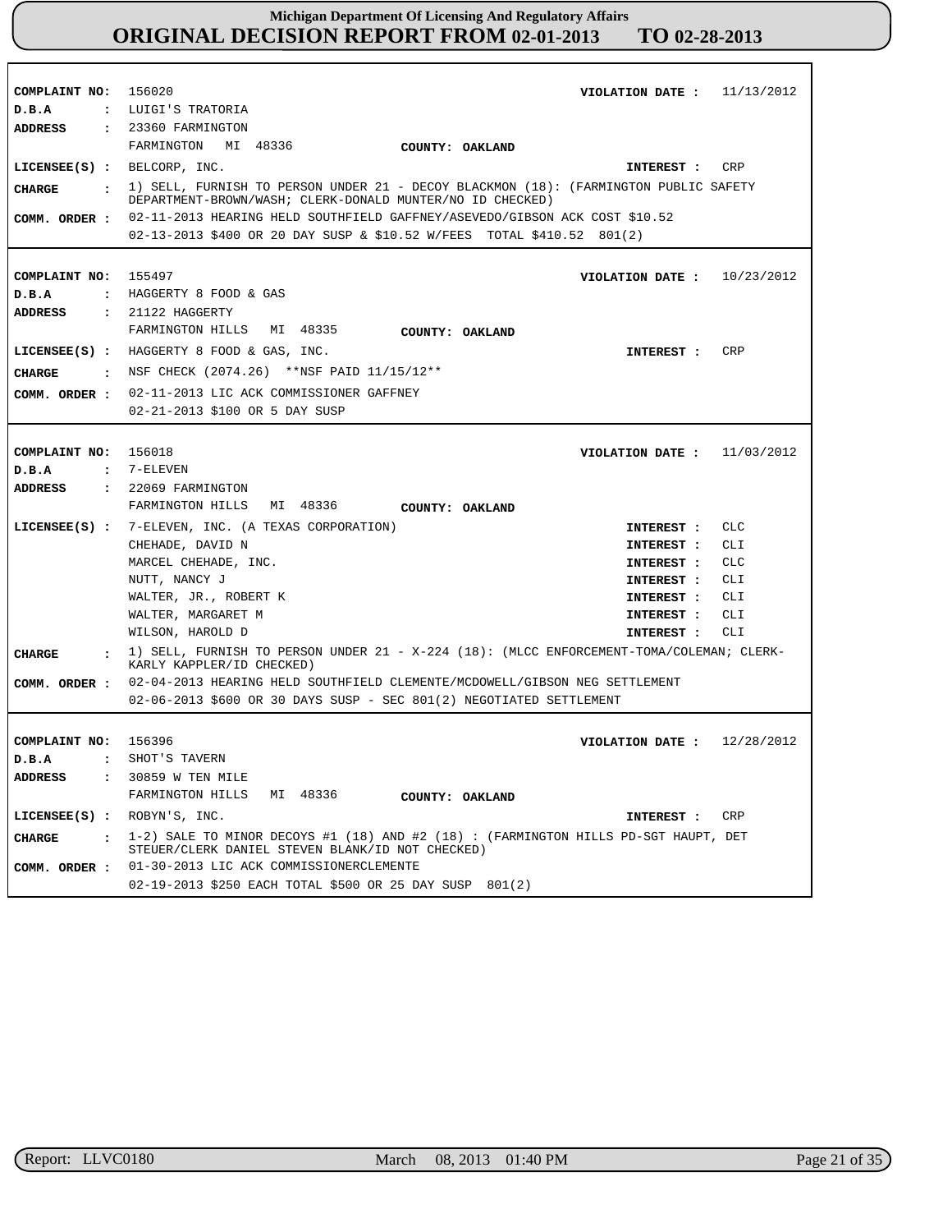| COMPLAINT NO: 156020           | VIOLATION DATE: $11/13/2012$                                                                                                                        |
|--------------------------------|-----------------------------------------------------------------------------------------------------------------------------------------------------|
| D.B.A                          | : LUIGI'S TRATORIA                                                                                                                                  |
| ADDRESS                        | : 23360 FARMINGTON                                                                                                                                  |
|                                | FARMINGTON MI 48336<br>COUNTY: OAKLAND                                                                                                              |
|                                | LICENSEE(S) : BELCORP, INC.<br>INTEREST : CRP                                                                                                       |
| CHARGE                         | : 1) SELL, FURNISH TO PERSON UNDER 21 - DECOY BLACKMON (18): (FARMINGTON PUBLIC SAFETY<br>DEPARTMENT-BROWN/WASH; CLERK-DONALD MUNTER/NO ID CHECKED) |
| COMM. ORDER :                  | 02-11-2013 HEARING HELD SOUTHFIELD GAFFNEY/ASEVEDO/GIBSON ACK COST \$10.52                                                                          |
|                                | 02-13-2013 \$400 OR 20 DAY SUSP & \$10.52 W/FEES TOTAL \$410.52 801(2)                                                                              |
|                                |                                                                                                                                                     |
| COMPLAINT NO: 155497           | VIOLATION DATE: $10/23/2012$                                                                                                                        |
| D.B.A                          | : HAGGERTY 8 FOOD & GAS                                                                                                                             |
| <b>ADDRESS</b>                 | $: 21122$ HAGGERTY                                                                                                                                  |
|                                | FARMINGTON HILLS MI 48335                                                                                                                           |
|                                | <b>COUNTY: OAKLAND</b>                                                                                                                              |
|                                | LICENSEE(S) : HAGGERTY 8 FOOD & GAS, INC.<br>CRP<br><b>INTEREST :</b>                                                                               |
| <b>CHARGE</b>                  | : NSF CHECK (2074.26) **NSF PAID 11/15/12**                                                                                                         |
| COMM. ORDER :                  | 02-11-2013 LIC ACK COMMISSIONER GAFFNEY                                                                                                             |
|                                | 02-21-2013 \$100 OR 5 DAY SUSP                                                                                                                      |
|                                |                                                                                                                                                     |
| COMPLAINT NO:                  | VIOLATION DATE: $11/03/2012$<br>156018                                                                                                              |
| D.B.A<br>$\mathbf{r}$          | 7-ELEVEN                                                                                                                                            |
| ADDRESS                        | $: 22069$ FARMINGTON                                                                                                                                |
|                                | FARMINGTON HILLS MI 48336<br>COUNTY: OAKLAND                                                                                                        |
|                                | <b>CLC</b><br>LICENSEE(S) : 7-ELEVEN, INC. (A TEXAS CORPORATION)<br>INTEREST :                                                                      |
|                                | CHEHADE, DAVID N<br>CLI.<br>INTEREST :                                                                                                              |
|                                | MARCEL CHEHADE, INC.<br><b>CLC</b><br>INTEREST :                                                                                                    |
|                                | NUTT, NANCY J<br>CLI<br>INTEREST :                                                                                                                  |
|                                | WALTER, JR., ROBERT K<br>CLI.<br>INTEREST :                                                                                                         |
|                                | WALTER, MARGARET M<br>CLI<br>INTEREST :                                                                                                             |
|                                | WILSON, HAROLD D<br>CLI<br>INTEREST :                                                                                                               |
|                                | 1) SELL, FURNISH TO PERSON UNDER 21 - X-224 (18): (MLCC ENFORCEMENT-TOMA/COLEMAN; CLERK-                                                            |
| <b>CHARGE</b>                  | KARLY KAPPLER/ID CHECKED)                                                                                                                           |
| COMM. ORDER :                  | 02-04-2013 HEARING HELD SOUTHFIELD CLEMENTE/MCDOWELL/GIBSON NEG SETTLEMENT                                                                          |
|                                | 02-06-2013 \$600 OR 30 DAYS SUSP - SEC 801(2) NEGOTIATED SETTLEMENT                                                                                 |
|                                |                                                                                                                                                     |
| COMPLAINT NO: 156396           | VIOLATION DATE: $12/28/2012$                                                                                                                        |
| D.B.A                          | SHOT'S TAVERN                                                                                                                                       |
| <b>ADDRESS</b><br>$\mathbf{r}$ | 30859 W TEN MILE                                                                                                                                    |
|                                | FARMINGTON HILLS<br>MI 48336<br>COUNTY: OAKLAND                                                                                                     |
| LICENSE (S) : ROBYN'S, INC.    | CRP<br><b>INTEREST :</b>                                                                                                                            |
| <b>CHARGE</b><br>$\mathbf{r}$  | 1-2) SALE TO MINOR DECOYS #1 (18) AND #2 (18) : (FARMINGTON HILLS PD-SGT HAUPT, DET<br>STEUER/CLERK DANIEL STEVEN BLANK/ID NOT CHECKED)             |
| COMM. ORDER :                  | 01-30-2013 LIC ACK COMMISSIONERCLEMENTE                                                                                                             |
|                                | 02-19-2013 \$250 EACH TOTAL \$500 OR 25 DAY SUSP 801(2)                                                                                             |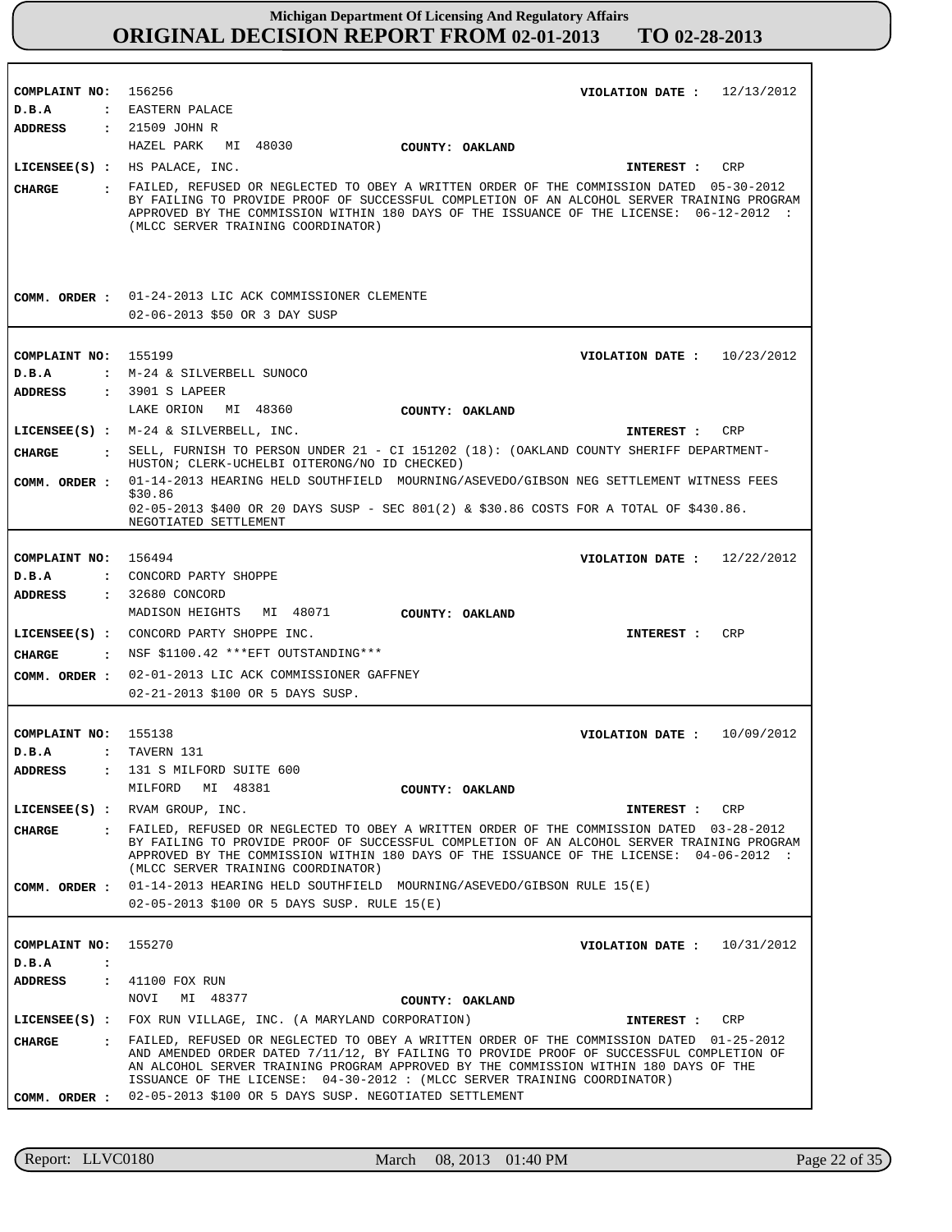| COMPLAINT NO: 156256             | VIOLATION DATE: $12/13/2012$                                                                                                                                                                                                                                                                                                                                                                                       |
|----------------------------------|--------------------------------------------------------------------------------------------------------------------------------------------------------------------------------------------------------------------------------------------------------------------------------------------------------------------------------------------------------------------------------------------------------------------|
| D.B.A                            | : EASTERN PALACE                                                                                                                                                                                                                                                                                                                                                                                                   |
| ADDRESS                          | : 21509 JOHN R                                                                                                                                                                                                                                                                                                                                                                                                     |
|                                  | HAZEL PARK MI 48030<br>COUNTY: OAKLAND                                                                                                                                                                                                                                                                                                                                                                             |
|                                  | LICENSEE(S) : HS PALACE, INC.<br>CRP<br>INTEREST :                                                                                                                                                                                                                                                                                                                                                                 |
| CHARGE                           | . FAILED, REFUSED OR NEGLECTED TO OBEY A WRITTEN ORDER OF THE COMMISSION DATED 05-30-2012<br>BY FAILING TO PROVIDE PROOF OF SUCCESSFUL COMPLETION OF AN ALCOHOL SERVER TRAINING PROGRAM<br>APPROVED BY THE COMMISSION WITHIN 180 DAYS OF THE ISSUANCE OF THE LICENSE: 06-12-2012 :<br>(MLCC SERVER TRAINING COORDINATOR)                                                                                           |
|                                  | COMM. ORDER : 01-24-2013 LIC ACK COMMISSIONER CLEMENTE<br>02-06-2013 \$50 OR 3 DAY SUSP                                                                                                                                                                                                                                                                                                                            |
|                                  |                                                                                                                                                                                                                                                                                                                                                                                                                    |
| COMPLAINT NO: 155199             | VIOLATION DATE: $10/23/2012$                                                                                                                                                                                                                                                                                                                                                                                       |
| D.B.A                            | : M-24 & SILVERBELL SUNOCO                                                                                                                                                                                                                                                                                                                                                                                         |
| <b>ADDRESS</b>                   | : 3901 S LAPEER<br>LAKE ORION MI 48360                                                                                                                                                                                                                                                                                                                                                                             |
|                                  | COUNTY: OAKLAND                                                                                                                                                                                                                                                                                                                                                                                                    |
|                                  | LICENSEE(S) : M-24 & SILVERBELL, INC.<br>CRP<br>INTEREST :                                                                                                                                                                                                                                                                                                                                                         |
| <b>CIIARGE</b>                   | : SELL, FURNISH TO PERSON UNDER 21 - CI 151202 (18): (OAKLAND COUNTY SHERIFF DEPARTMENT-<br>HUSTON; CLERK-UCHELBI OITERONG/NO ID CHECKED)                                                                                                                                                                                                                                                                          |
| COMM. ORDER :                    | 01-14-2013 HEARING HELD SOUTHFIELD MOURNING/ASEVEDO/GIBSON NEG SETTLEMENT WITNESS FEES                                                                                                                                                                                                                                                                                                                             |
|                                  | \$30.86<br>02-05-2013 \$400 OR 20 DAYS SUSP - SEC 801(2) & \$30.86 COSTS FOR A TOTAL OF \$430.86.<br>NEGOTIATED SETTLEMENT                                                                                                                                                                                                                                                                                         |
|                                  |                                                                                                                                                                                                                                                                                                                                                                                                                    |
| COMPLAINT NO: 156494             | 12/22/2012<br>VIOLATION DATE :                                                                                                                                                                                                                                                                                                                                                                                     |
| D.B.A                            | : CONCORD PARTY SHOPPE                                                                                                                                                                                                                                                                                                                                                                                             |
| ADDRESS                          | : 32680 CONCORD                                                                                                                                                                                                                                                                                                                                                                                                    |
|                                  | MADISON HEIGHTS MI 48071<br>COUNTY: OAKLAND                                                                                                                                                                                                                                                                                                                                                                        |
|                                  | LICENSEE(S) : CONCORD PARTY SHOPPE INC.<br><b>CRP</b><br>INTEREST :                                                                                                                                                                                                                                                                                                                                                |
| CHARGE                           | : NSF \$1100.42 *** EFT OUTSTANDING***                                                                                                                                                                                                                                                                                                                                                                             |
| COMM. ORDER :                    | 02-01-2013 LIC ACK COMMISSIONER GAFFNEY                                                                                                                                                                                                                                                                                                                                                                            |
|                                  | 02-21-2013 \$100 OR 5 DAYS SUSP.                                                                                                                                                                                                                                                                                                                                                                                   |
|                                  |                                                                                                                                                                                                                                                                                                                                                                                                                    |
| COMPLAINT NO: 155138             | 10/09/2012<br>VIOLATION DATE :                                                                                                                                                                                                                                                                                                                                                                                     |
| D.B.A                            | : TAVERN 131                                                                                                                                                                                                                                                                                                                                                                                                       |
| <b>ADDRESS</b><br>$\ddot{\cdot}$ | 131 S MILFORD SUITE 600                                                                                                                                                                                                                                                                                                                                                                                            |
|                                  | MILFORD<br>MI 48381<br>COUNTY: OAKLAND                                                                                                                                                                                                                                                                                                                                                                             |
|                                  | LICENSEE(S) : RVAM GROUP, INC.<br>CRP<br>INTEREST :                                                                                                                                                                                                                                                                                                                                                                |
| <b>CHARGE</b>                    | . FAILED, REFUSED OR NEGLECTED TO OBEY A WRITTEN ORDER OF THE COMMISSION DATED 03-28-2012<br>BY FAILING TO PROVIDE PROOF OF SUCCESSFUL COMPLETION OF AN ALCOHOL SERVER TRAINING PROGRAM<br>APPROVED BY THE COMMISSION WITHIN 180 DAYS OF THE ISSUANCE OF THE LICENSE: 04-06-2012 :<br>(MLCC SERVER TRAINING COORDINATOR)                                                                                           |
| COMM. ORDER :                    | 01-14-2013 HEARING HELD SOUTHFIELD MOURNING/ASEVEDO/GIBSON RULE 15(E)                                                                                                                                                                                                                                                                                                                                              |
|                                  | 02-05-2013 \$100 OR 5 DAYS SUSP. RULE 15(E)                                                                                                                                                                                                                                                                                                                                                                        |
|                                  |                                                                                                                                                                                                                                                                                                                                                                                                                    |
| COMPLAINT NO:                    | 155270<br>VIOLATION DATE: $10/31/2012$                                                                                                                                                                                                                                                                                                                                                                             |
| D.B.A<br>$\ddot{\cdot}$          |                                                                                                                                                                                                                                                                                                                                                                                                                    |
| <b>ADDRESS</b>                   | : 41100 FOX RUN                                                                                                                                                                                                                                                                                                                                                                                                    |
|                                  | MI 48377<br>NOVI<br>COUNTY: OAKLAND                                                                                                                                                                                                                                                                                                                                                                                |
|                                  | LICENSEE(S) : FOX RUN VILLAGE, INC. (A MARYLAND CORPORATION)<br>INTEREST :<br>CRP                                                                                                                                                                                                                                                                                                                                  |
| CHARGE                           | : FAILED, REFUSED OR NEGLECTED TO OBEY A WRITTEN ORDER OF THE COMMISSION DATED 01-25-2012<br>AND AMENDED ORDER DATED 7/11/12, BY FAILING TO PROVIDE PROOF OF SUCCESSFUL COMPLETION OF<br>AN ALCOHOL SERVER TRAINING PROGRAM APPROVED BY THE COMMISSION WITHIN 180 DAYS OF THE<br>ISSUANCE OF THE LICENSE: 04-30-2012: (MLCC SERVER TRAINING COORDINATOR)<br>02-05-2013 \$100 OR 5 DAYS SUSP. NEGOTIATED SETTLEMENT |
| COMM. ORDER :                    |                                                                                                                                                                                                                                                                                                                                                                                                                    |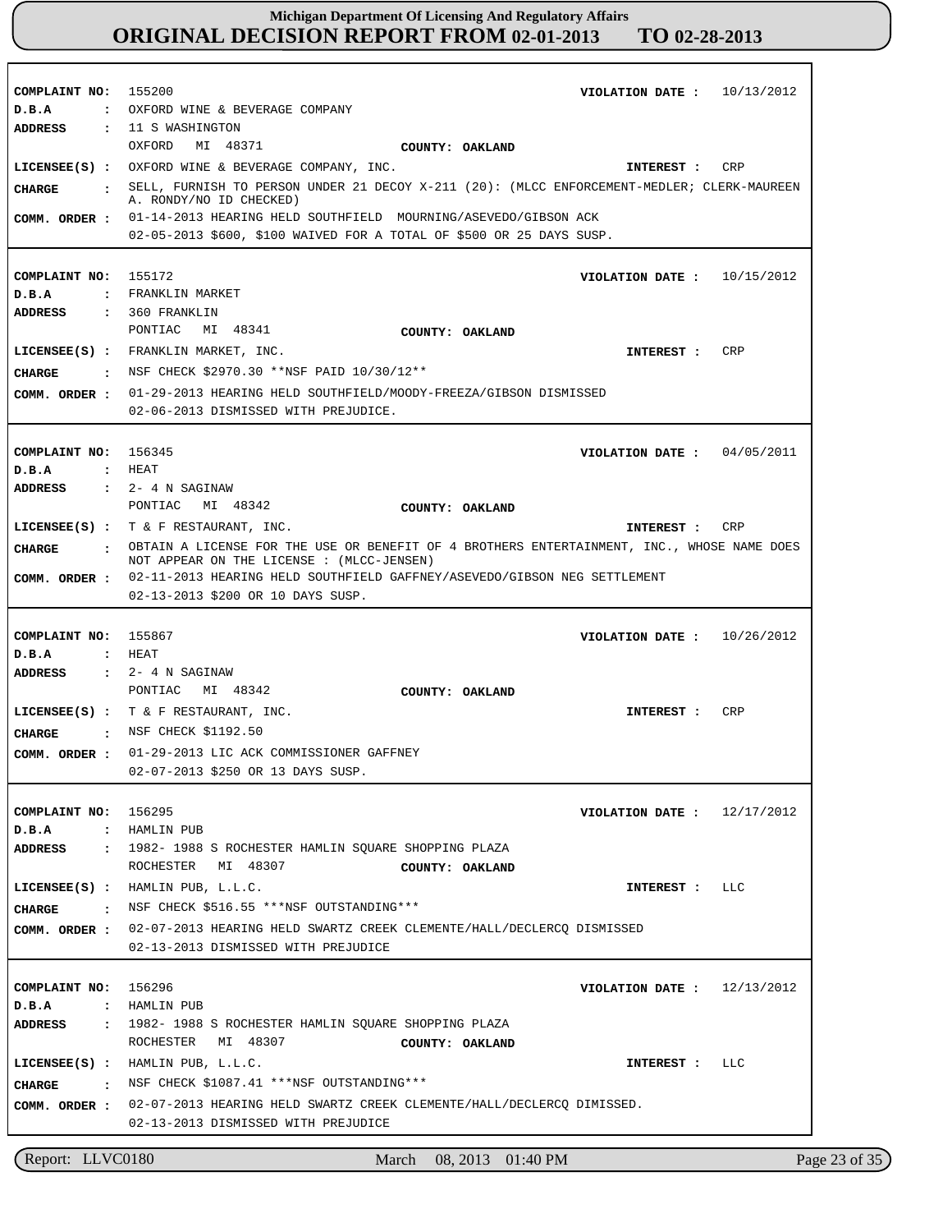**COMPLAINT NO:** 155200 **COMPLAINT NO:** 155172 **COMPLAINT NO:** 156345 **COMPLAINT NO:** 155867 **COMPLAINT NO:** 156295 **COMPLAINT NO:** 156296 **VIOLATION DATE : VIOLATION DATE :** 10/15/2012 **VIOLATION DATE : VIOLATION DATE :** 10/26/2012 **VIOLATION DATE : VIOLATION DATE :** 12/13/2012 10/13/2012 04/05/2011 12/17/2012 **D.B.A : D.B.A : D.B.A : D.B.A : D.B.A : D.B.A :** OXFORD WINE & BEVERAGE COMPANY FRANKLIN MARKET HEAT HEAT HAMLIN PUB HAMLIN PUB **ADDRESS : ADDRESS : ADDRESS : ADDRESS : ADDRESS : ADDRESS :** 11 S WASHINGTON 360 FRANKLIN 2- 4 N SAGINAW 2- 4 N SAGINAW 1982- 1988 S ROCHESTER HAMLIN SQUARE SHOPPING PLAZA 1982- 1988 S ROCHESTER HAMLIN SQUARE SHOPPING PLAZA OXFORD MI 48371 PONTIAC MI 48341 PONTIAC MI 48342 PONTIAC MI 48342 ROCHESTER MI 48307 ROCHESTER MI 48307 COMM. ORDER :  $01-14-2013$  HEARING HELD SOUTHFIELD MOURNING/ASEVEDO/GIBSON ACK 02-05-2013 \$600, \$100 WAIVED FOR A TOTAL OF \$500 OR 25 DAYS SUSP. 01-29-2013 HEARING HELD SOUTHFIELD/MOODY-FREEZA/GIBSON DISMISSED **COMM. ORDER :** 02-06-2013 DISMISSED WITH PREJUDICE. 02-11-2013 HEARING HELD SOUTHFIELD GAFFNEY/ASEVEDO/GIBSON NEG SETTLEMENT **COMM. ORDER :** 02-13-2013 \$200 OR 10 DAYS SUSP. 01-29-2013 LIC ACK COMMISSIONER GAFFNEY **COMM. ORDER :** 02-07-2013 \$250 OR 13 DAYS SUSP. 02-07-2013 HEARING HELD SWARTZ CREEK CLEMENTE/HALL/DECLERCQ DISMISSED **COMM. ORDER :** 02-13-2013 DISMISSED WITH PREJUDICE 02-07-2013 HEARING HELD SWARTZ CREEK CLEMENTE/HALL/DECLERCQ DIMISSED. **COMM. ORDER :** 02-13-2013 DISMISSED WITH PREJUDICE **LICENSEE(S) :** OXFORD WINE & BEVERAGE COMPANY, INC. **LICENSEE(S) :** FRANKLIN MARKET, INC. **LICENSEE(S) :** T & F RESTAURANT, INC. **LICENSEE(S) :** T & F RESTAURANT, INC. **LICENSEE(S) :** HAMLIN PUB, L.L.C. **LICENSEE(S) :** HAMLIN PUB, L.L.C. CRP CRP CR<sub>P</sub> CRP  $L.L.C$ LLC **CHARGE : CHARGE : CHARGE : CHARGE : CHARGE : CHARGE :** SELL, FURNISH TO PERSON UNDER 21 DECOY X-211 (20): (MLCC ENFORCEMENT-MEDLER; CLERK-MAUREEN A. RONDY/NO ID CHECKED) : NSF CHECK \$2970.30 \*\*NSF PAID 10/30/12\*\* OBTAIN A LICENSE FOR THE USE OR BENEFIT OF 4 BROTHERS ENTERTAINMENT, INC., WHOSE NAME DOES NOT APPEAR ON THE LICENSE : (MLCC-JENSEN) : NSF CHECK \$1192.50 NSF CHECK \$516.55 \*\*\*NSF OUTSTANDING\*\*\* NSF CHECK \$1087.41 \*\*\*NSF OUTSTANDING\*\*\* **INTEREST : INTEREST : INTEREST : INTEREST : INTEREST : INTEREST : COUNTY: OAKLAND COUNTY: OAKLAND COUNTY: OAKLAND COUNTY: OAKLAND COUNTY: OAKLAND COUNTY: OAKLAND**

Report: LLVC0180 March 08, 2013 01:40 PM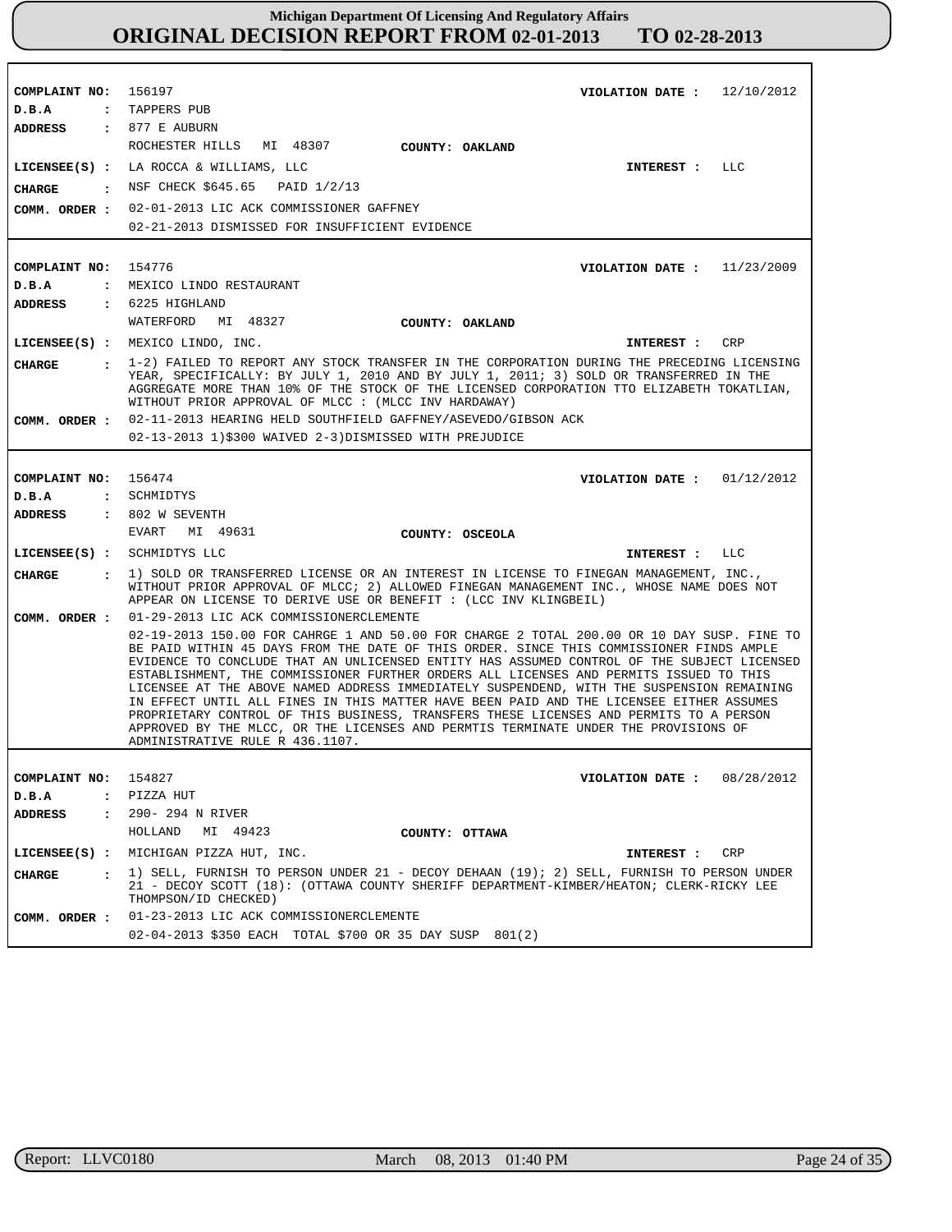| COMPLAINT NO: 156197        | VIOLATION DATE: $12/10/2012$                                                                                                                                                                                                                                                                                                                                                                                                                                                                                                                                                                                                                                                                                                                                                              |
|-----------------------------|-------------------------------------------------------------------------------------------------------------------------------------------------------------------------------------------------------------------------------------------------------------------------------------------------------------------------------------------------------------------------------------------------------------------------------------------------------------------------------------------------------------------------------------------------------------------------------------------------------------------------------------------------------------------------------------------------------------------------------------------------------------------------------------------|
| D.B.A                       | : TAPPERS PUB                                                                                                                                                                                                                                                                                                                                                                                                                                                                                                                                                                                                                                                                                                                                                                             |
| ADDRESS : 877 E AUBURN      |                                                                                                                                                                                                                                                                                                                                                                                                                                                                                                                                                                                                                                                                                                                                                                                           |
|                             | ROCHESTER HILLS MI 48307 COUNTY: OAKLAND                                                                                                                                                                                                                                                                                                                                                                                                                                                                                                                                                                                                                                                                                                                                                  |
|                             | LICENSEE(S) : LA ROCCA & WILLIAMS, LLC<br>INTEREST : LLC                                                                                                                                                                                                                                                                                                                                                                                                                                                                                                                                                                                                                                                                                                                                  |
| <b>CHARGE</b>               | : NSF CHECK \$645.65 PAID 1/2/13                                                                                                                                                                                                                                                                                                                                                                                                                                                                                                                                                                                                                                                                                                                                                          |
|                             | COMM. ORDER : 02-01-2013 LIC ACK COMMISSIONER GAFFNEY                                                                                                                                                                                                                                                                                                                                                                                                                                                                                                                                                                                                                                                                                                                                     |
|                             | 02-21-2013 DISMISSED FOR INSUFFICIENT EVIDENCE                                                                                                                                                                                                                                                                                                                                                                                                                                                                                                                                                                                                                                                                                                                                            |
|                             |                                                                                                                                                                                                                                                                                                                                                                                                                                                                                                                                                                                                                                                                                                                                                                                           |
| COMPLAINT NO: 154776        | VIOLATION DATE: $11/23/2009$                                                                                                                                                                                                                                                                                                                                                                                                                                                                                                                                                                                                                                                                                                                                                              |
| D.B.A                       | : MEXICO LINDO RESTAURANT                                                                                                                                                                                                                                                                                                                                                                                                                                                                                                                                                                                                                                                                                                                                                                 |
| ADDRESS                     | $: 6225$ HIGHLAND                                                                                                                                                                                                                                                                                                                                                                                                                                                                                                                                                                                                                                                                                                                                                                         |
|                             | WATERFORD MI 48327<br><b>COUNTY: OAKLAND</b>                                                                                                                                                                                                                                                                                                                                                                                                                                                                                                                                                                                                                                                                                                                                              |
|                             | LICENSEE(S) : MEXICO LINDO, INC.<br>INTEREST : CRP                                                                                                                                                                                                                                                                                                                                                                                                                                                                                                                                                                                                                                                                                                                                        |
| CHARGE                      | : 1-2) FAILED TO REPORT ANY STOCK TRANSFER IN THE CORPORATION DURING THE PRECEDING LICENSING<br>YEAR, SPECIFICALLY: BY JULY 1, 2010 AND BY JULY 1, 2011; 3) SOLD OR TRANSFERRED IN THE<br>AGGREGATE MORE THAN 10% OF THE STOCK OF THE LICENSED CORPORATION TTO ELIZABETH TOKATLIAN,<br>WITHOUT PRIOR APPROVAL OF MLCC : (MLCC INV HARDAWAY)                                                                                                                                                                                                                                                                                                                                                                                                                                               |
|                             | COMM. ORDER : 02-11-2013 HEARING HELD SOUTHFIELD GAFFNEY/ASEVEDO/GIBSON ACK                                                                                                                                                                                                                                                                                                                                                                                                                                                                                                                                                                                                                                                                                                               |
|                             | 02-13-2013 1)\$300 WAIVED 2-3)DISMISSED WITH PREJUDICE                                                                                                                                                                                                                                                                                                                                                                                                                                                                                                                                                                                                                                                                                                                                    |
|                             |                                                                                                                                                                                                                                                                                                                                                                                                                                                                                                                                                                                                                                                                                                                                                                                           |
| COMPLAINT NO: 156474        | VIOLATION DATE : $01/12/2012$                                                                                                                                                                                                                                                                                                                                                                                                                                                                                                                                                                                                                                                                                                                                                             |
| D.B.A                       | : SCHMIDTYS                                                                                                                                                                                                                                                                                                                                                                                                                                                                                                                                                                                                                                                                                                                                                                               |
| ADDRESS                     | : 802 W SEVENTH                                                                                                                                                                                                                                                                                                                                                                                                                                                                                                                                                                                                                                                                                                                                                                           |
|                             | EVART MI 49631<br>COUNTY: OSCEOLA                                                                                                                                                                                                                                                                                                                                                                                                                                                                                                                                                                                                                                                                                                                                                         |
| LICENSEE(S) : SCHMIDTYS LLC | INTEREST : LLC                                                                                                                                                                                                                                                                                                                                                                                                                                                                                                                                                                                                                                                                                                                                                                            |
| CIIARGE                     | . 1) SOLD OR TRANSFERRED LICENSE OR AN INTEREST IN LICENSE TO FINEGAN MANAGEMENT, INC.,<br>WITHOUT PRIOR APPROVAL OF MLCC; 2) ALLOWED FINEGAN MANAGEMENT INC., WHOSE NAME DOES NOT<br>APPEAR ON LICENSE TO DERIVE USE OR BENEFIT : (LCC INV KLINGBEIL)                                                                                                                                                                                                                                                                                                                                                                                                                                                                                                                                    |
|                             | COMM. ORDER : 01-29-2013 LIC ACK COMMISSIONERCLEMENTE                                                                                                                                                                                                                                                                                                                                                                                                                                                                                                                                                                                                                                                                                                                                     |
|                             | 02-19-2013 150.00 FOR CAHRGE 1 AND 50.00 FOR CHARGE 2 TOTAL 200.00 OR 10 DAY SUSP. FINE TO<br>BE PAID WITHIN 45 DAYS FROM THE DATE OF THIS ORDER. SINCE THIS COMMISSIONER FINDS AMPLE<br>EVIDENCE TO CONCLUDE THAT AN UNLICENSED ENTITY HAS ASSUMED CONTROL OF THE SUBJECT LICENSED<br>ESTABLISHMENT, THE COMMISSIONER FURTHER ORDERS ALL LICENSES AND PERMITS ISSUED TO THIS<br>LICENSEE AT THE ABOVE NAMED ADDRESS IMMEDIATELY SUSPENDEND, WITH THE SUSPENSION REMAINING<br>IN EFFECT UNTIL ALL FINES IN THIS MATTER HAVE BEEN PAID AND THE LICENSEE EITHER ASSUMES<br>PROPRIETARY CONTROL OF THIS BUSINESS, TRANSFERS THESE LICENSES AND PERMITS TO A PERSON<br>APPROVED BY THE MLCC, OR THE LICENSES AND PERMTIS TERMINATE UNDER THE PROVISIONS OF<br>ADMINISTRATIVE RULE R 436.1107. |
|                             |                                                                                                                                                                                                                                                                                                                                                                                                                                                                                                                                                                                                                                                                                                                                                                                           |
| COMPLAINT NO:               | 154827<br>VIOLATION DATE: 08/28/2012                                                                                                                                                                                                                                                                                                                                                                                                                                                                                                                                                                                                                                                                                                                                                      |
| D.B.A<br><b>ADDRESS</b>     | : PIZZA HUT<br>: 290- 294 N RIVER                                                                                                                                                                                                                                                                                                                                                                                                                                                                                                                                                                                                                                                                                                                                                         |
|                             | HOLLAND<br>MI 49423<br>COUNTY: OTTAWA                                                                                                                                                                                                                                                                                                                                                                                                                                                                                                                                                                                                                                                                                                                                                     |
|                             | LICENSEE(S) : MICHIGAN PIZZA HUT, INC.<br>INTEREST :<br>CRP                                                                                                                                                                                                                                                                                                                                                                                                                                                                                                                                                                                                                                                                                                                               |
|                             |                                                                                                                                                                                                                                                                                                                                                                                                                                                                                                                                                                                                                                                                                                                                                                                           |
| <b>CHARGE</b>               | . 1) SELL, FURNISH TO PERSON UNDER 21 - DECOY DEHAAN (19); 2) SELL, FURNISH TO PERSON UNDER<br>21 - DECOY SCOTT (18): (OTTAWA COUNTY SHERIFF DEPARTMENT-KIMBER/HEATON; CLERK-RICKY LEE<br>THOMPSON/ID CHECKED)                                                                                                                                                                                                                                                                                                                                                                                                                                                                                                                                                                            |
| COMM. ORDER :               | 01-23-2013 LIC ACK COMMISSIONERCLEMENTE                                                                                                                                                                                                                                                                                                                                                                                                                                                                                                                                                                                                                                                                                                                                                   |
|                             | 02-04-2013 \$350 EACH TOTAL \$700 OR 35 DAY SUSP 801(2)                                                                                                                                                                                                                                                                                                                                                                                                                                                                                                                                                                                                                                                                                                                                   |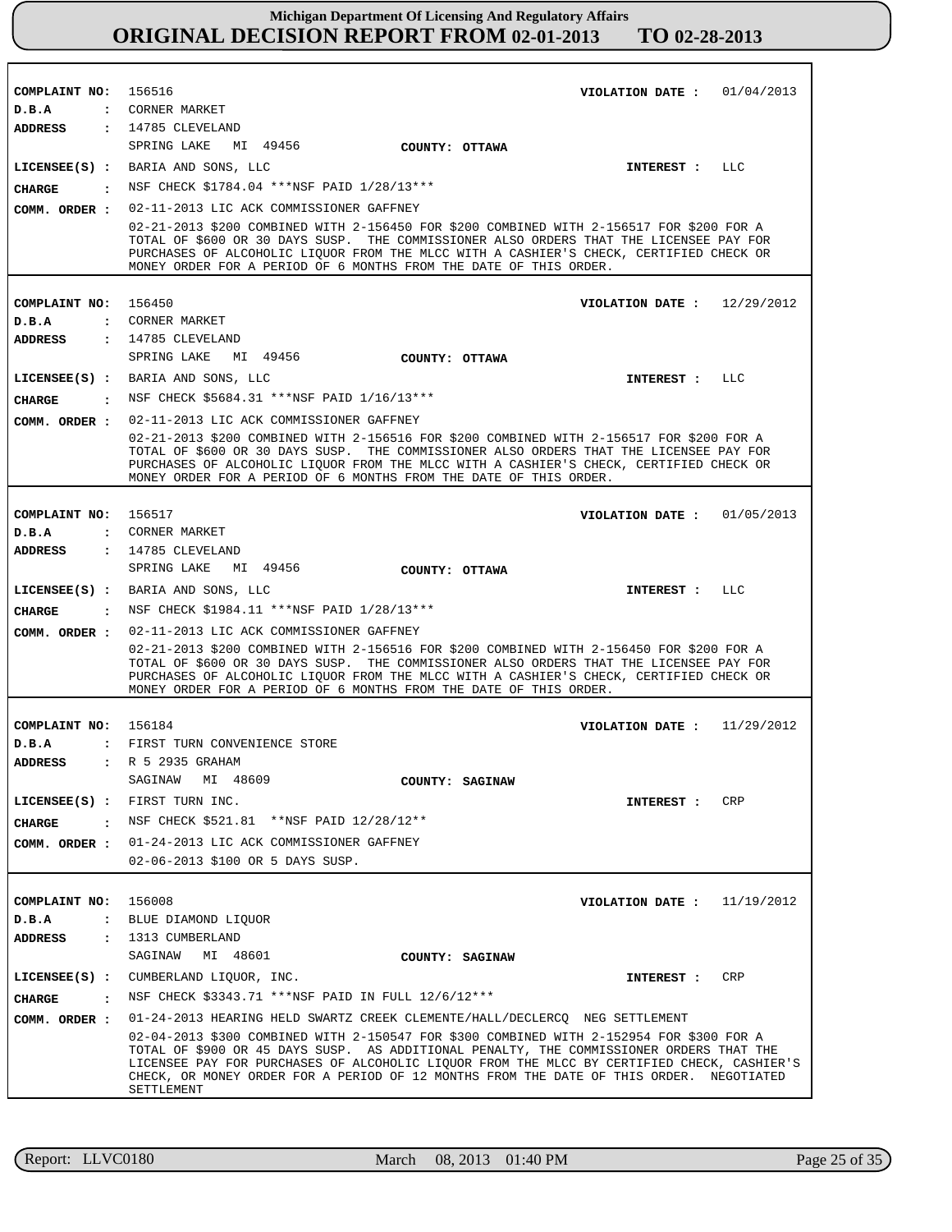| COMPLAINT NO: 156516 | VIOLATION DATE: $01/04/2013$                                                                                                                                                                                                                                                                                                                                                               |
|----------------------|--------------------------------------------------------------------------------------------------------------------------------------------------------------------------------------------------------------------------------------------------------------------------------------------------------------------------------------------------------------------------------------------|
| D.B.A                | : CORNER MARKET                                                                                                                                                                                                                                                                                                                                                                            |
| <b>ADDRESS</b>       | $: 14785$ CLEVELAND                                                                                                                                                                                                                                                                                                                                                                        |
|                      | SPRING LAKE MI 49456<br>COUNTY: OTTAWA                                                                                                                                                                                                                                                                                                                                                     |
|                      | LICENSEE(S) : BARIA AND SONS, LLC<br>INTEREST : LLC                                                                                                                                                                                                                                                                                                                                        |
| CHARGE               | : NSF CHECK \$1784.04 ***NSF PAID 1/28/13***                                                                                                                                                                                                                                                                                                                                               |
| COMM. ORDER :        | 02-11-2013 LIC ACK COMMISSIONER GAFFNEY                                                                                                                                                                                                                                                                                                                                                    |
|                      | 02-21-2013 \$200 COMBINED WITH 2-156450 FOR \$200 COMBINED WITH 2-156517 FOR \$200 FOR A<br>TOTAL OF \$600 OR 30 DAYS SUSP. THE COMMISSIONER ALSO ORDERS THAT THE LICENSEE PAY FOR<br>PURCHASES OF ALCOHOLIC LIQUOR FROM THE MLCC WITH A CASHIER'S CHECK, CERTIFIED CHECK OR<br>MONEY ORDER FOR A PERIOD OF 6 MONTHS FROM THE DATE OF THIS ORDER.                                          |
|                      |                                                                                                                                                                                                                                                                                                                                                                                            |
| COMPLAINT NO: 156450 | VIOLATION DATE: $12/29/2012$                                                                                                                                                                                                                                                                                                                                                               |
| D.B.A                | : CORNER MARKET                                                                                                                                                                                                                                                                                                                                                                            |
| ADDRESS              | $: 14785$ CLEVELAND                                                                                                                                                                                                                                                                                                                                                                        |
|                      | SPRING LAKE MI 49456<br>COUNTY: OTTAWA                                                                                                                                                                                                                                                                                                                                                     |
|                      | LICENSEE(S) : BARIA AND SONS, LLC<br>INTEREST : LLC                                                                                                                                                                                                                                                                                                                                        |
| <b>CHARGE</b>        | : NSF CHECK \$5684.31 ***NSF PAID $1/16/13$ ***                                                                                                                                                                                                                                                                                                                                            |
|                      | COMM. ORDER : 02-11-2013 LIC ACK COMMISSIONER GAFFNEY                                                                                                                                                                                                                                                                                                                                      |
|                      | 02-21-2013 \$200 COMBINED WITH 2-156516 FOR \$200 COMBINED WITH 2-156517 FOR \$200 FOR A<br>TOTAL OF \$600 OR 30 DAYS SUSP. THE COMMISSIONER ALSO ORDERS THAT THE LICENSEE PAY FOR<br>PURCHASES OF ALCOHOLIC LIQUOR FROM THE MLCC WITH A CASHIER'S CHECK, CERTIFIED CHECK OR<br>MONEY ORDER FOR A PERIOD OF 6 MONTHS FROM THE DATE OF THIS ORDER.                                          |
|                      |                                                                                                                                                                                                                                                                                                                                                                                            |
| COMPLAINT NO: 156517 | VIOLATION DATE: 01/05/2013                                                                                                                                                                                                                                                                                                                                                                 |
| D.B.A                | : CORNER MARKET                                                                                                                                                                                                                                                                                                                                                                            |
| ADDRESS              | : 14785 CLEVELAND<br>SPRING LAKE MI 49456<br>COUNTY: OTTAWA                                                                                                                                                                                                                                                                                                                                |
|                      | LICENSEE(S) : BARIA AND SONS, LLC<br>INTEREST : LLC                                                                                                                                                                                                                                                                                                                                        |
| CHARGE               | : NSF CHECK \$1984.11 ***NSF PAID 1/28/13***                                                                                                                                                                                                                                                                                                                                               |
| COMM. ORDER :        | 02-11-2013 LIC ACK COMMISSIONER GAFFNEY                                                                                                                                                                                                                                                                                                                                                    |
|                      | 02-21-2013 \$200 COMBINED WITH 2-156516 FOR \$200 COMBINED WITH 2-156450 FOR \$200 FOR A<br>TOTAL OF \$600 OR 30 DAYS SUSP. THE COMMISSIONER ALSO ORDERS THAT THE LICENSEE PAY FOR<br>PURCHASES OF ALCOHOLIC LIQUOR FROM THE MLCC WITH A CASHIER'S CHECK, CERTIFIED CHECK OR<br>MONEY ORDER FOR A PERIOD OF 6 MONTHS FROM THE DATE OF THIS ORDER.                                          |
|                      |                                                                                                                                                                                                                                                                                                                                                                                            |
| COMPLAINT NO: 156184 | VIOLATION DATE: $11/29/2012$                                                                                                                                                                                                                                                                                                                                                               |
| D.B.A                | : FIRST TURN CONVENIENCE STORE                                                                                                                                                                                                                                                                                                                                                             |
|                      | ADDRESS : R 5 2935 GRAHAM                                                                                                                                                                                                                                                                                                                                                                  |
|                      | SAGINAW<br>MI 48609<br>COUNTY: SAGINAW                                                                                                                                                                                                                                                                                                                                                     |
|                      | LICENSEE(S) : FIRST TURN INC.<br>CRP<br>INTEREST :                                                                                                                                                                                                                                                                                                                                         |
| CHARGE               | : NSF CHECK \$521.81 ** NSF PAID 12/28/12**                                                                                                                                                                                                                                                                                                                                                |
|                      | COMM. ORDER : 01-24-2013 LIC ACK COMMISSIONER GAFFNEY                                                                                                                                                                                                                                                                                                                                      |
|                      | 02-06-2013 \$100 OR 5 DAYS SUSP.                                                                                                                                                                                                                                                                                                                                                           |
|                      |                                                                                                                                                                                                                                                                                                                                                                                            |
| COMPLAINT NO:        | 156008<br>VIOLATION DATE : $11/19/2012$                                                                                                                                                                                                                                                                                                                                                    |
| D.B.A                | : BLUE DIAMOND LIQUOR                                                                                                                                                                                                                                                                                                                                                                      |
| ADDRESS              | : 1313 CUMBERLAND                                                                                                                                                                                                                                                                                                                                                                          |
|                      | SAGINAW<br>MI 48601<br>COUNTY: SAGINAW                                                                                                                                                                                                                                                                                                                                                     |
|                      | LICENSEE(S) : CUMBERLAND LIQUOR, INC.<br>CRP<br>INTEREST :                                                                                                                                                                                                                                                                                                                                 |
| <b>CHARGE</b>        | : NSF CHECK \$3343.71 *** NSF PAID IN FULL 12/6/12 ***                                                                                                                                                                                                                                                                                                                                     |
| COMM. ORDER :        | 01-24-2013 HEARING HELD SWARTZ CREEK CLEMENTE/HALL/DECLERCQ NEG SETTLEMENT                                                                                                                                                                                                                                                                                                                 |
|                      | 02-04-2013 \$300 COMBINED WITH 2-150547 FOR \$300 COMBINED WITH 2-152954 FOR \$300 FOR A<br>TOTAL OF \$900 OR 45 DAYS SUSP. AS ADDITIONAL PENALTY, THE COMMISSIONER ORDERS THAT THE<br>LICENSEE PAY FOR PURCHASES OF ALCOHOLIC LIOUOR FROM THE MLCC BY CERTIFIED CHECK, CASHIER'S<br>CHECK, OR MONEY ORDER FOR A PERIOD OF 12 MONTHS FROM THE DATE OF THIS ORDER. NEGOTIATED<br>SETTLEMENT |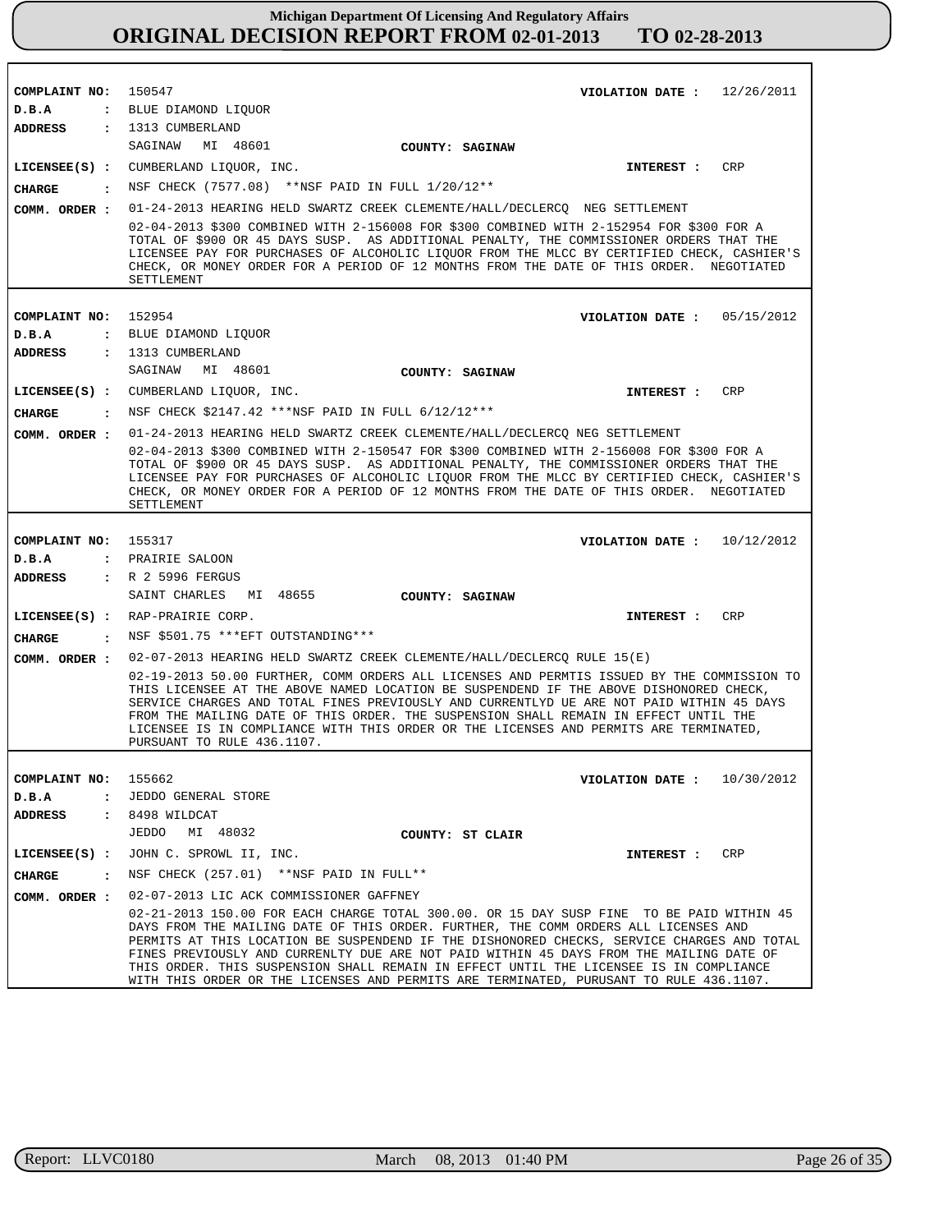| COMPLAINT NO: 150547     | VIOLATION DATE: $12/26/2011$                                                                                                                                                                                                                                                                                                                                                                                                                                                                                                                                              |
|--------------------------|---------------------------------------------------------------------------------------------------------------------------------------------------------------------------------------------------------------------------------------------------------------------------------------------------------------------------------------------------------------------------------------------------------------------------------------------------------------------------------------------------------------------------------------------------------------------------|
| D.B.A                    | : BLUE DIAMOND LIQUOR                                                                                                                                                                                                                                                                                                                                                                                                                                                                                                                                                     |
| <b>ADDRESS</b>           | : 1313 CUMBERLAND                                                                                                                                                                                                                                                                                                                                                                                                                                                                                                                                                         |
|                          | SAGINAW MI 48601<br>COUNTY: SAGINAW                                                                                                                                                                                                                                                                                                                                                                                                                                                                                                                                       |
|                          | LICENSEE(S) : CUMBERLAND LIQUOR, INC.<br><b>CRP</b><br>INTEREST :                                                                                                                                                                                                                                                                                                                                                                                                                                                                                                         |
| <b>CHARGE</b>            | : NSF CHECK (7577.08) **NSF PAID IN FULL 1/20/12**                                                                                                                                                                                                                                                                                                                                                                                                                                                                                                                        |
| COMM. ORDER :            | 01-24-2013 HEARING HELD SWARTZ CREEK CLEMENTE/HALL/DECLERCQ NEG SETTLEMENT                                                                                                                                                                                                                                                                                                                                                                                                                                                                                                |
|                          | 02-04-2013 \$300 COMBINED WITH 2-156008 FOR \$300 COMBINED WITH 2-152954 FOR \$300 FOR A<br>TOTAL OF \$900 OR 45 DAYS SUSP. AS ADDITIONAL PENALTY, THE COMMISSIONER ORDERS THAT THE<br>LICENSEE PAY FOR PURCHASES OF ALCOHOLIC LIQUOR FROM THE MLCC BY CERTIFIED CHECK, CASHIER'S<br>CHECK, OR MONEY ORDER FOR A PERIOD OF 12 MONTHS FROM THE DATE OF THIS ORDER. NEGOTIATED<br>SETTLEMENT                                                                                                                                                                                |
|                          |                                                                                                                                                                                                                                                                                                                                                                                                                                                                                                                                                                           |
| COMPLAINT NO:            | 152954<br>VIOLATION DATE: $05/15/2012$                                                                                                                                                                                                                                                                                                                                                                                                                                                                                                                                    |
| D.B.A                    | : BLUE DIAMOND LIQUOR                                                                                                                                                                                                                                                                                                                                                                                                                                                                                                                                                     |
|                          | ADDRESS : 1313 CUMBERLAND<br>SAGINAW MI 48601                                                                                                                                                                                                                                                                                                                                                                                                                                                                                                                             |
|                          | COUNTY: SAGINAW                                                                                                                                                                                                                                                                                                                                                                                                                                                                                                                                                           |
|                          | LICENSEE(S) : CUMBERLAND LIQUOR, INC.<br><b>CRP</b><br>INTEREST :                                                                                                                                                                                                                                                                                                                                                                                                                                                                                                         |
| CHARGE                   | . NSF CHECK \$2147.42 ***NSF PAID IN FULL 6/12/12***                                                                                                                                                                                                                                                                                                                                                                                                                                                                                                                      |
|                          | COMM. ORDER: 01-24-2013 HEARING HELD SWARTZ CREEK CLEMENTE/HALL/DECLERCQ NEG SETTLEMENT                                                                                                                                                                                                                                                                                                                                                                                                                                                                                   |
|                          | 02-04-2013 \$300 COMBINED WITH 2-150547 FOR \$300 COMBINED WITH 2-156008 FOR \$300 FOR A<br>TOTAL OF \$900 OR 45 DAYS SUSP. AS ADDITIONAL PENALTY, THE COMMISSIONER ORDERS THAT THE<br>LICENSEE PAY FOR PURCHASES OF ALCOHOLIC LIQUOR FROM THE MLCC BY CERTIFIED CHECK, CASHIER'S<br>CHECK, OR MONEY ORDER FOR A PERIOD OF 12 MONTHS FROM THE DATE OF THIS ORDER. NEGOTIATED<br>SETTLEMENT                                                                                                                                                                                |
|                          |                                                                                                                                                                                                                                                                                                                                                                                                                                                                                                                                                                           |
| COMPLAINT NO: 155317     | VIOLATION DATE: $10/12/2012$                                                                                                                                                                                                                                                                                                                                                                                                                                                                                                                                              |
| D.B.A                    | : PRAIRIE SALOON                                                                                                                                                                                                                                                                                                                                                                                                                                                                                                                                                          |
| ADDRESS                  | : R 2 5996 FERGUS                                                                                                                                                                                                                                                                                                                                                                                                                                                                                                                                                         |
|                          | SAINT CHARLES MI 48655<br>COUNTY: SAGINAW                                                                                                                                                                                                                                                                                                                                                                                                                                                                                                                                 |
|                          | LICENSEE(S) : RAP-PRAIRIE CORP.<br>CRP<br><b>INTEREST :</b>                                                                                                                                                                                                                                                                                                                                                                                                                                                                                                               |
| CIIARGE                  | : NSF \$501.75 *** EFT OUTSTANDING***                                                                                                                                                                                                                                                                                                                                                                                                                                                                                                                                     |
| COMM. ORDER :            | 02-07-2013 HEARING HELD SWARTZ CREEK CLEMENTE/HALL/DECLERCQ RULE 15(E)<br>02-19-2013 50.00 FURTHER, COMM ORDERS ALL LICENSES AND PERMTIS ISSUED BY THE COMMISSION TO<br>THIS LICENSEE AT THE ABOVE NAMED LOCATION BE SUSPENDEND IF THE ABOVE DISHONORED CHECK,<br>SERVICE CHARGES AND TOTAL FINES PREVIOUSLY AND CURRENTLYD UE ARE NOT PAID WITHIN 45 DAYS<br>FROM THE MAILING DATE OF THIS ORDER. THE SUSPENSION SHALL REMAIN IN EFFECT UNTIL THE<br>LICENSEE IS IN COMPLIANCE WITH THIS ORDER OR THE LICENSES AND PERMITS ARE TERMINATED,<br>PURSUANT TO RULE 436.1107. |
|                          |                                                                                                                                                                                                                                                                                                                                                                                                                                                                                                                                                                           |
| COMPLAINT NO:            | 155662<br>VIOLATION DATE: $10/30/2012$                                                                                                                                                                                                                                                                                                                                                                                                                                                                                                                                    |
| D.B.A<br>$\mathbf{r}$    | JEDDO GENERAL STORE                                                                                                                                                                                                                                                                                                                                                                                                                                                                                                                                                       |
| ADDRESS                  | $: 8498$ WILDCAT<br>JEDDO<br>MI 48032                                                                                                                                                                                                                                                                                                                                                                                                                                                                                                                                     |
|                          | COUNTY: ST CLAIR                                                                                                                                                                                                                                                                                                                                                                                                                                                                                                                                                          |
| $LICENSEE(S)$ :          | JOHN C. SPROWL II, INC.<br>CRP<br>INTEREST :<br>NSF CHECK (257.01) ** NSF PAID IN FULL **                                                                                                                                                                                                                                                                                                                                                                                                                                                                                 |
| <b>CHARGE</b><br>$\cdot$ |                                                                                                                                                                                                                                                                                                                                                                                                                                                                                                                                                                           |
| COMM. ORDER :            | 02-07-2013 LIC ACK COMMISSIONER GAFFNEY                                                                                                                                                                                                                                                                                                                                                                                                                                                                                                                                   |
|                          | 02-21-2013 150.00 FOR EACH CHARGE TOTAL 300.00. OR 15 DAY SUSP FINE TO BE PAID WITHIN 45<br>DAYS FROM THE MAILING DATE OF THIS ORDER. FURTHER, THE COMM ORDERS ALL LICENSES AND<br>PERMITS AT THIS LOCATION BE SUSPENDEND IF THE DISHONORED CHECKS, SERVICE CHARGES AND TOTAL<br>FINES PREVIOUSLY AND CURRENLTY DUE ARE NOT PAID WITHIN 45 DAYS FROM THE MAILING DATE OF<br>THIS ORDER. THIS SUSPENSION SHALL REMAIN IN EFFECT UNTIL THE LICENSEE IS IN COMPLIANCE<br>WITH THIS ORDER OR THE LICENSES AND PERMITS ARE TERMINATED, PURUSANT TO RULE 436.1107.              |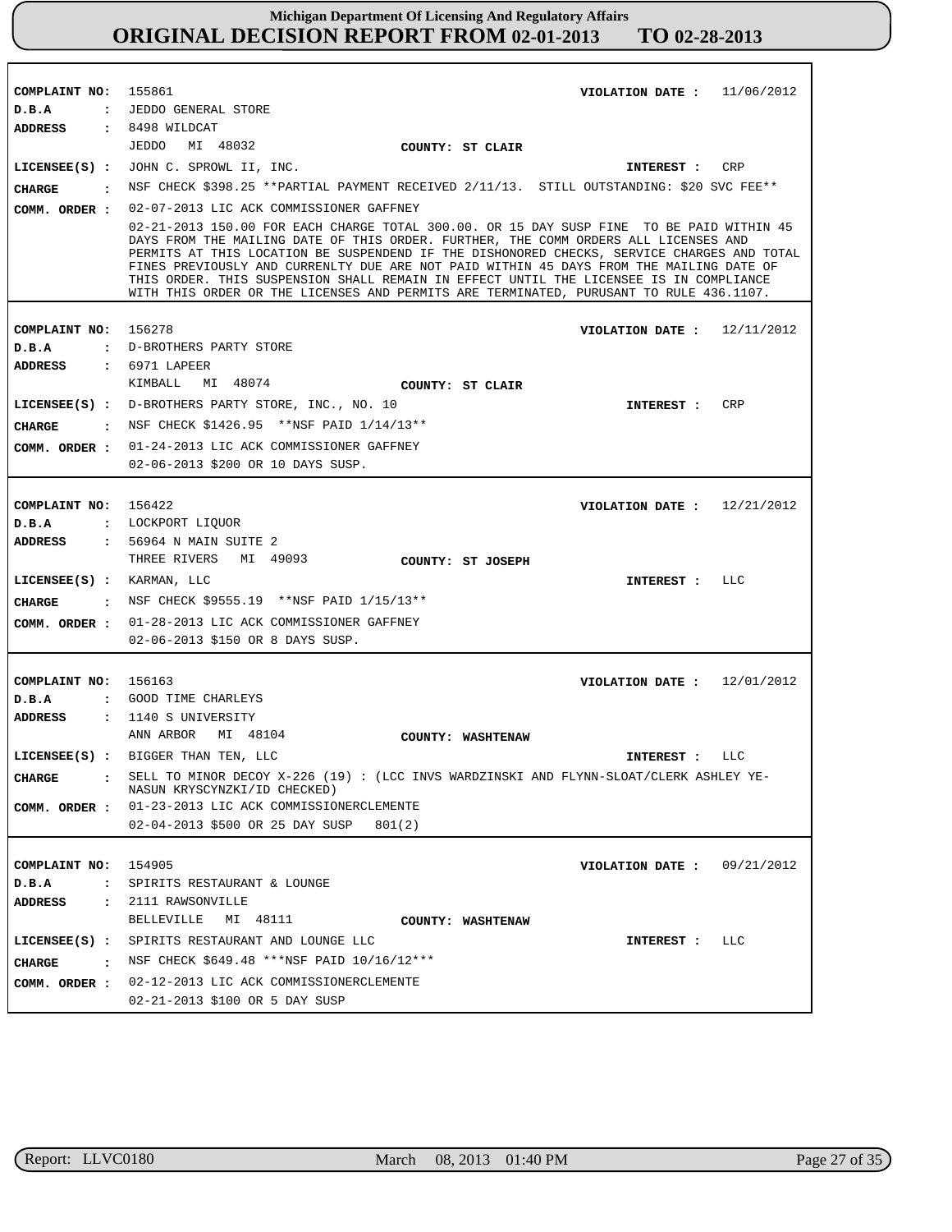| COMPLAINT NO: 155861 | VIOLATION DATE: $11/06/2012$                                                                                                                                                                                                                                                                                                                                                                                                                                                                                                                                 |
|----------------------|--------------------------------------------------------------------------------------------------------------------------------------------------------------------------------------------------------------------------------------------------------------------------------------------------------------------------------------------------------------------------------------------------------------------------------------------------------------------------------------------------------------------------------------------------------------|
| D.B.A                | : JEDDO GENERAL STORE                                                                                                                                                                                                                                                                                                                                                                                                                                                                                                                                        |
|                      | ADDRESS : 8498 WILDCAT                                                                                                                                                                                                                                                                                                                                                                                                                                                                                                                                       |
|                      | JEDDO MI 48032<br>COUNTY: ST CLAIR                                                                                                                                                                                                                                                                                                                                                                                                                                                                                                                           |
|                      | LICENSEE(S) : JOHN C. SPROWL II, INC.<br><b>CRP</b><br><b>INTEREST :</b>                                                                                                                                                                                                                                                                                                                                                                                                                                                                                     |
|                      | CHARGE : NSF CHECK \$398.25 ** PARTIAL PAYMENT RECEIVED 2/11/13. STILL OUTSTANDING: \$20 SVC FEE**                                                                                                                                                                                                                                                                                                                                                                                                                                                           |
|                      |                                                                                                                                                                                                                                                                                                                                                                                                                                                                                                                                                              |
|                      | COMM. ORDER : 02-07-2013 LIC ACK COMMISSIONER GAFFNEY                                                                                                                                                                                                                                                                                                                                                                                                                                                                                                        |
|                      | 02-21-2013 150.00 FOR EACH CHARGE TOTAL 300.00. OR 15 DAY SUSP FINE TO BE PAID WITHIN 45<br>DAYS FROM THE MAILING DATE OF THIS ORDER. FURTHER, THE COMM ORDERS ALL LICENSES AND<br>PERMITS AT THIS LOCATION BE SUSPENDEND IF THE DISHONORED CHECKS, SERVICE CHARGES AND TOTAL<br>FINES PREVIOUSLY AND CURRENLTY DUE ARE NOT PAID WITHIN 45 DAYS FROM THE MAILING DATE OF<br>THIS ORDER. THIS SUSPENSION SHALL REMAIN IN EFFECT UNTIL THE LICENSEE IS IN COMPLIANCE<br>WITH THIS ORDER OR THE LICENSES AND PERMITS ARE TERMINATED, PURUSANT TO RULE 436.1107. |
| COMPLAINT NO: 156278 | VIOLATION DATE: $12/11/2012$                                                                                                                                                                                                                                                                                                                                                                                                                                                                                                                                 |
| D.B.A                | : D-BROTHERS PARTY STORE                                                                                                                                                                                                                                                                                                                                                                                                                                                                                                                                     |
| ADDRESS              | : 6971 LAPEER                                                                                                                                                                                                                                                                                                                                                                                                                                                                                                                                                |
|                      | KIMBALL MI 48074<br>COUNTY: ST CLAIR                                                                                                                                                                                                                                                                                                                                                                                                                                                                                                                         |
|                      | LICENSEE(S) : D-BROTHERS PARTY STORE, INC., NO. 10<br>CRP<br>INTEREST :                                                                                                                                                                                                                                                                                                                                                                                                                                                                                      |
| <b>CHARGE</b>        | : NSF CHECK \$1426.95 ** NSF PAID 1/14/13**                                                                                                                                                                                                                                                                                                                                                                                                                                                                                                                  |
|                      |                                                                                                                                                                                                                                                                                                                                                                                                                                                                                                                                                              |
|                      | COMM. ORDER : 01-24-2013 LIC ACK COMMISSIONER GAFFNEY                                                                                                                                                                                                                                                                                                                                                                                                                                                                                                        |
|                      | 02-06-2013 \$200 OR 10 DAYS SUSP.                                                                                                                                                                                                                                                                                                                                                                                                                                                                                                                            |
|                      |                                                                                                                                                                                                                                                                                                                                                                                                                                                                                                                                                              |
| COMPLAINT NO: 156422 | VIOLATION DATE: $12/21/2012$<br>D.B.A : LOCKPORT LIOUOR                                                                                                                                                                                                                                                                                                                                                                                                                                                                                                      |
| ADDRESS              | : 56964 N MAIN SUITE 2                                                                                                                                                                                                                                                                                                                                                                                                                                                                                                                                       |
|                      | THREE RIVERS MI 49093<br>COUNTY: ST JOSEPH                                                                                                                                                                                                                                                                                                                                                                                                                                                                                                                   |
|                      | LICENSEE(S) : KARMAN, LLC<br>INTEREST : LLC                                                                                                                                                                                                                                                                                                                                                                                                                                                                                                                  |
|                      | CHARGE : NSF CHECK \$9555.19 ** NSF PAID 1/15/13**                                                                                                                                                                                                                                                                                                                                                                                                                                                                                                           |
|                      |                                                                                                                                                                                                                                                                                                                                                                                                                                                                                                                                                              |
|                      | COMM. ORDER : 01-28-2013 LIC ACK COMMISSIONER GAFFNEY                                                                                                                                                                                                                                                                                                                                                                                                                                                                                                        |
|                      | 02-06-2013 \$150 OR 8 DAYS SUSP.                                                                                                                                                                                                                                                                                                                                                                                                                                                                                                                             |
|                      |                                                                                                                                                                                                                                                                                                                                                                                                                                                                                                                                                              |
| COMPLAINT NO: 156163 | VIOLATION DATE: $12/01/2012$<br>D.B.A : GOOD TIME CHARLEYS                                                                                                                                                                                                                                                                                                                                                                                                                                                                                                   |
|                      | ADDRESS : 1140 S UNIVERSITY                                                                                                                                                                                                                                                                                                                                                                                                                                                                                                                                  |
|                      | ANN ARBOR MI 48104<br>COUNTY: WASHTENAW                                                                                                                                                                                                                                                                                                                                                                                                                                                                                                                      |
|                      | LICENSEE(S) : BIGGER THAN TEN, LLC<br>INTEREST : LLC                                                                                                                                                                                                                                                                                                                                                                                                                                                                                                         |
| CHARGE               | SELL TO MINOR DECOY X-226 (19) : (LCC INVS WARDZINSKI AND FLYNN-SLOAT/CLERK ASHLEY YE-                                                                                                                                                                                                                                                                                                                                                                                                                                                                       |
|                      | NASUN KRYSCYNZKI/ID CHECKED)                                                                                                                                                                                                                                                                                                                                                                                                                                                                                                                                 |
|                      | COMM. ORDER : 01-23-2013 LIC ACK COMMISSIONERCLEMENTE                                                                                                                                                                                                                                                                                                                                                                                                                                                                                                        |
|                      | 02-04-2013 \$500 OR 25 DAY SUSP<br>801(2)                                                                                                                                                                                                                                                                                                                                                                                                                                                                                                                    |
|                      |                                                                                                                                                                                                                                                                                                                                                                                                                                                                                                                                                              |
| COMPLAINT NO: 154905 | VIOLATION DATE: $09/21/2012$                                                                                                                                                                                                                                                                                                                                                                                                                                                                                                                                 |
| D.B.A                | : SPIRITS RESTAURANT & LOUNGE                                                                                                                                                                                                                                                                                                                                                                                                                                                                                                                                |
| <b>ADDRESS</b>       | : 2111 RAWSONVILLE                                                                                                                                                                                                                                                                                                                                                                                                                                                                                                                                           |
|                      | BELLEVILLE MI 48111<br>COUNTY: WASHTENAW                                                                                                                                                                                                                                                                                                                                                                                                                                                                                                                     |
|                      | LICENSEE(S) : SPIRITS RESTAURANT AND LOUNGE LLC<br>LLC<br>INTEREST :                                                                                                                                                                                                                                                                                                                                                                                                                                                                                         |
| CHARGE               | : NSF CHECK \$649.48 ***NSF PAID 10/16/12***                                                                                                                                                                                                                                                                                                                                                                                                                                                                                                                 |
| COMM. ORDER :        | 02-12-2013 LIC ACK COMMISSIONERCLEMENTE                                                                                                                                                                                                                                                                                                                                                                                                                                                                                                                      |
|                      | 02-21-2013 \$100 OR 5 DAY SUSP                                                                                                                                                                                                                                                                                                                                                                                                                                                                                                                               |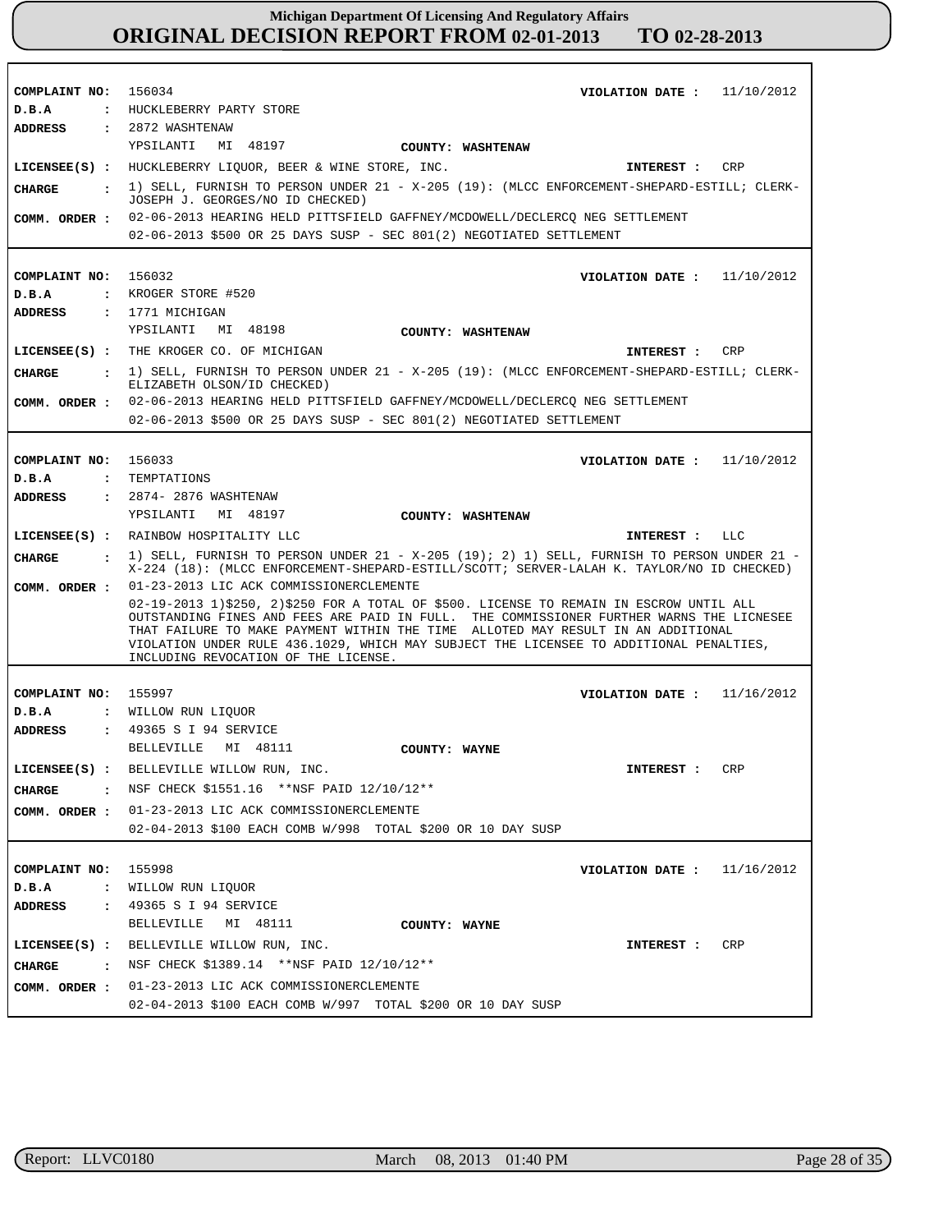| COMPLAINT NO: 156034           | VIOLATION DATE: $11/10/2012$                                                                                                                                                                                                                                                                                                                                                                              |
|--------------------------------|-----------------------------------------------------------------------------------------------------------------------------------------------------------------------------------------------------------------------------------------------------------------------------------------------------------------------------------------------------------------------------------------------------------|
| D.B.A                          | : HUCKLEBERRY PARTY STORE                                                                                                                                                                                                                                                                                                                                                                                 |
| ADDRESS                        | : 2872 WASHTENAW                                                                                                                                                                                                                                                                                                                                                                                          |
|                                | YPSILANTI MI 48197<br>COUNTY: WASHTENAW                                                                                                                                                                                                                                                                                                                                                                   |
|                                | LICENSEE(S) : HUCKLEBERRY LIQUOR, BEER & WINE STORE, INC.<br>INTEREST : CRP                                                                                                                                                                                                                                                                                                                               |
| CHARGE                         | . 1) SELL, FURNISH TO PERSON UNDER 21 - X-205 (19): (MLCC ENFORCEMENT-SHEPARD-ESTILL; CLERK-<br>JOSEPH J. GEORGES/NO ID CHECKED)                                                                                                                                                                                                                                                                          |
| COMM. ORDER :                  | 02-06-2013 HEARING HELD PITTSFIELD GAFFNEY/MCDOWELL/DECLERCQ NEG SETTLEMENT                                                                                                                                                                                                                                                                                                                               |
|                                | 02-06-2013 \$500 OR 25 DAYS SUSP - SEC 801(2) NEGOTIATED SETTLEMENT                                                                                                                                                                                                                                                                                                                                       |
|                                |                                                                                                                                                                                                                                                                                                                                                                                                           |
| COMPLAINT NO:                  | 156032<br>VIOLATION DATE: $11/10/2012$                                                                                                                                                                                                                                                                                                                                                                    |
| D.B.A                          | : KROGER STORE #520                                                                                                                                                                                                                                                                                                                                                                                       |
| ADDRESS                        | : 1771 MICHIGAN                                                                                                                                                                                                                                                                                                                                                                                           |
|                                | YPSILANTI MI 48198<br>COUNTY: WASHTENAW                                                                                                                                                                                                                                                                                                                                                                   |
|                                | LICENSEE(S) : THE KROGER CO. OF MICHIGAN<br>CRP<br>INTEREST :                                                                                                                                                                                                                                                                                                                                             |
| CHARGE<br>$\sim$ $\sim$ $\sim$ | 1) SELL, FURNISH TO PERSON UNDER 21 - X-205 (19): (MLCC ENFORCEMENT-SHEPARD-ESTILL; CLERK-<br>ELIZABETH OLSON/ID CHECKED)                                                                                                                                                                                                                                                                                 |
| COMM. ORDER :                  | 02-06-2013 HEARING HELD PITTSFIELD GAFFNEY/MCDOWELL/DECLERCO NEG SETTLEMENT                                                                                                                                                                                                                                                                                                                               |
|                                | 02-06-2013 \$500 OR 25 DAYS SUSP - SEC 801(2) NEGOTIATED SETTLEMENT                                                                                                                                                                                                                                                                                                                                       |
|                                |                                                                                                                                                                                                                                                                                                                                                                                                           |
| COMPLAINT NO: 156033           | VIOLATION DATE: $11/10/2012$                                                                                                                                                                                                                                                                                                                                                                              |
| D.B.A                          | : TEMPTATIONS                                                                                                                                                                                                                                                                                                                                                                                             |
| ADDRESS                        | : 2874- 2876 WASHTENAW                                                                                                                                                                                                                                                                                                                                                                                    |
|                                | YPSILANTI MI 48197<br>COUNTY: WASHTENAW                                                                                                                                                                                                                                                                                                                                                                   |
|                                | LICENSEE(S) : RAINBOW HOSPITALITY LLC<br>INTEREST : LLC                                                                                                                                                                                                                                                                                                                                                   |
| <b>CHARGE</b>                  | $\pm$ 1) SELL, FURNISH TO PERSON UNDER 21 - X-205 (19); 2) 1) SELL, FURNISH TO PERSON UNDER 21 -<br>X-224 (18): (MLCC ENFORCEMENT-SHEPARD-ESTILL/SCOTT; SERVER-LALAH K. TAYLOR/NO ID CHECKED)                                                                                                                                                                                                             |
| COMM. ORDER :                  | 01-23-2013 LIC ACK COMMISSIONERCLEMENTE                                                                                                                                                                                                                                                                                                                                                                   |
|                                | 02-19-2013 1)\$250, 2)\$250 FOR A TOTAL OF \$500. LICENSE TO REMAIN IN ESCROW UNTIL ALL<br>OUTSTANDING FINES AND FEES ARE PAID IN FULL. THE COMMISSIONER FURTHER WARNS THE LICNESEE<br>THAT FAILURE TO MAKE PAYMENT WITHIN THE TIME ALLOTED MAY RESULT IN AN ADDITIONAL<br>VIOLATION UNDER RULE 436.1029, WHICH MAY SUBJECT THE LICENSEE TO ADDITIONAL PENALTIES,<br>INCLUDING REVOCATION OF THE LICENSE. |
|                                |                                                                                                                                                                                                                                                                                                                                                                                                           |
| COMPLAINT NO: 155997           | VIOLATION DATE: $11/16/2012$                                                                                                                                                                                                                                                                                                                                                                              |
| D.B.A                          | : WILLOW RUN LIOUOR                                                                                                                                                                                                                                                                                                                                                                                       |
| ADDRESS                        | : 49365 S I 94 SERVICE                                                                                                                                                                                                                                                                                                                                                                                    |
|                                | BELLEVILLE MI 48111<br>COUNTY: WAYNE                                                                                                                                                                                                                                                                                                                                                                      |
|                                | LICENSEE(S) : BELLEVILLE WILLOW RUN, INC.<br>INTEREST : CRP                                                                                                                                                                                                                                                                                                                                               |
| <b>CHARGE</b>                  | . NSF CHECK \$1551.16 **NSF PAID 12/10/12**                                                                                                                                                                                                                                                                                                                                                               |
| COMM. ORDER :                  | 01-23-2013 LIC ACK COMMISSIONERCLEMENTE                                                                                                                                                                                                                                                                                                                                                                   |
|                                |                                                                                                                                                                                                                                                                                                                                                                                                           |
|                                | 02-04-2013 \$100 EACH COMB W/998 TOTAL \$200 OR 10 DAY SUSP                                                                                                                                                                                                                                                                                                                                               |
|                                |                                                                                                                                                                                                                                                                                                                                                                                                           |
| COMPLAINT NO:                  | 155998<br>VIOLATION DATE : $11/16/2012$                                                                                                                                                                                                                                                                                                                                                                   |
| D.B.A                          | : WILLOW RUN LIQUOR                                                                                                                                                                                                                                                                                                                                                                                       |
| ADDRESS                        | : 49365 S I 94 SERVICE                                                                                                                                                                                                                                                                                                                                                                                    |
|                                | MI 48111<br>BELLEVILLE<br>COUNTY: WAYNE                                                                                                                                                                                                                                                                                                                                                                   |
|                                | LICENSEE(S) : BELLEVILLE WILLOW RUN, INC.<br>CRP<br>INTEREST :                                                                                                                                                                                                                                                                                                                                            |
| <b>CHARGE</b>                  | : NSF CHECK \$1389.14 **NSF PAID $12/10/12**$                                                                                                                                                                                                                                                                                                                                                             |

r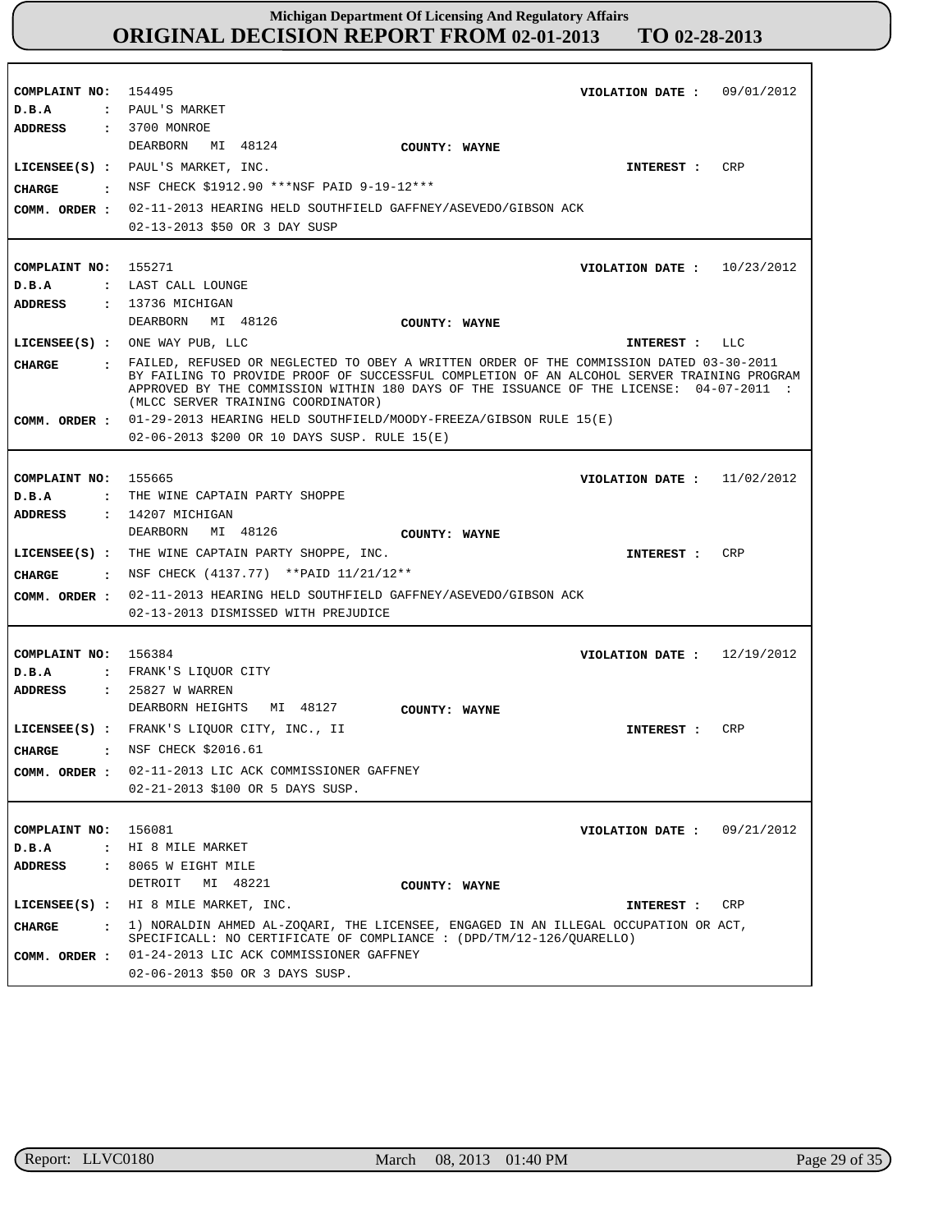| COMPLAINT NO: 154495            | VIOLATION DATE: 09/01/2012                                                                                                                                  |
|---------------------------------|-------------------------------------------------------------------------------------------------------------------------------------------------------------|
| D.B.A                           | : PAUL'S MARKET                                                                                                                                             |
| ADDRESS                         | : 3700 MONROE                                                                                                                                               |
|                                 | MI 48124<br>DEARBORN<br>COUNTY: WAYNE                                                                                                                       |
|                                 | LICENSEE(S) : PAUL'S MARKET, INC.<br>CRP<br>INTEREST :                                                                                                      |
| CHARGE                          | . NSF CHECK \$1912.90 ***NSF PAID 9-19-12***                                                                                                                |
|                                 | COMM. ORDER : 02-11-2013 HEARING HELD SOUTHFIELD GAFFNEY/ASEVEDO/GIBSON ACK                                                                                 |
|                                 | 02-13-2013 \$50 OR 3 DAY SUSP                                                                                                                               |
|                                 |                                                                                                                                                             |
| COMPLAINT NO:                   | 155271<br>VIOLATION DATE: $10/23/2012$                                                                                                                      |
| D.B.A                           | : LAST CALL LOUNGE                                                                                                                                          |
| ADDRESS                         | : 13736 MICHIGAN                                                                                                                                            |
|                                 | DEARBORN MI 48126<br>COUNTY: WAYNE                                                                                                                          |
|                                 | LICENSEE(S) : ONE WAY PUB, LLC<br>INTEREST : LLC                                                                                                            |
| CHARGE                          | : FAILED, REFUSED OR NEGLECTED TO OBEY A WRITTEN ORDER OF THE COMMISSION DATED 03-30-2011                                                                   |
|                                 | BY FAILING TO PROVIDE PROOF OF SUCCESSFUL COMPLETION OF AN ALCOHOL SERVER TRAINING PROGRAM                                                                  |
|                                 | APPROVED BY THE COMMISSION WITHIN 180 DAYS OF THE ISSUANCE OF THE LICENSE: 04-07-2011 :<br>(MLCC SERVER TRAINING COORDINATOR)                               |
|                                 | COMM. ORDER : 01-29-2013 HEARING HELD SOUTHFIELD/MOODY-FREEZA/GIBSON RULE 15(E)                                                                             |
|                                 | 02-06-2013 \$200 OR 10 DAYS SUSP. RULE 15(E)                                                                                                                |
|                                 |                                                                                                                                                             |
|                                 |                                                                                                                                                             |
| COMPLAINT NO:                   | 155665<br>VIOLATION DATE: $11/02/2012$                                                                                                                      |
| D.B.A                           | : THE WINE CAPTAIN PARTY SHOPPE                                                                                                                             |
| <b>ADDRESS</b>                  | $: 14207$ MICHIGAN                                                                                                                                          |
|                                 | MI 48126<br>DEARBORN<br>COUNTY: WAYNE                                                                                                                       |
|                                 | LICENSEE(S) : THE WINE CAPTAIN PARTY SHOPPE, INC.<br>INTEREST :<br>CRP                                                                                      |
| CHARGE                          | : NSF CHECK (4137.77) ** PAID 11/21/12**                                                                                                                    |
| COMM. ORDER :                   | 02-11-2013 HEARING HELD SOUTHFIELD GAFFNEY/ASEVEDO/GIBSON ACK                                                                                               |
|                                 | 02-13-2013 DISMISSED WITH PREJUDICE                                                                                                                         |
|                                 |                                                                                                                                                             |
| COMPLAINT NO: 156384            | VIOLATION DATE: $12/19/2012$                                                                                                                                |
| D.B.A                           | : FRANK'S LIQUOR CITY                                                                                                                                       |
| <b>ADDRESS</b>                  | : 25827 W WARREN                                                                                                                                            |
|                                 | DEARBORN HEIGHTS MI 48127<br>COUNTY: WAYNE                                                                                                                  |
|                                 | LICENSEE(S) : FRANK'S LIQUOR CITY, INC., II<br><b>CRP</b><br>INTEREST :                                                                                     |
| <b>CHARGE</b><br>$\mathbf{r}$   | NSF CHECK \$2016.61                                                                                                                                         |
| COMM. ORDER :                   | 02-11-2013 LIC ACK COMMISSIONER GAFFNEY                                                                                                                     |
|                                 | 02-21-2013 \$100 OR 5 DAYS SUSP.                                                                                                                            |
|                                 |                                                                                                                                                             |
| COMPLAINT NO: 156081            | 09/21/2012<br>VIOLATION DATE :                                                                                                                              |
| D.B.A                           | : HI 8 MILE MARKET                                                                                                                                          |
| ADDRESS<br>$\ddot{\phantom{a}}$ | 8065 W EIGHT MILE                                                                                                                                           |
|                                 | DETROIT<br>MI 48221<br>COUNTY: WAYNE                                                                                                                        |
|                                 |                                                                                                                                                             |
|                                 | LICENSEE(S) : HI 8 MILE MARKET, INC.<br>CRP<br>INTEREST :                                                                                                   |
| <b>CHARGE</b><br>$\mathbf{r}$   | 1) NORALDIN AHMED AL-ZOOARI, THE LICENSEE, ENGAGED IN AN ILLEGAL OCCUPATION OR ACT,<br>SPECIFICALL: NO CERTIFICATE OF COMPLIANCE : (DPD/TM/12-126/QUARELLO) |
| COMM. ORDER :                   | 01-24-2013 LIC ACK COMMISSIONER GAFFNEY                                                                                                                     |
|                                 | 02-06-2013 \$50 OR 3 DAYS SUSP.                                                                                                                             |

٦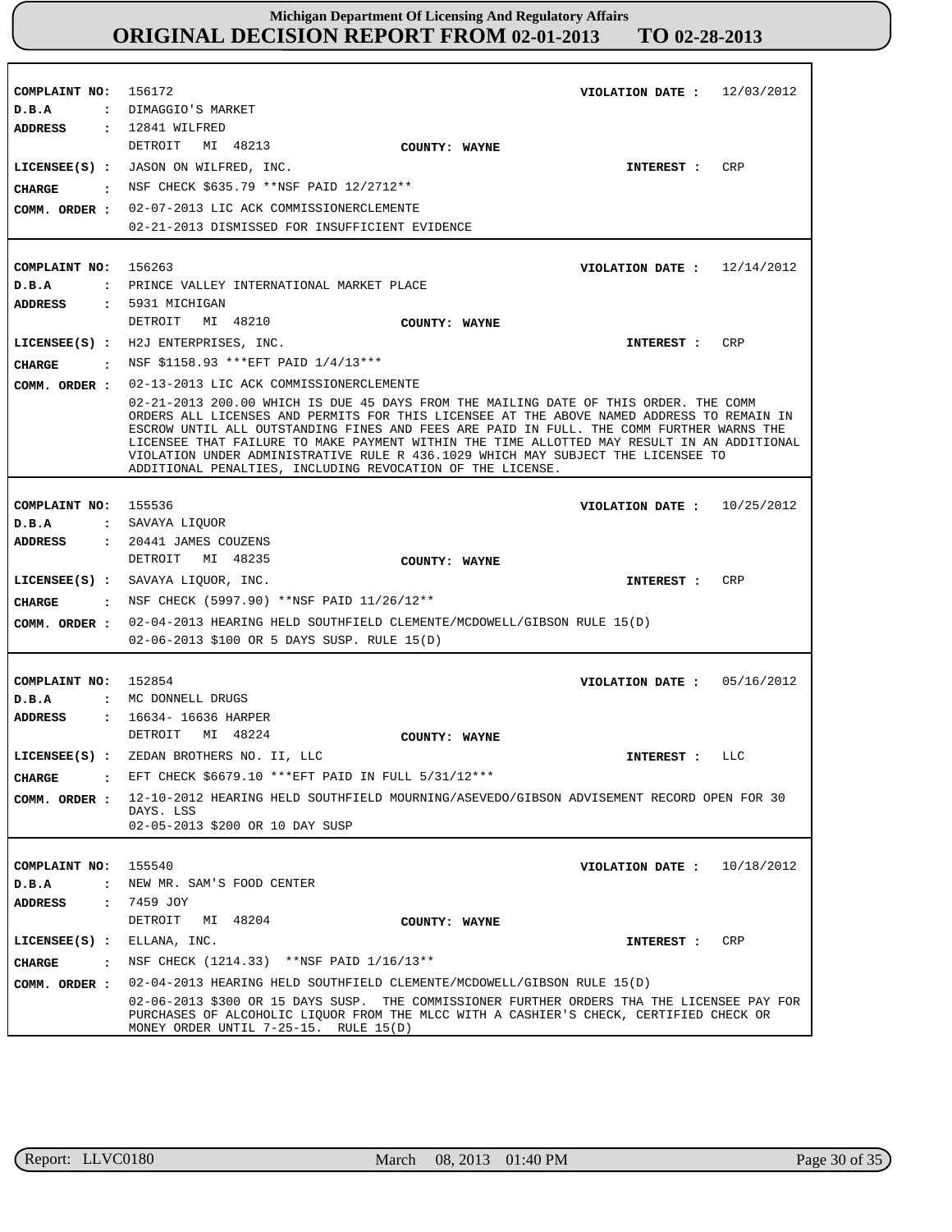**COMPLAINT NO: COMPLAINT NO:** 156263 **COMPLAINT NO:** 155536 **COMPLAINT NO:** 152854 **COMPLAINT NO:** 155540 156172 **VIOLATION DATE : VIOLATION DATE : VIOLATION DATE : VIOLATION DATE : VIOLATION DATE :** 12/03/2012 12/14/2012 10/25/2012 05/16/2012 10/18/2012 **D.B.A : D.B.A : D.B.A : D.B.A : D.B.A :** DIMAGGIO'S MARKET PRINCE VALLEY INTERNATIONAL MARKET PLACE SAVAYA LIQUOR MC DONNELL DRUGS NEW MR. SAM'S FOOD CENTER **ADDRESS : ADDRESS : ADDRESS : ADDRESS : ADDRESS :** 12841 WILFRED 5931 MICHIGAN 20441 JAMES COUZENS 16634- 16636 HARPER 7459 JOY DETROIT MI 48213 DETROIT MI 48210 DETROIT MI 48235 DETROIT MI 48224 DETROIT MI 48204 02-07-2013 LIC ACK COMMISSIONERCLEMENTE 02-21-2013 DISMISSED FOR INSUFFICIENT EVIDENCE 02-13-2013 LIC ACK COMMISSIONERCLEMENTE 02-21-2013 200.00 WHICH IS DUE 45 DAYS FROM THE MAILING DATE OF THIS ORDER. THE COMM ORDERS ALL LICENSES AND PERMITS FOR THIS LICENSEE AT THE ABOVE NAMED ADDRESS TO REMAIN IN ESCROW UNTIL ALL OUTSTANDING FINES AND FEES ARE PAID IN FULL. THE COMM FURTHER WARNS THE LICENSEE THAT FAILURE TO MAKE PAYMENT WITHIN THE TIME ALLOTTED MAY RESULT IN AN ADDITIONAL VIOLATION UNDER ADMINISTRATIVE RULE R 436.1029 WHICH MAY SUBJECT THE LICENSEE TO ADDITIONAL PENALTIES, INCLUDING REVOCATION OF THE LICENSE. 02-04-2013 HEARING HELD SOUTHFIELD CLEMENTE/MCDOWELL/GIBSON RULE 15(D) 02-06-2013 \$100 OR 5 DAYS SUSP. RULE 15(D) 12-10-2012 HEARING HELD SOUTHFIELD MOURNING/ASEVEDO/GIBSON ADVISEMENT RECORD OPEN FOR 30 DAYS. LSS 02-05-2013 \$200 OR 10 DAY SUSP 02-04-2013 HEARING HELD SOUTHFIELD CLEMENTE/MCDOWELL/GIBSON RULE 15(D) **COMM. ORDER :** 02-06-2013 \$300 OR 15 DAYS SUSP. THE COMMISSIONER FURTHER ORDERS THA THE LICENSEE PAY FOR PURCHASES OF ALCOHOLIC LIQUOR FROM THE MLCC WITH A CASHIER'S CHECK, CERTIFIED CHECK OR MONEY ORDER UNTIL 7-25-15. RULE 15(D) MONEY ORDER UNTIL 7-25-15. **LICENSEE(S) :** JASON ON WILFRED, INC. **LICENSEE(S) :** H2J ENTERPRISES, INC. **LICENSEE(S) :** SAVAYA LIQUOR, INC. **LICENSEE(S) :** ZEDAN BROTHERS NO. II, LLC **LICENSEE(S) :** ELLANA, INC. CRP CR<sub>P</sub> **CRP** LLC CRP **CHARGE : CHARGE : CHARGE : CHARGE : CHARGE :** NSF CHECK \$635.79 \*\*NSF PAID 12/2712\*\* NSF \$1158.93 \*\*\*EFT PAID 1/4/13\*\*\* NSF CHECK (5997.90) \*\*NSF PAID 11/26/12\*\* EFT CHECK \$6679.10 \*\*\*EFT PAID IN FULL 5/31/12\*\*\* : NSF CHECK (1214.33) \*\*NSF PAID 1/16/13\*\* **INTEREST : INTEREST : INTEREST : INTEREST : INTEREST : COMM. ORDER : COMM. ORDER : COMM. ORDER : COMM. ORDER : COUNTY: WAYNE COUNTY: WAYNE COUNTY: WAYNE COUNTY: WAYNE COUNTY: WAYNE**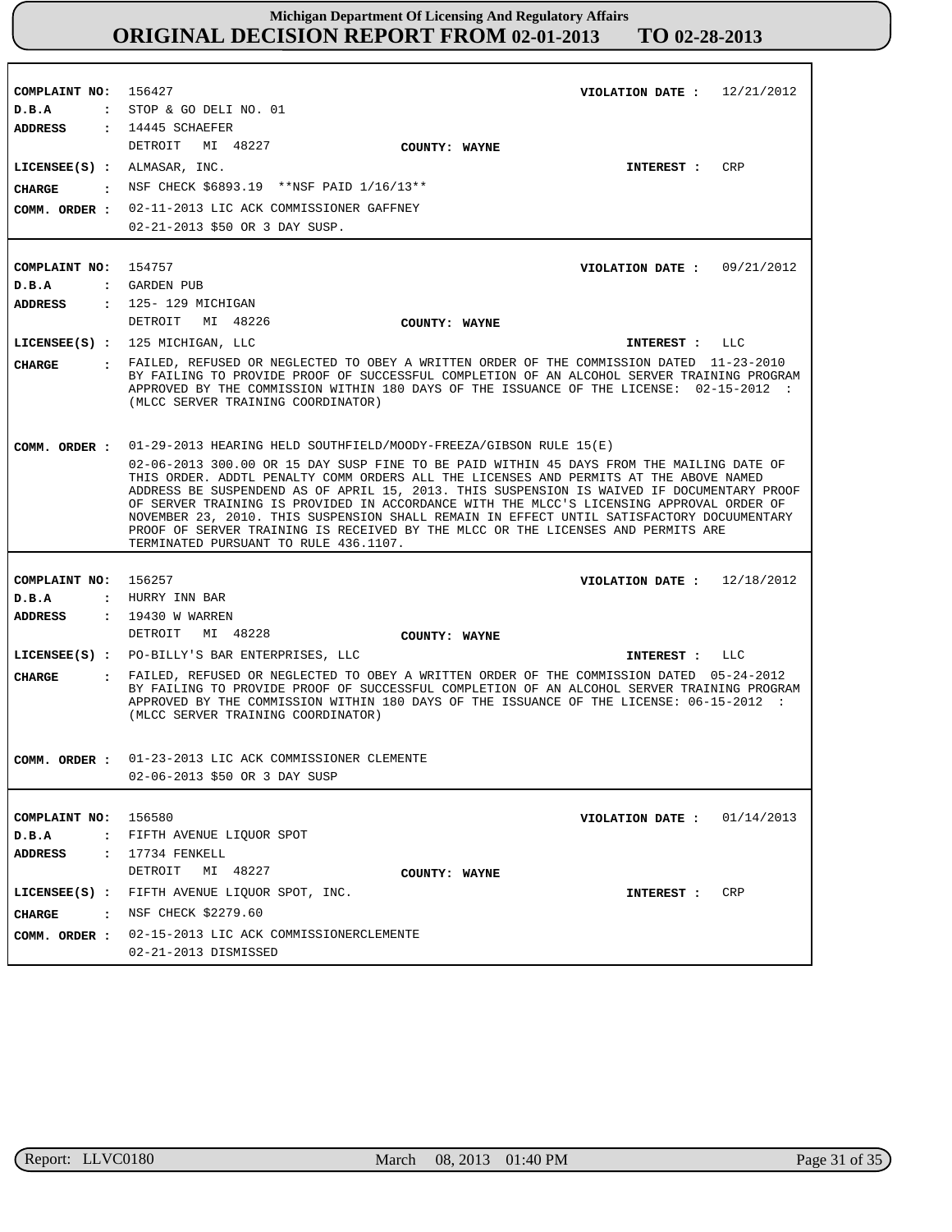**COMPLAINT NO: COMPLAINT NO:** 154757 **COMPLAINT NO: COMPLAINT NO:** 156580 156427 156257 **VIOLATION DATE : VIOLATION DATE :** 09/21/2012 **VIOLATION DATE :** 12/18/2012 **VIOLATION DATE :** 01/14/2013 12/21/2012 **D.B.A : D.B.A : D.B.A : D.B.A :** STOP & GO DELI NO. 01 : GARDEN PUB HURRY INN BAR FIFTH AVENUE LIQUOR SPOT **ADDRESS : ADDRESS : ADDRESS : ADDRESS :** 14445 SCHAEFER 125- 129 MICHIGAN 19430 W WARREN 17734 FENKELL DETROIT MI 48227 DETROIT MI 48226 DETROIT MI 48228 DETROIT MI 48227 02-11-2013 LIC ACK COMMISSIONER GAFFNEY 02-21-2013 \$50 OR 3 DAY SUSP. 01-29-2013 HEARING HELD SOUTHFIELD/MOODY-FREEZA/GIBSON RULE 15(E) 02-06-2013 300.00 OR 15 DAY SUSP FINE TO BE PAID WITHIN 45 DAYS FROM THE MAILING DATE OF THIS ORDER. ADDTL PENALTY COMM ORDERS ALL THE LICENSES AND PERMITS AT THE ABOVE NAMED ADDRESS BE SUSPENDEND AS OF APRIL 15, 2013. THIS SUSPENSION IS WAIVED IF DOCUMENTARY PROOF OF SERVER TRAINING IS PROVIDED IN ACCORDANCE WITH THE MLCC'S LICENSING APPROVAL ORDER OF NOVEMBER 23, 2010. THIS SUSPENSION SHALL REMAIN IN EFFECT UNTIL SATISFACTORY DOCUUMENTARY PROOF OF SERVER TRAINING IS RECEIVED BY THE MLCC OR THE LICENSES AND PERMITS ARE TERMINATED PURSUANT TO RULE 436.1107. 01-23-2013 LIC ACK COMMISSIONER CLEMENTE **COMM. ORDER :** 02-06-2013 \$50 OR 3 DAY SUSP 02-15-2013 LIC ACK COMMISSIONERCLEMENTE 02-21-2013 DISMISSED **LICENSEE(S) :** ALMASAR, INC. **LICENSEE(S) :** 125 MICHIGAN, LLC **LICENSEE(S) :** PO-BILLY'S BAR ENTERPRISES, LLC **LICENSEE(S) :** FIFTH AVENUE LIQUOR SPOT, INC. CRP  $T.T.C$ LLC CRP **CHARGE : CHARGE : CHARGE : CHARGE :** NSF CHECK \$6893.19 \*\*NSF PAID 1/16/13\*\* FAILED, REFUSED OR NEGLECTED TO OBEY A WRITTEN ORDER OF THE COMMISSION DATED 11-23-2010 BY FAILING TO PROVIDE PROOF OF SUCCESSFUL COMPLETION OF AN ALCOHOL SERVER TRAINING PROGRAM APPROVED BY THE COMMISSION WITHIN 180 DAYS OF THE ISSUANCE OF THE LICENSE: 02-15-2012 : (MLCC SERVER TRAINING COORDINATOR) FAILED, REFUSED OR NEGLECTED TO OBEY A WRITTEN ORDER OF THE COMMISSION DATED 05-24-2012 BY FAILING TO PROVIDE PROOF OF SUCCESSFUL COMPLETION OF AN ALCOHOL SERVER TRAINING PROGRAM APPROVED BY THE COMMISSION WITHIN 180 DAYS OF THE ISSUANCE OF THE LICENSE: 06-15-2012 : (MLCC SERVER TRAINING COORDINATOR) : NSF CHECK \$2279.60 **INTEREST : INTEREST : INTEREST : INTEREST : COMM. ORDER : COMM. ORDER : COMM. ORDER : COUNTY: WAYNE COUNTY: WAYNE COUNTY: WAYNE COUNTY: WAYNE**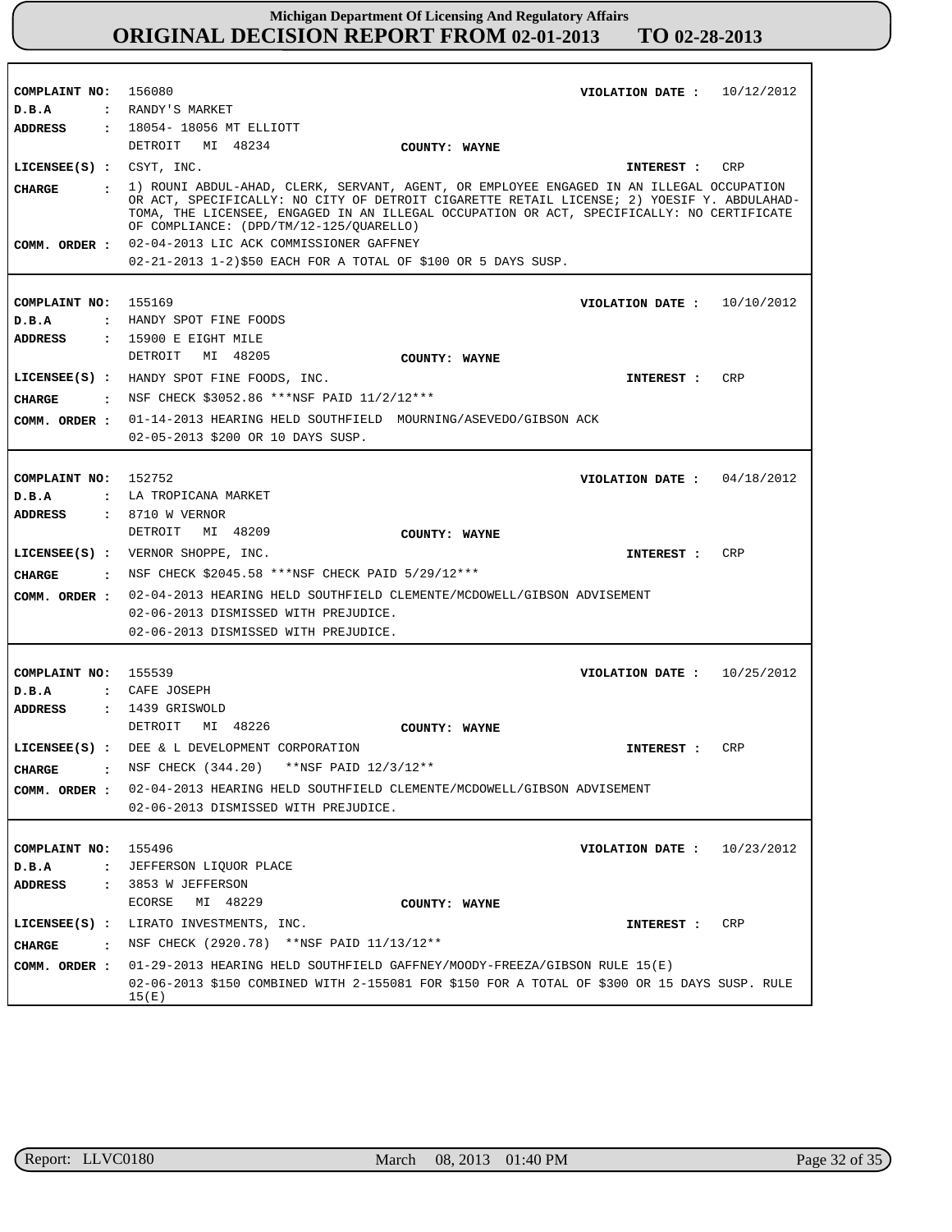| COMPLAINT NO: 156080          |                                                                                                                                                                                         | VIOLATION DATE: $10/12/2012$ |            |
|-------------------------------|-----------------------------------------------------------------------------------------------------------------------------------------------------------------------------------------|------------------------------|------------|
| D.B.A                         | : RANDY'S MARKET                                                                                                                                                                        |                              |            |
| <b>ADDRESS</b>                | : 18054-18056 MT ELLIOTT                                                                                                                                                                |                              |            |
|                               | DETROIT MI 48234<br>COUNTY: WAYNE                                                                                                                                                       |                              |            |
| LICENSEE $(s)$ : CSYT, INC.   |                                                                                                                                                                                         | INTEREST : CRP               |            |
| <b>CHARGE</b>                 | : 1) ROUNI ABDUL-AHAD, CLERK, SERVANT, AGENT, OR EMPLOYEE ENGAGED IN AN ILLEGAL OCCUPATION                                                                                              |                              |            |
|                               | OR ACT, SPECIFICALLY: NO CITY OF DETROIT CIGARETTE RETAIL LICENSE; 2) YOESIF Y. ABDULAHAD-<br>TOMA, THE LICENSEE, ENGAGED IN AN ILLEGAL OCCUPATION OR ACT, SPECIFICALLY: NO CERTIFICATE |                              |            |
|                               | OF COMPLIANCE: (DPD/TM/12-125/OUARELLO)                                                                                                                                                 |                              |            |
|                               | COMM. ORDER : 02-04-2013 LIC ACK COMMISSIONER GAFFNEY                                                                                                                                   |                              |            |
|                               | 02-21-2013 1-2)\$50 EACH FOR A TOTAL OF \$100 OR 5 DAYS SUSP.                                                                                                                           |                              |            |
|                               |                                                                                                                                                                                         |                              |            |
| COMPLAINT NO:                 | 155169                                                                                                                                                                                  | VIOLATION DATE: $10/10/2012$ |            |
| D.B.A                         | : HANDY SPOT FINE FOODS                                                                                                                                                                 |                              |            |
| ADDRESS                       | $: 15900$ E EIGHT MILE                                                                                                                                                                  |                              |            |
|                               | DETROIT MI 48205<br>COUNTY: WAYNE                                                                                                                                                       |                              |            |
|                               |                                                                                                                                                                                         |                              |            |
|                               | LICENSEE(S) : HANDY SPOT FINE FOODS, INC.                                                                                                                                               | INTEREST :                   | CRP        |
| CHARGE                        | . NSF CHECK \$3052.86 ***NSF PAID $11/2/12***$                                                                                                                                          |                              |            |
|                               | COMM. ORDER: 01-14-2013 HEARING HELD SOUTHFIELD MOURNING/ASEVEDO/GIBSON ACK                                                                                                             |                              |            |
|                               | 02-05-2013 \$200 OR 10 DAYS SUSP.                                                                                                                                                       |                              |            |
|                               |                                                                                                                                                                                         |                              |            |
| COMPLAINT NO: 152752          |                                                                                                                                                                                         | VIOLATION DATE: $04/18/2012$ |            |
|                               | : LA TROPICANA MARKET                                                                                                                                                                   |                              |            |
| D.B.A                         |                                                                                                                                                                                         |                              |            |
| <b>ADDRESS</b>                | : 8710 W VERNOR                                                                                                                                                                         |                              |            |
|                               | DETROIT MI 48209<br>COUNTY: WAYNE                                                                                                                                                       |                              |            |
|                               | $LICENSEE(S)$ : VERNOR SHOPPE, INC.                                                                                                                                                     | INTEREST :                   | CRP        |
| CHARGE                        | : NSF CHECK \$2045.58 ***NSF CHECK PAID 5/29/12***                                                                                                                                      |                              |            |
| COMM. ORDER :                 | 02-04-2013 HEARING HELD SOUTHFIELD CLEMENTE/MCDOWELL/GIBSON ADVISEMENT                                                                                                                  |                              |            |
|                               | 02-06-2013 DISMISSED WITH PREJUDICE.                                                                                                                                                    |                              |            |
|                               | 02-06-2013 DISMISSED WITH PREJUDICE.                                                                                                                                                    |                              |            |
|                               |                                                                                                                                                                                         |                              |            |
|                               |                                                                                                                                                                                         |                              |            |
| COMPLAINT NO: 155539          |                                                                                                                                                                                         | VIOLATION DATE: $10/25/2012$ |            |
| D.B.A                         | : CAFE JOSEPH                                                                                                                                                                           |                              |            |
| ADDRESS                       | : 1439 GRISWOLD                                                                                                                                                                         |                              |            |
|                               | DETROIT MI 48226<br>COUNTY: WAYNE                                                                                                                                                       |                              |            |
|                               | LICENSEE(S) : DEE & L DEVELOPMENT CORPORATION                                                                                                                                           | INTEREST :                   | CRP        |
| <b>CHARGE</b><br>$\cdot$      | NSF CHECK (344.20) **NSF PAID 12/3/12**                                                                                                                                                 |                              |            |
|                               | COMM. ORDER : 02-04-2013 HEARING HELD SOUTHFIELD CLEMENTE/MCDOWELL/GIBSON ADVISEMENT                                                                                                    |                              |            |
|                               | 02-06-2013 DISMISSED WITH PREJUDICE.                                                                                                                                                    |                              |            |
|                               |                                                                                                                                                                                         |                              |            |
|                               |                                                                                                                                                                                         |                              |            |
| COMPLAINT NO: 155496          |                                                                                                                                                                                         | VIOLATION DATE :             | 10/23/2012 |
| D.B.A                         | : JEFFERSON LIOUOR PLACE                                                                                                                                                                |                              |            |
| ADDRESS                       | : 3853 W JEFFERSON                                                                                                                                                                      |                              |            |
|                               | MI 48229<br>ECORSE<br>COUNTY: WAYNE                                                                                                                                                     |                              |            |
|                               | LICENSEE(S) : LIRATO INVESTMENTS, INC.                                                                                                                                                  | INTEREST :                   | CRP        |
| <b>CHARGE</b><br>$\mathbf{r}$ | NSF CHECK (2920.78) **NSF PAID 11/13/12**                                                                                                                                               |                              |            |
|                               | COMM. ORDER : 01-29-2013 HEARING HELD SOUTHFIELD GAFFNEY/MOODY-FREEZA/GIBSON RULE 15(E)                                                                                                 |                              |            |
|                               |                                                                                                                                                                                         |                              |            |
|                               | 02-06-2013 \$150 COMBINED WITH 2-155081 FOR \$150 FOR A TOTAL OF \$300 OR 15 DAYS SUSP. RULE<br>15 (E)                                                                                  |                              |            |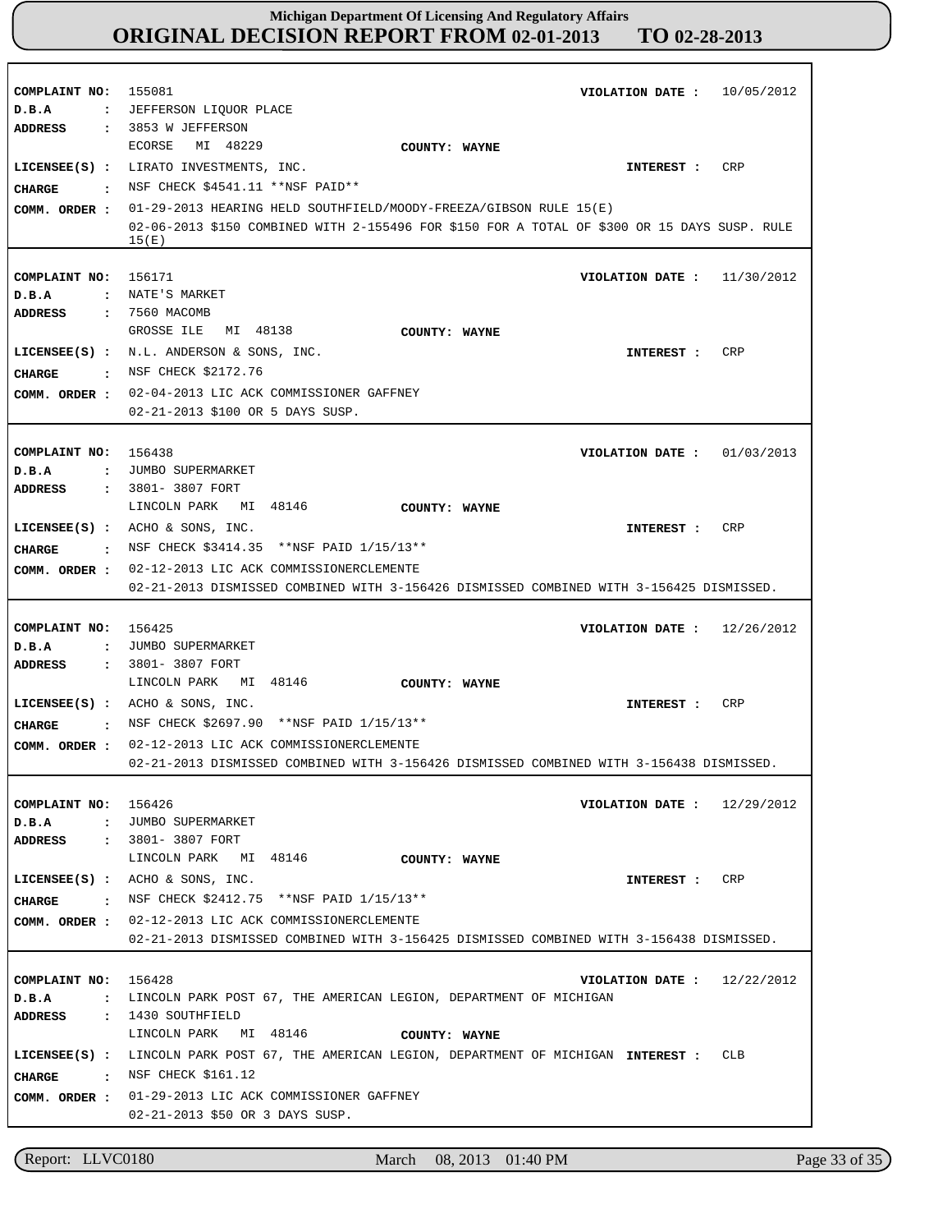| COMPLAINT NO:<br>D.B.A                                            | 155081<br>VIOLATION DATE: $10/05/2012$<br>: JEFFERSON LIQUOR PLACE                                                                                                                                                                                                                                                                       |
|-------------------------------------------------------------------|------------------------------------------------------------------------------------------------------------------------------------------------------------------------------------------------------------------------------------------------------------------------------------------------------------------------------------------|
| ADDRESS<br><b>CHARGE</b><br>$\ddot{\phantom{a}}$<br>COMM. ORDER : | : 3853 W JEFFERSON<br>MI 48229<br>ECORSE<br>COUNTY: WAYNE<br>LICENSEE(S) : LIRATO INVESTMENTS, INC.<br>CRP<br>INTEREST :<br>NSF CHECK \$4541.11 **NSF PAID**<br>01-29-2013 HEARING HELD SOUTHFIELD/MOODY-FREEZA/GIBSON RULE 15(E)                                                                                                        |
|                                                                   | 02-06-2013 \$150 COMBINED WITH 2-155496 FOR \$150 FOR A TOTAL OF \$300 OR 15 DAYS SUSP. RULE<br>15(E)                                                                                                                                                                                                                                    |
| COMPLAINT NO:<br>D.B.A                                            | 156171<br>11/30/2012<br>VIOLATION DATE :<br>: NATE'S MARKET                                                                                                                                                                                                                                                                              |
| ADDRESS<br><b>CHARGE</b><br>$\cdot$<br>COMM. ORDER :              | : 7560 MACOMB<br>MI 48138<br>GROSSE ILE<br>COUNTY: WAYNE<br>LICENSEE(S) : $N.L.$ ANDERSON & SONS, INC.<br>INTEREST :<br>CRP<br>NSF CHECK \$2172.76<br>02-04-2013 LIC ACK COMMISSIONER GAFFNEY<br>02-21-2013 \$100 OR 5 DAYS SUSP.                                                                                                        |
| COMPLAINT NO:<br>D.B.A                                            | 156438<br>VIOLATION DATE: $01/03/2013$<br>: JUMBO SUPERMARKET                                                                                                                                                                                                                                                                            |
| ADDRESS<br><b>CHARGE</b><br>$\sim$ $\sim$<br>COMM. ORDER :        | : 3801- 3807 FORT<br>LINCOLN PARK MI 48146<br>COUNTY: WAYNE<br>LICENSEE $(S)$ : ACHO & SONS, INC.<br>CRP<br>INTEREST :<br>NSF CHECK \$3414.35 **NSF PAID 1/15/13**<br>02-12-2013 LIC ACK COMMISSIONERCLEMENTE<br>02-21-2013 DISMISSED COMBINED WITH 3-156426 DISMISSED COMBINED WITH 3-156425 DISMISSED.                                 |
| COMPLAINT NO:<br>D.B.A                                            | 156425<br>12/26/2012<br>VIOLATION DATE :<br>: JUMBO SUPERMARKET                                                                                                                                                                                                                                                                          |
| <b>ADDRESS</b><br><b>CHARGE</b><br>$\sim$ $\sim$<br>COMM. ORDER : | : 3801- 3807 FORT<br>LINCOLN PARK MI 48146<br>COUNTY: WAYNE<br>LICENSEE $(s)$ : ACHO & SONS, INC.<br>CRP<br>INTEREST :<br>NSF CHECK \$2697.90 **NSF PAID 1/15/13**<br>02-12-2013 LIC ACK COMMISSIONERCLEMENTE<br>02-21-2013 DISMISSED COMBINED WITH 3-156426 DISMISSED COMBINED WITH 3-156438 DISMISSED.                                 |
| COMPLAINT NO: 156426<br>D.B.A                                     | VIOLATION DATE: $12/29/2012$<br>: JUMBO SUPERMARKET                                                                                                                                                                                                                                                                                      |
| CHARGE                                                            | <b>ADDRESS : 3801-3807 FORT</b><br>LINCOLN PARK MI 48146<br>COUNTY: WAYNE<br>LICENSEE(S) : $ACHO & SDNS$ , INC.<br>CRP<br>INTEREST :<br>• NSF CHECK \$2412.75 **NSF PAID $1/15/13**$<br>COMM. ORDER : 02-12-2013 LIC ACK COMMISSIONERCLEMENTE<br>02-21-2013 DISMISSED COMBINED WITH 3-156425 DISMISSED COMBINED WITH 3-156438 DISMISSED. |
| COMPLAINT NO: 156428<br>$D$ . B. A                                | 12/22/2012<br>VIOLATION DATE :<br>: LINCOLN PARK POST 67, THE AMERICAN LEGION, DEPARTMENT OF MICHIGAN                                                                                                                                                                                                                                    |
| : NSF CHECK \$161.12<br>CHARGE                                    | ADDRESS : 1430 SOUTHFIELD<br>LINCOLN PARK MI 48146<br>COUNTY: WAYNE<br>LICENSEE(S) : LINCOLN PARK POST 67, THE AMERICAN LEGION, DEPARTMENT OF MICHIGAN INTEREST :<br>CLB                                                                                                                                                                 |

Report: LLVC0180 March 08, 2013 01:40 PM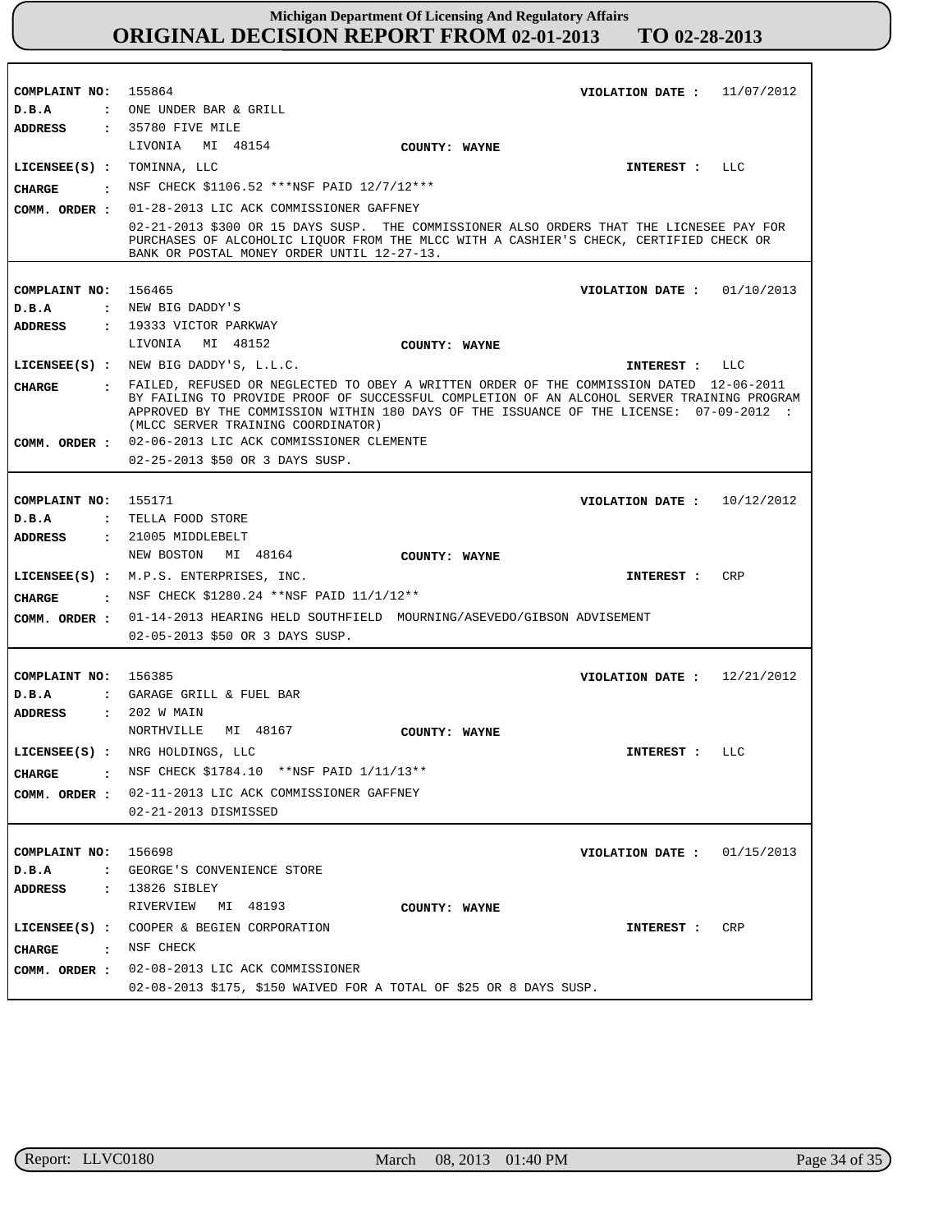| COMPLAINT NO: 155864       | VIOLATION DATE: $11/07/2012$                                                                                                                                                                                                     |
|----------------------------|----------------------------------------------------------------------------------------------------------------------------------------------------------------------------------------------------------------------------------|
| D.B.A                      | : ONE UNDER BAR & GRILL                                                                                                                                                                                                          |
| ADDRESS                    | : 35780 FIVE MILE                                                                                                                                                                                                                |
|                            | LIVONIA MI 48154<br>COUNTY: WAYNE                                                                                                                                                                                                |
| LICENSEE(S) : TOMINNA, LLC | LLC<br>INTEREST :                                                                                                                                                                                                                |
| CIIARGE                    | . NSF CHECK \$1106.52 ***NSF PAID 12/7/12***                                                                                                                                                                                     |
| COMM. ORDER :              | 01-28-2013 LIC ACK COMMISSIONER GAFFNEY                                                                                                                                                                                          |
|                            | 02-21-2013 \$300 OR 15 DAYS SUSP. THE COMMISSIONER ALSO ORDERS THAT THE LICNESEE PAY FOR<br>PURCHASES OF ALCOHOLIC LIQUOR FROM THE MLCC WITH A CASHIER'S CHECK, CERTIFIED CHECK OR<br>BANK OR POSTAL MONEY ORDER UNTIL 12-27-13. |
| COMPLAINT NO: 156465       | VIOLATION DATE: $01/10/2013$                                                                                                                                                                                                     |
| $D$ . B. A                 | : NEW BIG DADDY'S                                                                                                                                                                                                                |
|                            |                                                                                                                                                                                                                                  |
| ADDRESS                    | : 19333 VICTOR PARKWAY<br>LIVONIA MI 48152                                                                                                                                                                                       |
|                            | COUNTY: WAYNE                                                                                                                                                                                                                    |
|                            | LICENSEE(S) : NEW BIG DADDY'S, L.L.C.<br>INTEREST : LLC                                                                                                                                                                          |
| <b>CHARGE</b>              | . FAILED, REFUSED OR NEGLECTED TO OBEY A WRITTEN ORDER OF THE COMMISSION DATED 12-06-2011<br>BY FAILING TO PROVIDE PROOF OF SUCCESSFUL COMPLETION OF AN ALCOHOL SERVER TRAINING PROGRAM                                          |
|                            | APPROVED BY THE COMMISSION WITHIN 180 DAYS OF THE ISSUANCE OF THE LICENSE: 07-09-2012 :                                                                                                                                          |
|                            | (MLCC SERVER TRAINING COORDINATOR)                                                                                                                                                                                               |
| COMM. ORDER :              | 02-06-2013 LIC ACK COMMISSIONER CLEMENTE                                                                                                                                                                                         |
|                            | 02-25-2013 \$50 OR 3 DAYS SUSP.                                                                                                                                                                                                  |
|                            |                                                                                                                                                                                                                                  |
| COMPLAINT NO: 155171       | VIOLATION DATE: $10/12/2012$                                                                                                                                                                                                     |
| D.B.A                      | : TELLA FOOD STORE                                                                                                                                                                                                               |
| <b>ADDRESS</b>             | : 21005 MIDDLEBELT                                                                                                                                                                                                               |
|                            | NEW BOSTON MI 48164<br>COUNTY: WAYNE                                                                                                                                                                                             |
|                            | LICENSEE(S) : M.P.S. ENTERPRISES, INC.<br>CRP<br>INTEREST :                                                                                                                                                                      |
| CIIARGE                    | : NSF CHECK \$1280.24 ** NSF PAID 11/1/12**                                                                                                                                                                                      |
| COMM. ORDER :              | 01-14-2013 HEARING HELD SOUTHFIELD MOURNING/ASEVEDO/GIBSON ADVISEMENT                                                                                                                                                            |
|                            | 02-05-2013 \$50 OR 3 DAYS SUSP.                                                                                                                                                                                                  |
|                            |                                                                                                                                                                                                                                  |
| COMPLAINT NO: 156385       | VIOLATION DATE: $12/21/2012$                                                                                                                                                                                                     |
| D.B.A                      | : GARAGE GRILL & FUEL BAR                                                                                                                                                                                                        |
| <b>ADDRESS</b>             | : 202 W MAIN                                                                                                                                                                                                                     |
|                            | NORTHVILLE<br>MI 48167<br>COUNTY: WAYNE                                                                                                                                                                                          |
|                            | LICENSEE(S) : NRG HOLDINGS, LLC<br>INTEREST : LLC                                                                                                                                                                                |
| CHARGE                     | : NSF CHECK \$1784.10 ** NSF PAID 1/11/13 **                                                                                                                                                                                     |
|                            | COMM. ORDER : 02-11-2013 LIC ACK COMMISSIONER GAFFNEY                                                                                                                                                                            |
|                            | 02-21-2013 DISMISSED                                                                                                                                                                                                             |
|                            |                                                                                                                                                                                                                                  |
| COMPLAINT NO: 156698       | VIOLATION DATE: $01/15/2013$                                                                                                                                                                                                     |
| D.B.A                      | : GEORGE'S CONVENIENCE STORE                                                                                                                                                                                                     |
| <b>ADDRESS</b>             | : 13826 SIBLEY                                                                                                                                                                                                                   |
|                            | RIVERVIEW MI 48193<br>COUNTY: WAYNE                                                                                                                                                                                              |
|                            | LICENSEE(S) : COOPER & BEGIEN CORPORATION<br>CRP<br>INTEREST :                                                                                                                                                                   |
| CHARGE : NSF CHECK         |                                                                                                                                                                                                                                  |
|                            | COMM. ORDER : 02-08-2013 LIC ACK COMMISSIONER                                                                                                                                                                                    |
|                            | 02-08-2013 \$175, \$150 WAIVED FOR A TOTAL OF \$25 OR 8 DAYS SUSP.                                                                                                                                                               |